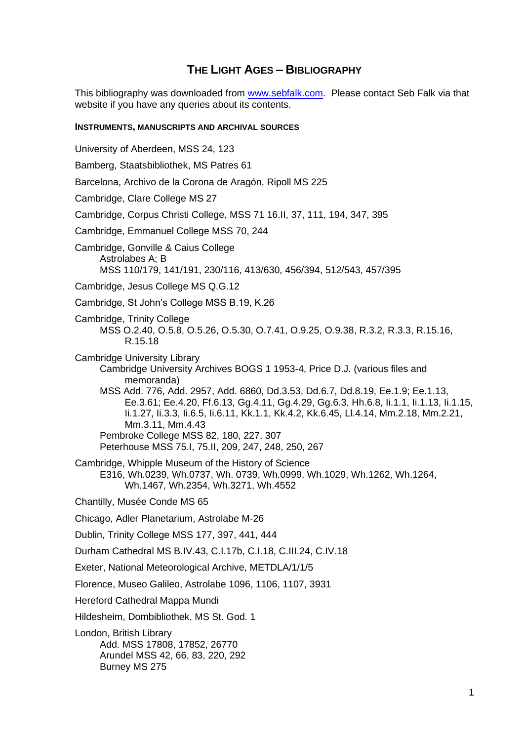## **THE LIGHT AGES – BIBLIOGRAPHY**

This bibliography was downloaded from [www.sebfalk.com.](www.sebfalk.com) Please contact Seb Falk via that website if you have any queries about its contents.

## **INSTRUMENTS, MANUSCRIPTS AND ARCHIVAL SOURCES**

- University of Aberdeen, MSS 24, 123
- Bamberg, Staatsbibliothek, MS Patres 61
- Barcelona, Archivo de la Corona de Aragón, Ripoll MS 225
- Cambridge, Clare College MS 27
- Cambridge, Corpus Christi College, MSS 71 16.II, 37, 111, 194, 347, 395
- Cambridge, Emmanuel College MSS 70, 244
- Cambridge, Gonville & Caius College Astrolabes A; B MSS 110/179, 141/191, 230/116, 413/630, 456/394, 512/543, 457/395
- Cambridge, Jesus College MS Q.G.12
- Cambridge, St John's College MSS B.19, K.26
- Cambridge, Trinity College MSS O.2.40, O.5.8, O.5.26, O.5.30, O.7.41, O.9.25, O.9.38, R.3.2, R.3.3, R.15.16, R.15.18
- Cambridge University Library Cambridge University Archives BOGS 1 1953-4, Price D.J. (various files and memoranda)
	- MSS Add. 776, Add. 2957, Add. 6860, Dd.3.53, Dd.6.7, Dd.8.19, Ee.1.9; Ee.1.13, Ee.3.61; Ee.4.20, Ff.6.13, Gg.4.11, Gg.4.29, Gg.6.3, Hh.6.8, Ii.1.1, Ii.1.13, Ii.1.15, Ii.1.27, Ii.3.3, Ii.6.5, Ii.6.11, Kk.1.1, Kk.4.2, Kk.6.45, Ll.4.14, Mm.2.18, Mm.2.21, Mm.3.11, Mm.4.43
	- Pembroke College MSS 82, 180, 227, 307
	- Peterhouse MSS 75.I, 75.II, 209, 247, 248, 250, 267
- Cambridge, Whipple Museum of the History of Science
- E316, Wh.0239, Wh.0737, Wh. 0739, Wh.0999, Wh.1029, Wh.1262, Wh.1264, Wh.1467, Wh.2354, Wh.3271, Wh.4552
- Chantilly, Musée Conde MS 65
- Chicago, Adler Planetarium, Astrolabe M-26
- Dublin, Trinity College MSS 177, 397, 441, 444
- Durham Cathedral MS B.IV.43, C.I.17b, C.I.18, C.III.24, C.IV.18
- Exeter, National Meteorological Archive, METDLA/1/1/5
- Florence, Museo Galileo, Astrolabe 1096, 1106, 1107, 3931
- Hereford Cathedral Mappa Mundi
- Hildesheim, Dombibliothek, MS St. God. 1

London, British Library Add. MSS 17808, 17852, 26770 Arundel MSS 42, 66, 83, 220, 292 Burney MS 275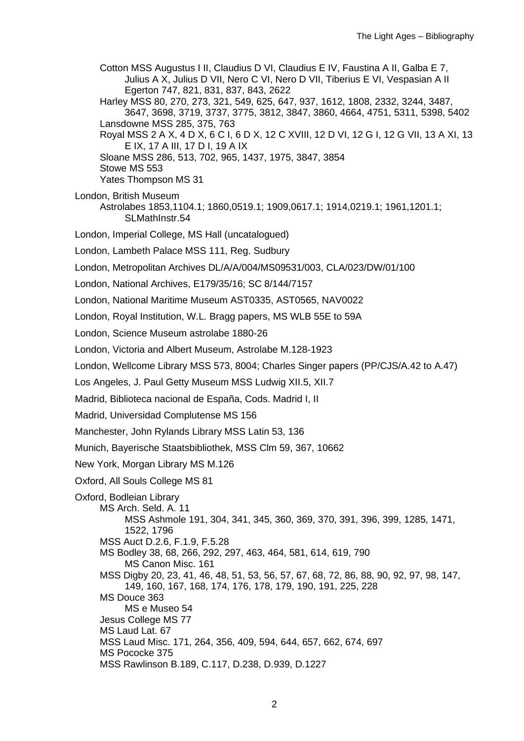Cotton MSS Augustus I II, Claudius D VI, Claudius E IV, Faustina A II, Galba E 7, Julius A X, Julius D VII, Nero C VI, Nero D VII, Tiberius E VI, Vespasian A II Egerton 747, 821, 831, 837, 843, 2622

Harley MSS 80, 270, 273, 321, 549, 625, 647, 937, 1612, 1808, 2332, 3244, 3487, 3647, 3698, 3719, 3737, 3775, 3812, 3847, 3860, 4664, 4751, 5311, 5398, 5402 Lansdowne MSS 285, 375, 763

Royal MSS 2 A X, 4 D X, 6 C I, 6 D X, 12 C XVIII, 12 D VI, 12 G I, 12 G VII, 13 A XI, 13 E IX, 17 A III, 17 D I, 19 A IX

Sloane MSS 286, 513, 702, 965, 1437, 1975, 3847, 3854 Stowe MS 553

Yates Thompson MS 31

London, British Museum Astrolabes 1853,1104.1; 1860,0519.1; 1909,0617.1; 1914,0219.1; 1961,1201.1; SLMathInstr.54

London, Imperial College, MS Hall (uncatalogued)

London, Lambeth Palace MSS 111, Reg. Sudbury

London, Metropolitan Archives DL/A/A/004/MS09531/003, CLA/023/DW/01/100

London, National Archives, E179/35/16; SC 8/144/7157

London, National Maritime Museum AST0335, AST0565, NAV0022

London, Royal Institution, W.L. Bragg papers, MS WLB 55E to 59A

London, Science Museum astrolabe 1880-26

London, Victoria and Albert Museum, Astrolabe M.128-1923

London, Wellcome Library MSS 573, 8004; Charles Singer papers (PP/CJS/A.42 to A.47)

Los Angeles, J. Paul Getty Museum MSS Ludwig XII.5, XII.7

Madrid, Biblioteca nacional de España, Cods. Madrid I, II

Madrid, Universidad Complutense MS 156

Manchester, John Rylands Library MSS Latin 53, 136

Munich, Bayerische Staatsbibliothek, MSS Clm 59, 367, 10662

New York, Morgan Library MS M.126

Oxford, All Souls College MS 81

Oxford, Bodleian Library

MS Arch. Seld. A. 11

MSS Ashmole 191, 304, 341, 345, 360, 369, 370, 391, 396, 399, 1285, 1471, 1522, 1796 MSS Auct D.2.6, F.1.9, F.5.28

MS Bodley 38, 68, 266, 292, 297, 463, 464, 581, 614, 619, 790

MS Canon Misc. 161

MSS Digby 20, 23, 41, 46, 48, 51, 53, 56, 57, 67, 68, 72, 86, 88, 90, 92, 97, 98, 147, 149, 160, 167, 168, 174, 176, 178, 179, 190, 191, 225, 228

MS Douce 363

MS e Museo 54

Jesus College MS 77

MS Laud Lat. 67

MSS Laud Misc. 171, 264, 356, 409, 594, 644, 657, 662, 674, 697

MS Pococke 375

MSS Rawlinson B.189, C.117, D.238, D.939, D.1227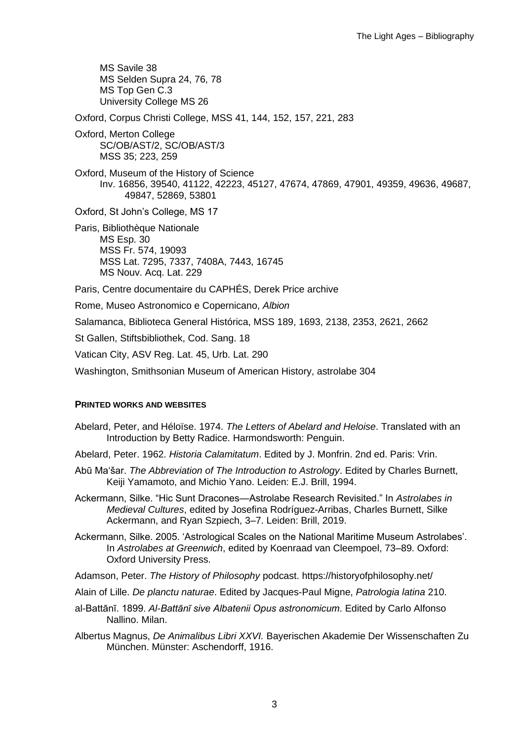MS Savile 38 MS Selden Supra 24, 76, 78 MS Top Gen C.3 University College MS 26

Oxford, Corpus Christi College, MSS 41, 144, 152, 157, 221, 283

Oxford, Merton College SC/OB/AST/2, SC/OB/AST/3 MSS 35; 223, 259

Oxford, Museum of the History of Science Inv. 16856, 39540, 41122, 42223, 45127, 47674, 47869, 47901, 49359, 49636, 49687, 49847, 52869, 53801

Oxford, St John's College, MS 17

Paris, Bibliothèque Nationale MS Esp. 30 MSS Fr. 574, 19093 MSS Lat. 7295, 7337, 7408A, 7443, 16745 MS Nouv. Acq. Lat. 229

Paris, Centre documentaire du CAPHÉS, Derek Price archive

Rome, Museo Astronomico e Copernicano, *Albion*

Salamanca, Biblioteca General Histórica, MSS 189, 1693, 2138, 2353, 2621, 2662

St Gallen, Stiftsbibliothek, Cod. Sang. 18

Vatican City, ASV Reg. Lat. 45, Urb. Lat. 290

Washington, Smithsonian Museum of American History, astrolabe 304

## **PRINTED WORKS AND WEBSITES**

- Abelard, Peter, and Héloïse. 1974. *The Letters of Abelard and Heloise*. Translated with an Introduction by Betty Radice. Harmondsworth: Penguin.
- Abelard, Peter. 1962. *Historia Calamitatum*. Edited by J. Monfrin. 2nd ed. Paris: Vrin.
- Abū Maʻšar. *The Abbreviation of The Introduction to Astrology*. Edited by Charles Burnett, Keiji Yamamoto, and Michio Yano. Leiden: E.J. Brill, 1994.

Ackermann, Silke. "Hic Sunt Dracones—Astrolabe Research Revisited." In *Astrolabes in Medieval Cultures*, edited by Josefina Rodríguez-Arribas, Charles Burnett, Silke Ackermann, and Ryan Szpiech, 3–7. Leiden: Brill, 2019.

Ackermann, Silke. 2005. 'Astrological Scales on the National Maritime Museum Astrolabes'. In *Astrolabes at Greenwich*, edited by Koenraad van Cleempoel, 73–89. Oxford: Oxford University Press.

Adamson, Peter. *The History of Philosophy* podcast. https://historyofphilosophy.net/

- Alain of Lille. *De planctu naturae*. Edited by Jacques-Paul Migne, *Patrologia latina* 210.
- al-Battānī. 1899. *Al-Battānī sive Albatenii Opus astronomicum*. Edited by Carlo Alfonso Nallino. Milan.
- Albertus Magnus, *De Animalibus Libri XXVI.* Bayerischen Akademie Der Wissenschaften Zu München. Münster: Aschendorff, 1916.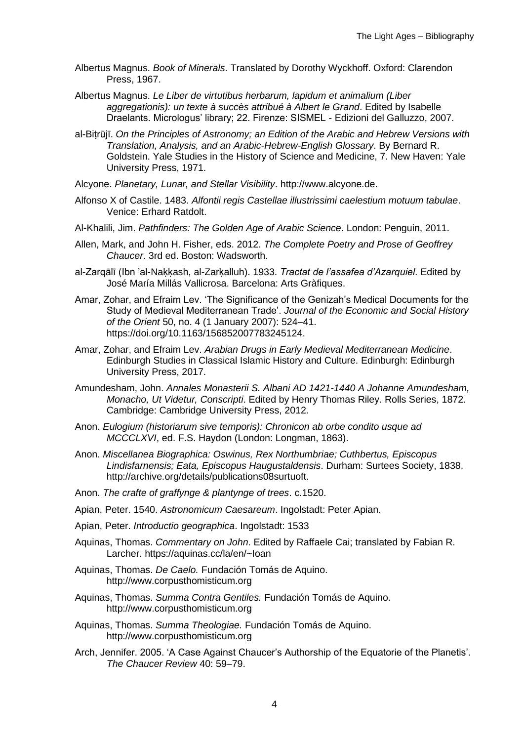- Albertus Magnus. *Book of Minerals*. Translated by Dorothy Wyckhoff. Oxford: Clarendon Press, 1967.
- Albertus Magnus. *Le Liber de virtutibus herbarum, lapidum et animalium (Liber aggregationis): un texte à succès attribué à Albert le Grand*. Edited by Isabelle Draelants. Micrologus' library; 22. Firenze: SISMEL - Edizioni del Galluzzo, 2007.
- al-Biṭrūjī. *On the Principles of Astronomy; an Edition of the Arabic and Hebrew Versions with Translation, Analysis, and an Arabic-Hebrew-English Glossary*. By Bernard R. Goldstein. Yale Studies in the History of Science and Medicine, 7. New Haven: Yale University Press, 1971.
- Alcyone. *Planetary, Lunar, and Stellar Visibility*. http://www.alcyone.de.
- Alfonso X of Castile. 1483. *Alfontii regis Castellae illustrissimi caelestium motuum tabulae*. Venice: Erhard Ratdolt.
- Al-Khalili, Jim. *Pathfinders: The Golden Age of Arabic Science*. London: Penguin, 2011.
- Allen, Mark, and John H. Fisher, eds. 2012. *The Complete Poetry and Prose of Geoffrey Chaucer*. 3rd ed. Boston: Wadsworth.
- al-Zarqālī (Ibn 'al-Naḳḳash, al-Zarḳalluh). 1933. *Tractat de l'assafea d'Azarquiel*. Edited by José María Millás Vallicrosa. Barcelona: Arts Gràfiques.
- Amar, Zohar, and Efraim Lev. 'The Significance of the Genizah's Medical Documents for the Study of Medieval Mediterranean Trade'. *Journal of the Economic and Social History of the Orient* 50, no. 4 (1 January 2007): 524–41. https://doi.org/10.1163/156852007783245124.
- Amar, Zohar, and Efraim Lev. *Arabian Drugs in Early Medieval Mediterranean Medicine*. Edinburgh Studies in Classical Islamic History and Culture. Edinburgh: Edinburgh University Press, 2017.
- Amundesham, John. *Annales Monasterii S. Albani AD 1421-1440 A Johanne Amundesham, Monacho, Ut Videtur, Conscripti*. Edited by Henry Thomas Riley. Rolls Series, 1872. Cambridge: Cambridge University Press, 2012.
- Anon. *Eulogium (historiarum sive temporis): Chronicon ab orbe condito usque ad MCCCLXVI*, ed. F.S. Haydon (London: Longman, 1863).
- Anon. *Miscellanea Biographica: Oswinus, Rex Northumbriae; Cuthbertus, Episcopus Lindisfarnensis; Eata, Episcopus Haugustaldensis*. Durham: Surtees Society, 1838. http://archive.org/details/publications08surtuoft.
- Anon. *The crafte of graffynge & plantynge of trees*. c.1520.
- Apian, Peter. 1540. *Astronomicum Caesareum*. Ingolstadt: Peter Apian.
- Apian, Peter. *Introductio geographica*. Ingolstadt: 1533
- Aquinas, Thomas. *Commentary on John*. Edited by Raffaele Cai; translated by Fabian R. Larcher. https://aquinas.cc/la/en/~Ioan
- Aquinas, Thomas. *De Caelo.* Fundación Tomás de Aquino. http://www.corpusthomisticum.org
- Aquinas, Thomas. *Summa Contra Gentiles.* Fundación Tomás de Aquino. http://www.corpusthomisticum.org
- Aquinas, Thomas. *Summa Theologiae.* Fundación Tomás de Aquino. http://www.corpusthomisticum.org
- Arch, Jennifer. 2005. 'A Case Against Chaucer's Authorship of the Equatorie of the Planetis'. *The Chaucer Review* 40: 59–79.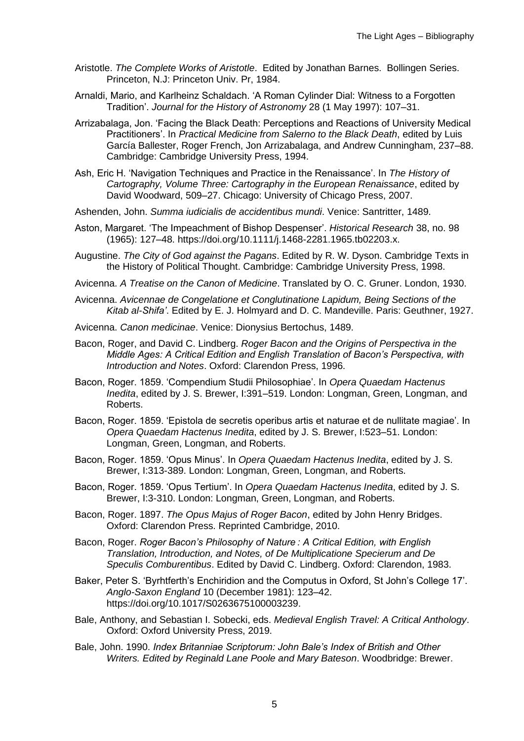- Aristotle. *The Complete Works of Aristotle*. Edited by Jonathan Barnes. Bollingen Series. Princeton, N.J: Princeton Univ. Pr, 1984.
- Arnaldi, Mario, and Karlheinz Schaldach. 'A Roman Cylinder Dial: Witness to a Forgotten Tradition'. *Journal for the History of Astronomy* 28 (1 May 1997): 107–31.
- Arrizabalaga, Jon. 'Facing the Black Death: Perceptions and Reactions of University Medical Practitioners'. In *Practical Medicine from Salerno to the Black Death*, edited by Luis García Ballester, Roger French, Jon Arrizabalaga, and Andrew Cunningham, 237–88. Cambridge: Cambridge University Press, 1994.
- Ash, Eric H. 'Navigation Techniques and Practice in the Renaissance'. In *The History of Cartography, Volume Three: Cartography in the European Renaissance*, edited by David Woodward, 509–27. Chicago: University of Chicago Press, 2007.
- Ashenden, John. *Summa iudicialis de accidentibus mundi*. Venice: Santritter, 1489.
- Aston, Margaret. 'The Impeachment of Bishop Despenser'. *Historical Research* 38, no. 98 (1965): 127–48. https://doi.org/10.1111/j.1468-2281.1965.tb02203.x.
- Augustine. *The City of God against the Pagans*. Edited by R. W. Dyson. Cambridge Texts in the History of Political Thought. Cambridge: Cambridge University Press, 1998.
- Avicenna. *A Treatise on the Canon of Medicine*. Translated by O. C. Gruner. London, 1930.
- Avicenna. *Avicennae de Congelatione et Conglutinatione Lapidum, Being Sections of the Kitab al-Shifa'*. Edited by E. J. Holmyard and D. C. Mandeville. Paris: Geuthner, 1927.
- Avicenna. *Canon medicinae*. Venice: Dionysius Bertochus, 1489.
- Bacon, Roger, and David C. Lindberg. *Roger Bacon and the Origins of Perspectiva in the Middle Ages: A Critical Edition and English Translation of Bacon's Perspectiva, with Introduction and Notes*. Oxford: Clarendon Press, 1996.
- Bacon, Roger. 1859. 'Compendium Studii Philosophiae'. In *Opera Quaedam Hactenus Inedita*, edited by J. S. Brewer, I:391–519. London: Longman, Green, Longman, and Roberts.
- Bacon, Roger. 1859. 'Epistola de secretis operibus artis et naturae et de nullitate magiae'. In *Opera Quaedam Hactenus Inedita*, edited by J. S. Brewer, I:523–51. London: Longman, Green, Longman, and Roberts.
- Bacon, Roger. 1859. 'Opus Minus'. In *Opera Quaedam Hactenus Inedita*, edited by J. S. Brewer, I:313-389. London: Longman, Green, Longman, and Roberts.
- Bacon, Roger. 1859. 'Opus Tertium'. In *Opera Quaedam Hactenus Inedita*, edited by J. S. Brewer, I:3-310. London: Longman, Green, Longman, and Roberts.
- Bacon, Roger. 1897. *The Opus Majus of Roger Bacon*, edited by John Henry Bridges. Oxford: Clarendon Press. Reprinted Cambridge, 2010.
- Bacon, Roger. *Roger Bacon's Philosophy of Nature : A Critical Edition, with English Translation, Introduction, and Notes, of De Multiplicatione Specierum and De Speculis Comburentibus*. Edited by David C. Lindberg. Oxford: Clarendon, 1983.
- Baker, Peter S. 'Byrhtferth's Enchiridion and the Computus in Oxford, St John's College 17'. *Anglo-Saxon England* 10 (December 1981): 123–42. https://doi.org/10.1017/S0263675100003239.
- Bale, Anthony, and Sebastian I. Sobecki, eds. *Medieval English Travel: A Critical Anthology*. Oxford: Oxford University Press, 2019.
- Bale, John. 1990. *Index Britanniae Scriptorum: John Bale's Index of British and Other Writers. Edited by Reginald Lane Poole and Mary Bateson*. Woodbridge: Brewer.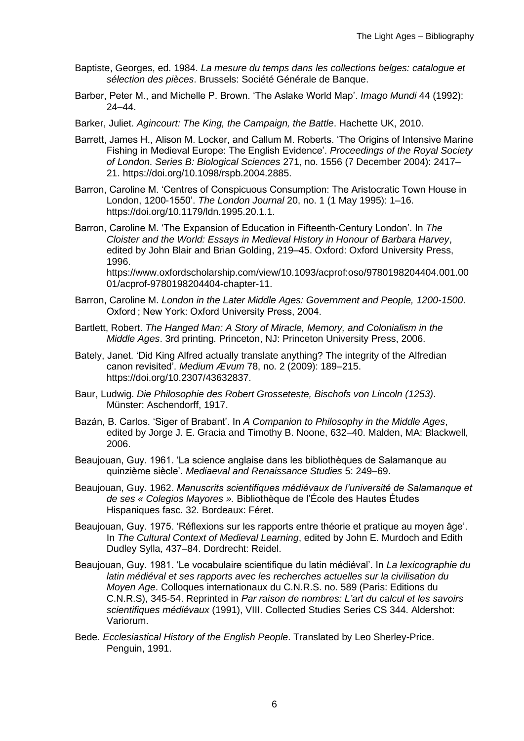- Baptiste, Georges, ed. 1984. *La mesure du temps dans les collections belges: catalogue et sélection des pièces*. Brussels: Société Générale de Banque.
- Barber, Peter M., and Michelle P. Brown. 'The Aslake World Map'. *Imago Mundi* 44 (1992): 24–44.
- Barker, Juliet. *Agincourt: The King, the Campaign, the Battle*. Hachette UK, 2010.
- Barrett, James H., Alison M. Locker, and Callum M. Roberts. 'The Origins of Intensive Marine Fishing in Medieval Europe: The English Evidence'. *Proceedings of the Royal Society of London*. *Series B: Biological Sciences* 271, no. 1556 (7 December 2004): 2417– 21. https://doi.org/10.1098/rspb.2004.2885.
- Barron, Caroline M. 'Centres of Conspicuous Consumption: The Aristocratic Town House in London, 1200-1550'. *The London Journal* 20, no. 1 (1 May 1995): 1–16. https://doi.org/10.1179/ldn.1995.20.1.1.
- Barron, Caroline M. 'The Expansion of Education in Fifteenth-Century London'. In *The Cloister and the World: Essays in Medieval History in Honour of Barbara Harvey*, edited by John Blair and Brian Golding, 219–45. Oxford: Oxford University Press, 1996. https://www.oxfordscholarship.com/view/10.1093/acprof:oso/9780198204404.001.00 01/acprof-9780198204404-chapter-11.
- Barron, Caroline M. *London in the Later Middle Ages: Government and People, 1200-1500*. Oxford ; New York: Oxford University Press, 2004.
- Bartlett, Robert. *The Hanged Man: A Story of Miracle, Memory, and Colonialism in the Middle Ages*. 3rd printing. Princeton, NJ: Princeton University Press, 2006.
- Bately, Janet. 'Did King Alfred actually translate anything? The integrity of the Alfredian canon revisited'. *Medium Ævum* 78, no. 2 (2009): 189–215. https://doi.org/10.2307/43632837.
- Baur, Ludwig. *Die Philosophie des Robert Grosseteste, Bischofs von Lincoln (1253)*. Münster: Aschendorff, 1917.
- Bazán, B. Carlos. 'Siger of Brabant'. In *A Companion to Philosophy in the Middle Ages*, edited by Jorge J. E. Gracia and Timothy B. Noone, 632–40. Malden, MA: Blackwell, 2006.
- Beaujouan, Guy. 1961. 'La science anglaise dans les bibliothèques de Salamanque au quinzième siècle'. *Mediaeval and Renaissance Studies* 5: 249–69.
- Beaujouan, Guy. 1962. *Manuscrits scientifiques médiévaux de l'université de Salamanque et de ses « Colegios Mayores ».* Bibliothèque de l'École des Hautes Études Hispaniques fasc. 32. Bordeaux: Féret.
- Beaujouan, Guy. 1975. 'Réflexions sur les rapports entre théorie et pratique au moyen âge'. In *The Cultural Context of Medieval Learning*, edited by John E. Murdoch and Edith Dudley Sylla, 437–84. Dordrecht: Reidel.
- Beaujouan, Guy. 1981. 'Le vocabulaire scientifique du latin médiéval'. In *La lexicographie du latin médiéval et ses rapports avec les recherches actuelles sur la civilisation du Moyen Age*. Colloques internationaux du C.N.R.S. no. 589 (Paris: Editions du C.N.R.S), 345-54. Reprinted in *Par raison de nombres: L'art du calcul et les savoirs scientifiques médiévaux* (1991), VIII. Collected Studies Series CS 344. Aldershot: Variorum.
- Bede. *Ecclesiastical History of the English People*. Translated by Leo Sherley-Price. Penguin, 1991.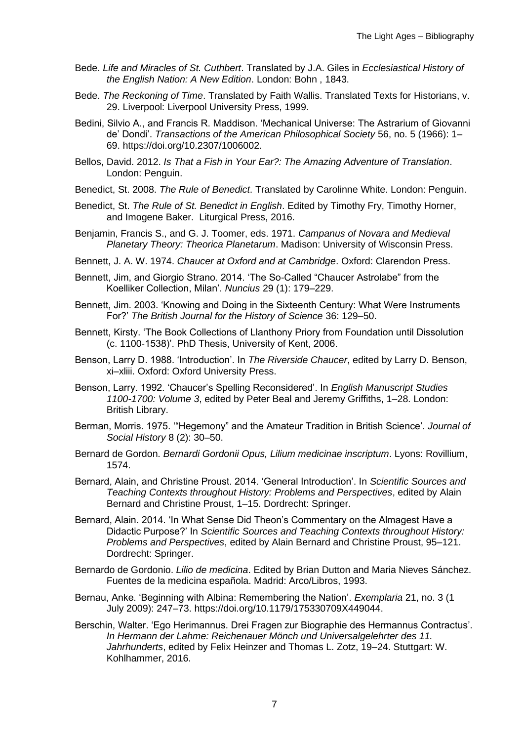- Bede. *Life and Miracles of St. Cuthbert*. Translated by J.A. Giles in *Ecclesiastical History of the English Nation: A New Edition*. London: Bohn , 1843.
- Bede. *The Reckoning of Time*. Translated by Faith Wallis. Translated Texts for Historians, v. 29. Liverpool: Liverpool University Press, 1999.
- Bedini, Silvio A., and Francis R. Maddison. 'Mechanical Universe: The Astrarium of Giovanni de' Dondi'. *Transactions of the American Philosophical Society* 56, no. 5 (1966): 1– 69. https://doi.org/10.2307/1006002.
- Bellos, David. 2012. *Is That a Fish in Your Ear?: The Amazing Adventure of Translation*. London: Penguin.
- Benedict, St. 2008. *The Rule of Benedict*. Translated by Carolinne White. London: Penguin.
- Benedict, St. *The Rule of St. Benedict in English*. Edited by Timothy Fry, Timothy Horner, and Imogene Baker. Liturgical Press, 2016.
- Benjamin, Francis S., and G. J. Toomer, eds. 1971. *Campanus of Novara and Medieval Planetary Theory: Theorica Planetarum*. Madison: University of Wisconsin Press.
- Bennett, J. A. W. 1974. *Chaucer at Oxford and at Cambridge*. Oxford: Clarendon Press.
- Bennett, Jim, and Giorgio Strano. 2014. 'The So-Called "Chaucer Astrolabe" from the Koelliker Collection, Milan'. *Nuncius* 29 (1): 179–229.
- Bennett, Jim. 2003. 'Knowing and Doing in the Sixteenth Century: What Were Instruments For?' *The British Journal for the History of Science* 36: 129–50.
- Bennett, Kirsty. 'The Book Collections of Llanthony Priory from Foundation until Dissolution (c. 1100-1538)'. PhD Thesis, University of Kent, 2006.
- Benson, Larry D. 1988. 'Introduction'. In *The Riverside Chaucer*, edited by Larry D. Benson, xi–xliii. Oxford: Oxford University Press.
- Benson, Larry. 1992. 'Chaucer's Spelling Reconsidered'. In *English Manuscript Studies 1100-1700: Volume 3*, edited by Peter Beal and Jeremy Griffiths, 1–28. London: British Library.
- Berman, Morris. 1975. '"Hegemony" and the Amateur Tradition in British Science'. *Journal of Social History* 8 (2): 30–50.
- Bernard de Gordon. *Bernardi Gordonii Opus, Lilium medicinae inscriptum*. Lyons: Rovillium, 1574.
- Bernard, Alain, and Christine Proust. 2014. 'General Introduction'. In *Scientific Sources and Teaching Contexts throughout History: Problems and Perspectives*, edited by Alain Bernard and Christine Proust, 1–15. Dordrecht: Springer.
- Bernard, Alain. 2014. 'In What Sense Did Theon's Commentary on the Almagest Have a Didactic Purpose?' In *Scientific Sources and Teaching Contexts throughout History: Problems and Perspectives*, edited by Alain Bernard and Christine Proust, 95–121. Dordrecht: Springer.
- Bernardo de Gordonio. *Lilio de medicina*. Edited by Brian Dutton and Maria Nieves Sánchez. Fuentes de la medicina española. Madrid: Arco/Libros, 1993.
- Bernau, Anke. 'Beginning with Albina: Remembering the Nation'. *Exemplaria* 21, no. 3 (1 July 2009): 247–73. https://doi.org/10.1179/175330709X449044.
- Berschin, Walter. 'Ego Herimannus. Drei Fragen zur Biographie des Hermannus Contractus'. *In Hermann der Lahme: Reichenauer Mönch und Universalgelehrter des 11. Jahrhunderts*, edited by Felix Heinzer and Thomas L. Zotz, 19–24. Stuttgart: W. Kohlhammer, 2016.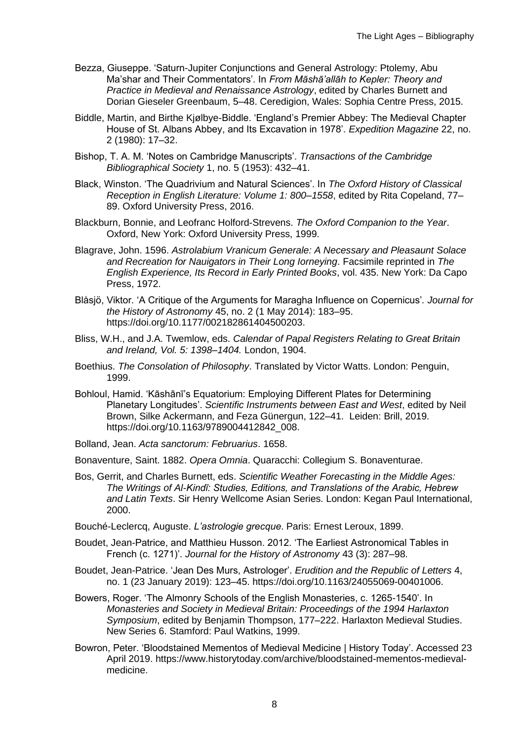- Bezza, Giuseppe. 'Saturn-Jupiter Conjunctions and General Astrology: Ptolemy, Abu Ma'shar and Their Commentators'. In *From Māshā'allāh to Kepler: Theory and Practice in Medieval and Renaissance Astrology*, edited by Charles Burnett and Dorian Gieseler Greenbaum, 5–48. Ceredigion, Wales: Sophia Centre Press, 2015.
- Biddle, Martin, and Birthe Kjølbye-Biddle. 'England's Premier Abbey: The Medieval Chapter House of St. Albans Abbey, and Its Excavation in 1978'. *Expedition Magazine* 22, no. 2 (1980): 17–32.
- Bishop, T. A. M. 'Notes on Cambridge Manuscripts'. *Transactions of the Cambridge Bibliographical Society* 1, no. 5 (1953): 432–41.
- Black, Winston. 'The Quadrivium and Natural Sciences'. In *The Oxford History of Classical Reception in English Literature: Volume 1: 800–1558*, edited by Rita Copeland, 77– 89. Oxford University Press, 2016.
- Blackburn, Bonnie, and Leofranc Holford-Strevens. *The Oxford Companion to the Year*. Oxford, New York: Oxford University Press, 1999.
- Blagrave, John. 1596. *Astrolabium Vranicum Generale: A Necessary and Pleasaunt Solace and Recreation for Nauigators in Their Long Iorneying*. Facsimile reprinted in *The English Experience, Its Record in Early Printed Books*, vol. 435. New York: Da Capo Press, 1972.
- Blåsjö, Viktor. 'A Critique of the Arguments for Maragha Influence on Copernicus'*. Journal for the History of Astronomy* 45, no. 2 (1 May 2014): 183–95. https://doi.org/10.1177/002182861404500203.
- Bliss, W.H., and J.A. Twemlow, eds. *Calendar of Papal Registers Relating to Great Britain and Ireland, Vol. 5: 1398–1404.* London, 1904.
- Boethius. *The Consolation of Philosophy*. Translated by Victor Watts. London: Penguin, 1999.
- Bohloul, Hamid. 'Kāshānī's Equatorium: Employing Different Plates for Determining Planetary Longitudes'. *Scientific Instruments between East and West*, edited by Neil Brown, Silke Ackermann, and Feza Günergun, 122–41. Leiden: Brill, 2019. https://doi.org/10.1163/9789004412842\_008.
- Bolland, Jean. *Acta sanctorum: Februarius*. 1658.
- Bonaventure, Saint. 1882. *Opera Omnia*. Quaracchi: Collegium S. Bonaventurae.
- Bos, Gerrit, and Charles Burnett, eds. *Scientific Weather Forecasting in the Middle Ages: The Writings of Al-Kindī: Studies, Editions, and Translations of the Arabic, Hebrew and Latin Texts*. Sir Henry Wellcome Asian Series. London: Kegan Paul International, 2000.
- Bouché-Leclercq, Auguste. *L'astrologie grecque*. Paris: Ernest Leroux, 1899.
- Boudet, Jean-Patrice, and Matthieu Husson. 2012. 'The Earliest Astronomical Tables in French (c. 1271)'. *Journal for the History of Astronomy* 43 (3): 287–98.
- Boudet, Jean-Patrice. 'Jean Des Murs, Astrologer'. *Erudition and the Republic of Letters* 4, no. 1 (23 January 2019): 123–45. https://doi.org/10.1163/24055069-00401006.
- Bowers, Roger. 'The Almonry Schools of the English Monasteries, c. 1265-1540'. In *Monasteries and Society in Medieval Britain: Proceedings of the 1994 Harlaxton Symposium*, edited by Benjamin Thompson, 177–222. Harlaxton Medieval Studies. New Series 6. Stamford: Paul Watkins, 1999.
- Bowron, Peter. 'Bloodstained Mementos of Medieval Medicine | History Today'. Accessed 23 April 2019. https://www.historytoday.com/archive/bloodstained-mementos-medievalmedicine.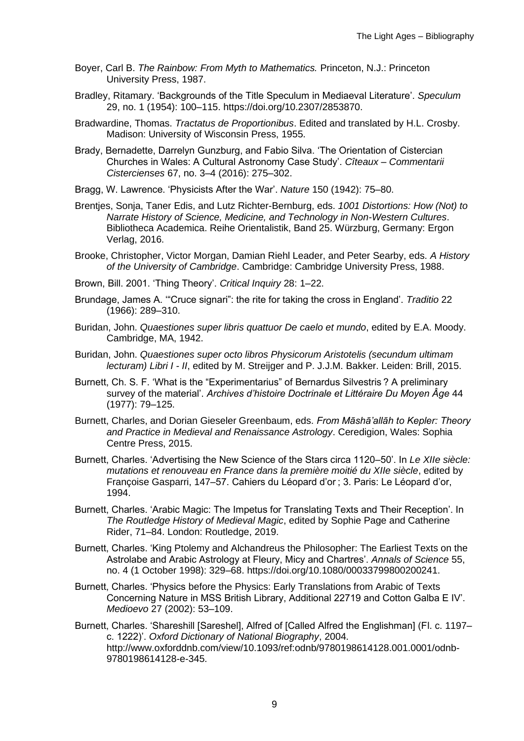- Boyer, Carl B. *The Rainbow: From Myth to Mathematics.* Princeton, N.J.: Princeton University Press, 1987.
- Bradley, Ritamary. 'Backgrounds of the Title Speculum in Mediaeval Literature'. *Speculum* 29, no. 1 (1954): 100–115. https://doi.org/10.2307/2853870.
- Bradwardine, Thomas. *Tractatus de Proportionibus*. Edited and translated by H.L. Crosby. Madison: University of Wisconsin Press, 1955.
- Brady, Bernadette, Darrelyn Gunzburg, and Fabio Silva. 'The Orientation of Cistercian Churches in Wales: A Cultural Astronomy Case Study'. *Cîteaux – Commentarii Cistercienses* 67, no. 3–4 (2016): 275–302.
- Bragg, W. Lawrence. 'Physicists After the War'. *Nature* 150 (1942): 75–80.
- Brentjes, Sonja, Taner Edis, and Lutz Richter-Bernburg, eds. *1001 Distortions: How (Not) to Narrate History of Science, Medicine, and Technology in Non-Western Cultures*. Bibliotheca Academica. Reihe Orientalistik, Band 25. Würzburg, Germany: Ergon Verlag, 2016.
- Brooke, Christopher, Victor Morgan, Damian Riehl Leader, and Peter Searby, eds. *A History of the University of Cambridge*. Cambridge: Cambridge University Press, 1988.
- Brown, Bill. 2001. 'Thing Theory'. *Critical Inquiry* 28: 1–22.
- Brundage, James A. '"Cruce signari": the rite for taking the cross in England'. *Traditio* 22 (1966): 289–310.
- Buridan, John. *Quaestiones super libris quattuor De caelo et mundo*, edited by E.A. Moody. Cambridge, MA, 1942.
- Buridan, John. *Quaestiones super octo libros Physicorum Aristotelis (secundum ultimam lecturam) Libri I - II*, edited by M. Streijger and P. J.J.M. Bakker. Leiden: Brill, 2015.
- Burnett, Ch. S. F. 'What is the "Experimentarius" of Bernardus Silvestris ? A preliminary survey of the material'. *Archives d'histoire Doctrinale et Littéraire Du Moyen Âge* 44 (1977): 79–125.
- Burnett, Charles, and Dorian Gieseler Greenbaum, eds. *From Māshā'allāh to Kepler: Theory and Practice in Medieval and Renaissance Astrology*. Ceredigion, Wales: Sophia Centre Press, 2015.
- Burnett, Charles. 'Advertising the New Science of the Stars circa 1120–50'. In *Le XIIe siècle: mutations et renouveau en France dans la première moitié du XIIe siècle*, edited by Françoise Gasparri, 147–57. Cahiers du Léopard d'or ; 3. Paris: Le Léopard d'or, 1994.
- Burnett, Charles. 'Arabic Magic: The Impetus for Translating Texts and Their Reception'. In *The Routledge History of Medieval Magic*, edited by Sophie Page and Catherine Rider, 71–84. London: Routledge, 2019.
- Burnett, Charles. 'King Ptolemy and Alchandreus the Philosopher: The Earliest Texts on the Astrolabe and Arabic Astrology at Fleury, Micy and Chartres'. *Annals of Science* 55, no. 4 (1 October 1998): 329–68. https://doi.org/10.1080/00033799800200241.
- Burnett, Charles. 'Physics before the Physics: Early Translations from Arabic of Texts Concerning Nature in MSS British Library, Additional 22719 and Cotton Galba E IV'. *Medioevo* 27 (2002): 53–109.
- Burnett, Charles. 'Shareshill [Sareshel], Alfred of [Called Alfred the Englishman] (Fl. c. 1197– c. 1222)'. *Oxford Dictionary of National Biography*, 2004. http://www.oxforddnb.com/view/10.1093/ref:odnb/9780198614128.001.0001/odnb-9780198614128-e-345.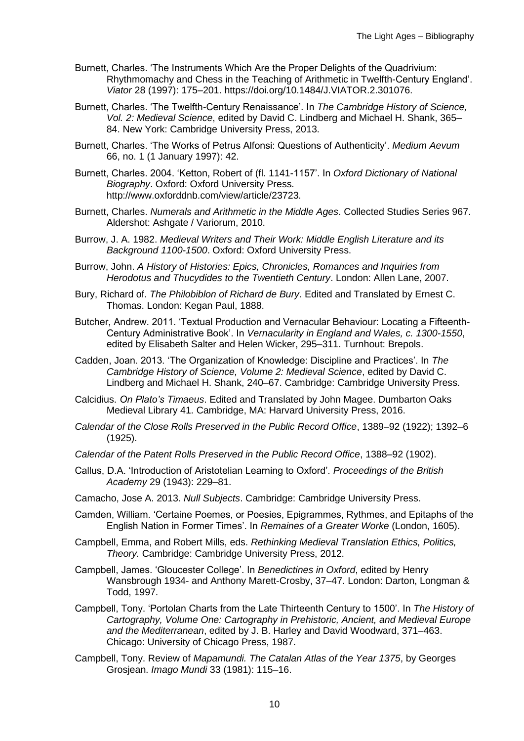- Burnett, Charles. 'The Instruments Which Are the Proper Delights of the Quadrivium: Rhythmomachy and Chess in the Teaching of Arithmetic in Twelfth-Century England'. *Viator* 28 (1997): 175–201. https://doi.org/10.1484/J.VIATOR.2.301076.
- Burnett, Charles. 'The Twelfth-Century Renaissance'. In *The Cambridge History of Science, Vol. 2: Medieval Science*, edited by David C. Lindberg and Michael H. Shank, 365– 84. New York: Cambridge University Press, 2013.
- Burnett, Charles. 'The Works of Petrus Alfonsi: Questions of Authenticity'. *Medium Aevum* 66, no. 1 (1 January 1997): 42.
- Burnett, Charles. 2004. 'Ketton, Robert of (fl. 1141-1157'. In *Oxford Dictionary of National Biography*. Oxford: Oxford University Press. http://www.oxforddnb.com/view/article/23723.
- Burnett, Charles. *Numerals and Arithmetic in the Middle Ages*. Collected Studies Series 967. Aldershot: Ashgate / Variorum, 2010.
- Burrow, J. A. 1982. *Medieval Writers and Their Work: Middle English Literature and its Background 1100-1500*. Oxford: Oxford University Press.
- Burrow, John. *A History of Histories: Epics, Chronicles, Romances and Inquiries from Herodotus and Thucydides to the Twentieth Century*. London: Allen Lane, 2007.
- Bury, Richard of. *The Philobiblon of Richard de Bury*. Edited and Translated by Ernest C. Thomas. London: Kegan Paul, 1888.
- Butcher, Andrew. 2011. 'Textual Production and Vernacular Behaviour: Locating a Fifteenth-Century Administrative Book'. In *Vernacularity in England and Wales, c. 1300-1550*, edited by Elisabeth Salter and Helen Wicker, 295–311. Turnhout: Brepols.
- Cadden, Joan. 2013. 'The Organization of Knowledge: Discipline and Practices'. In *The Cambridge History of Science, Volume 2: Medieval Science*, edited by David C. Lindberg and Michael H. Shank, 240–67. Cambridge: Cambridge University Press.
- Calcidius. *On Plato's Timaeus*. Edited and Translated by John Magee. Dumbarton Oaks Medieval Library 41. Cambridge, MA: Harvard University Press, 2016.
- *Calendar of the Close Rolls Preserved in the Public Record Office*, 1389–92 (1922); 1392–6 (1925).
- *Calendar of the Patent Rolls Preserved in the Public Record Office*, 1388–92 (1902).
- Callus, D.A. 'Introduction of Aristotelian Learning to Oxford'. *Proceedings of the British Academy* 29 (1943): 229–81.
- Camacho, Jose A. 2013. *Null Subjects*. Cambridge: Cambridge University Press.
- Camden, William. 'Certaine Poemes, or Poesies, Epigrammes, Rythmes, and Epitaphs of the English Nation in Former Times'. In *Remaines of a Greater Worke* (London, 1605).
- Campbell, Emma, and Robert Mills, eds. *Rethinking Medieval Translation Ethics, Politics, Theory.* Cambridge: Cambridge University Press, 2012.
- Campbell, James. 'Gloucester College'. In *Benedictines in Oxford*, edited by Henry Wansbrough 1934- and Anthony Marett-Crosby, 37–47. London: Darton, Longman & Todd, 1997.
- Campbell, Tony. 'Portolan Charts from the Late Thirteenth Century to 1500'. In *The History of Cartography, Volume One: Cartography in Prehistoric, Ancient, and Medieval Europe and the Mediterranean*, edited by J. B. Harley and David Woodward, 371–463. Chicago: University of Chicago Press, 1987.
- Campbell, Tony. Review of *Mapamundi. The Catalan Atlas of the Year 1375*, by Georges Grosjean. *Imago Mundi* 33 (1981): 115–16.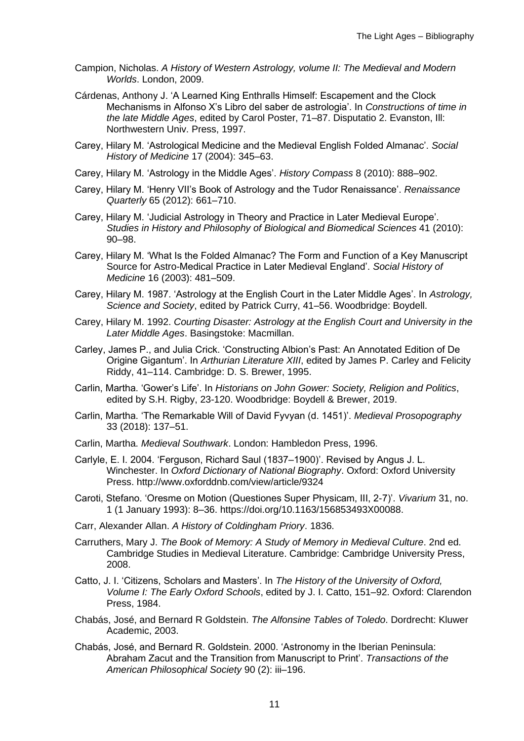- Campion, Nicholas. *A History of Western Astrology, volume II: The Medieval and Modern Worlds*. London, 2009.
- Cárdenas, Anthony J. 'A Learned King Enthralls Himself: Escapement and the Clock Mechanisms in Alfonso X's Libro del saber de astrologia'. In *Constructions of time in the late Middle Ages*, edited by Carol Poster, 71–87. Disputatio 2. Evanston, Ill: Northwestern Univ. Press, 1997.
- Carey, Hilary M. 'Astrological Medicine and the Medieval English Folded Almanac'. *Social History of Medicine* 17 (2004): 345–63.
- Carey, Hilary M. 'Astrology in the Middle Ages'. *History Compass* 8 (2010): 888–902.
- Carey, Hilary M. 'Henry VII's Book of Astrology and the Tudor Renaissance'. *Renaissance Quarterly* 65 (2012): 661–710.
- Carey, Hilary M. 'Judicial Astrology in Theory and Practice in Later Medieval Europe'. *Studies in History and Philosophy of Biological and Biomedical Sciences* 41 (2010): 90–98.
- Carey, Hilary M. 'What Is the Folded Almanac? The Form and Function of a Key Manuscript Source for Astro-Medical Practice in Later Medieval England'. *Social History of Medicine* 16 (2003): 481–509.
- Carey, Hilary M. 1987. 'Astrology at the English Court in the Later Middle Ages'. In *Astrology, Science and Society*, edited by Patrick Curry, 41–56. Woodbridge: Boydell.
- Carey, Hilary M. 1992. *Courting Disaster: Astrology at the English Court and University in the Later Middle Ages*. Basingstoke: Macmillan.
- Carley, James P., and Julia Crick. 'Constructing Albion's Past: An Annotated Edition of De Origine Gigantum'. In *Arthurian Literature XIII*, edited by James P. Carley and Felicity Riddy, 41–114. Cambridge: D. S. Brewer, 1995.
- Carlin, Martha. 'Gower's Life'. In *Historians on John Gower: Society, Religion and Politics*, edited by S.H. Rigby, 23-120. Woodbridge: Boydell & Brewer, 2019.
- Carlin, Martha. 'The Remarkable Will of David Fyvyan (d. 1451)'. *Medieval Prosopography* 33 (2018): 137–51.
- Carlin, Martha. *Medieval Southwark*. London: Hambledon Press, 1996.
- Carlyle, E. I. 2004. 'Ferguson, Richard Saul (1837–1900)'. Revised by Angus J. L. Winchester. In *Oxford Dictionary of National Biography*. Oxford: Oxford University Press. http://www.oxforddnb.com/view/article/9324
- Caroti, Stefano. 'Oresme on Motion (Questiones Super Physicam, III, 2-7)'. *Vivarium* 31, no. 1 (1 January 1993): 8–36. https://doi.org/10.1163/156853493X00088.
- Carr, Alexander Allan. *A History of Coldingham Priory*. 1836.
- Carruthers, Mary J. *The Book of Memory: A Study of Memory in Medieval Culture*. 2nd ed. Cambridge Studies in Medieval Literature. Cambridge: Cambridge University Press, 2008.
- Catto, J. I. 'Citizens, Scholars and Masters'. In *The History of the University of Oxford, Volume I: The Early Oxford Schools*, edited by J. I. Catto, 151–92. Oxford: Clarendon Press, 1984.
- Chabás, José, and Bernard R Goldstein. *The Alfonsine Tables of Toledo*. Dordrecht: Kluwer Academic, 2003.
- Chabás, José, and Bernard R. Goldstein. 2000. 'Astronomy in the Iberian Peninsula: Abraham Zacut and the Transition from Manuscript to Print'. *Transactions of the American Philosophical Society* 90 (2): iii–196.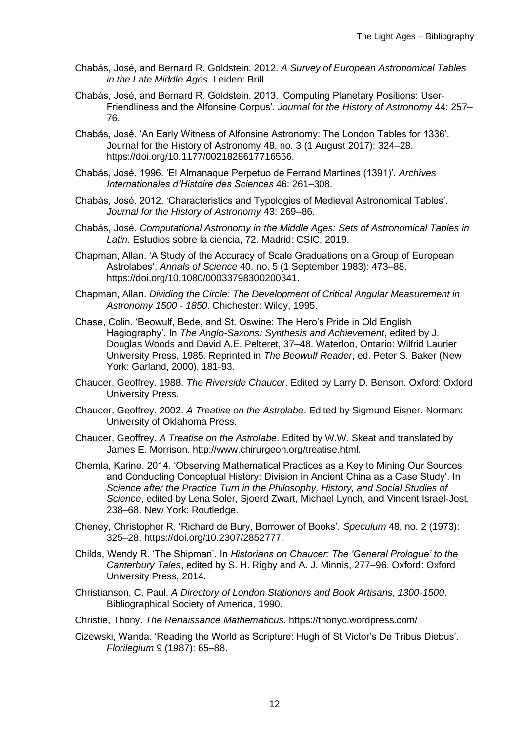- Chabás, José, and Bernard R. Goldstein. 2012. *A Survey of European Astronomical Tables in the Late Middle Ages*. Leiden: Brill.
- Chabás, José, and Bernard R. Goldstein. 2013. 'Computing Planetary Positions: User-Friendliness and the Alfonsine Corpus'. *Journal for the History of Astronomy* 44: 257– 76.
- Chabás, José. 'An Early Witness of Alfonsine Astronomy: The London Tables for 1336'. Journal for the History of Astronomy 48, no. 3 (1 August 2017): 324–28. https://doi.org/10.1177/0021828617716556.
- Chabás, José. 1996. 'El Almanaque Perpetuo de Ferrand Martines (1391)'. *Archives Internationales d'Histoire des Sciences* 46: 261–308.
- Chabás, José. 2012. 'Characteristics and Typologies of Medieval Astronomical Tables'. *Journal for the History of Astronomy* 43: 269–86.
- Chabás, José. *Computational Astronomy in the Middle Ages: Sets of Astronomical Tables in Latin*. Estudios sobre la ciencia, 72. Madrid: CSIC, 2019.
- Chapman, Allan. 'A Study of the Accuracy of Scale Graduations on a Group of European Astrolabes'. *Annals of Science* 40, no. 5 (1 September 1983): 473–88. https://doi.org/10.1080/00033798300200341.
- Chapman, Allan. *Dividing the Circle: The Development of Critical Angular Measurement in Astronomy 1500 - 1850*. Chichester: Wiley, 1995.
- Chase, Colin. 'Beowulf, Bede, and St. Oswine: The Hero's Pride in Old English Hagiography'. In *The Anglo-Saxons: Synthesis and Achievement*, edited by J. Douglas Woods and David A.E. Pelteret, 37–48. Waterloo, Ontario: Wilfrid Laurier University Press, 1985. Reprinted in *The Beowulf Reader*, ed. Peter S. Baker (New York: Garland, 2000), 181-93.
- Chaucer, Geoffrey. 1988. *The Riverside Chaucer*. Edited by Larry D. Benson. Oxford: Oxford University Press.
- Chaucer, Geoffrey. 2002. *A Treatise on the Astrolabe*. Edited by Sigmund Eisner. Norman: University of Oklahoma Press.
- Chaucer, Geoffrey. *A Treatise on the Astrolabe*. Edited by W.W. Skeat and translated by James E. Morrison. http://www.chirurgeon.org/treatise.html.
- Chemla, Karine. 2014. 'Observing Mathematical Practices as a Key to Mining Our Sources and Conducting Conceptual History: Division in Ancient China as a Case Study'. In *Science after the Practice Turn in the Philosophy, History, and Social Studies of Science*, edited by Lena Soler, Sjoerd Zwart, Michael Lynch, and Vincent Israel-Jost, 238–68. New York: Routledge.
- Cheney, Christopher R. 'Richard de Bury, Borrower of Books'. *Speculum* 48, no. 2 (1973): 325–28. https://doi.org/10.2307/2852777.
- Childs, Wendy R. 'The Shipman'. In *Historians on Chaucer: The 'General Prologue' to the Canterbury Tales*, edited by S. H. Rigby and A. J. Minnis, 277–96. Oxford: Oxford University Press, 2014.
- Christianson, C. Paul. *A Directory of London Stationers and Book Artisans, 1300-1500*. Bibliographical Society of America, 1990.
- Christie, Thony. *The Renaissance Mathematicus*. https://thonyc.wordpress.com/
- Cizewski, Wanda. 'Reading the World as Scripture: Hugh of St Victor's De Tribus Diebus'. *Florilegium* 9 (1987): 65–88.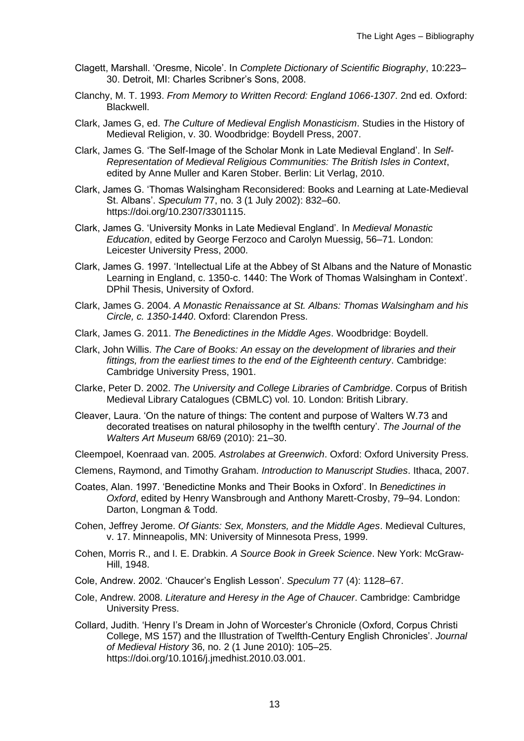- Clagett, Marshall. 'Oresme, Nicole'. In *Complete Dictionary of Scientific Biography*, 10:223– 30. Detroit, MI: Charles Scribner's Sons, 2008.
- Clanchy, M. T. 1993. *From Memory to Written Record: England 1066-1307*. 2nd ed. Oxford: Blackwell.
- Clark, James G, ed. *The Culture of Medieval English Monasticism*. Studies in the History of Medieval Religion, v. 30. Woodbridge: Boydell Press, 2007.
- Clark, James G. 'The Self-Image of the Scholar Monk in Late Medieval England'. In *Self-Representation of Medieval Religious Communities: The British Isles in Context*, edited by Anne Muller and Karen Stober. Berlin: Lit Verlag, 2010.
- Clark, James G. 'Thomas Walsingham Reconsidered: Books and Learning at Late-Medieval St. Albans'. *Speculum* 77, no. 3 (1 July 2002): 832–60. https://doi.org/10.2307/3301115.
- Clark, James G. 'University Monks in Late Medieval England'. In *Medieval Monastic Education*, edited by George Ferzoco and Carolyn Muessig, 56–71. London: Leicester University Press, 2000.
- Clark, James G. 1997. 'Intellectual Life at the Abbey of St Albans and the Nature of Monastic Learning in England, c. 1350-c. 1440: The Work of Thomas Walsingham in Context'. DPhil Thesis, University of Oxford.
- Clark, James G. 2004. *A Monastic Renaissance at St. Albans: Thomas Walsingham and his Circle, c. 1350-1440*. Oxford: Clarendon Press.
- Clark, James G. 2011. *The Benedictines in the Middle Ages*. Woodbridge: Boydell.
- Clark, John Willis. *The Care of Books: An essay on the development of libraries and their fittings, from the earliest times to the end of the Eighteenth century*. Cambridge: Cambridge University Press, 1901.
- Clarke, Peter D. 2002. *The University and College Libraries of Cambridge*. Corpus of British Medieval Library Catalogues (CBMLC) vol. 10. London: British Library.
- Cleaver, Laura. 'On the nature of things: The content and purpose of Walters W.73 and decorated treatises on natural philosophy in the twelfth century'. *The Journal of the Walters Art Museum* 68/69 (2010): 21–30.
- Cleempoel, Koenraad van. 2005. *Astrolabes at Greenwich*. Oxford: Oxford University Press.
- Clemens, Raymond, and Timothy Graham. *Introduction to Manuscript Studies*. Ithaca, 2007.
- Coates, Alan. 1997. 'Benedictine Monks and Their Books in Oxford'. In *Benedictines in Oxford*, edited by Henry Wansbrough and Anthony Marett-Crosby, 79–94. London: Darton, Longman & Todd.
- Cohen, Jeffrey Jerome. *Of Giants: Sex, Monsters, and the Middle Ages*. Medieval Cultures, v. 17. Minneapolis, MN: University of Minnesota Press, 1999.
- Cohen, Morris R., and I. E. Drabkin. *A Source Book in Greek Science*. New York: McGraw-Hill, 1948.
- Cole, Andrew. 2002. 'Chaucer's English Lesson'. *Speculum* 77 (4): 1128–67.
- Cole, Andrew. 2008. *Literature and Heresy in the Age of Chaucer*. Cambridge: Cambridge University Press.
- Collard, Judith. 'Henry I's Dream in John of Worcester's Chronicle (Oxford, Corpus Christi College, MS 157) and the Illustration of Twelfth-Century English Chronicles'. *Journal of Medieval History* 36, no. 2 (1 June 2010): 105–25. https://doi.org/10.1016/j.jmedhist.2010.03.001.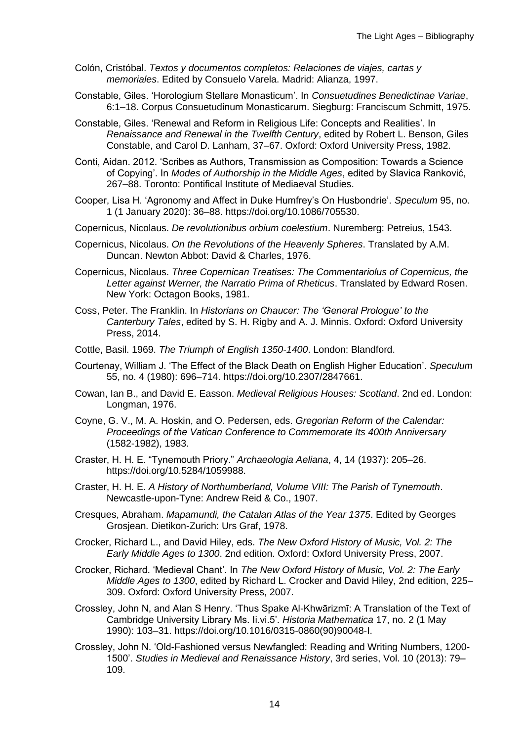- Colón, Cristóbal. *Textos y documentos completos: Relaciones de viajes, cartas y memoriales*. Edited by Consuelo Varela. Madrid: Alianza, 1997.
- Constable, Giles. 'Horologium Stellare Monasticum'. In *Consuetudines Benedictinae Variae*, 6:1–18. Corpus Consuetudinum Monasticarum. Siegburg: Franciscum Schmitt, 1975.
- Constable, Giles. 'Renewal and Reform in Religious Life: Concepts and Realities'. In *Renaissance and Renewal in the Twelfth Century*, edited by Robert L. Benson, Giles Constable, and Carol D. Lanham, 37–67. Oxford: Oxford University Press, 1982.
- Conti, Aidan. 2012. 'Scribes as Authors, Transmission as Composition: Towards a Science of Copying'. In *Modes of Authorship in the Middle Ages*, edited by Slavica Ranković, 267–88. Toronto: Pontifical Institute of Mediaeval Studies.
- Cooper, Lisa H. 'Agronomy and Affect in Duke Humfrey's On Husbondrie'. *Speculum* 95, no. 1 (1 January 2020): 36–88. https://doi.org/10.1086/705530.
- Copernicus, Nicolaus. *De revolutionibus orbium coelestium*. Nuremberg: Petreius, 1543.
- Copernicus, Nicolaus. *On the Revolutions of the Heavenly Spheres*. Translated by A.M. Duncan. Newton Abbot: David & Charles, 1976.
- Copernicus, Nicolaus. *Three Copernican Treatises: The Commentariolus of Copernicus, the Letter against Werner, the Narratio Prima of Rheticus*. Translated by Edward Rosen. New York: Octagon Books, 1981.
- Coss, Peter. The Franklin. In *Historians on Chaucer: The 'General Prologue' to the Canterbury Tales*, edited by S. H. Rigby and A. J. Minnis. Oxford: Oxford University Press, 2014.
- Cottle, Basil. 1969. *The Triumph of English 1350-1400*. London: Blandford.
- Courtenay, William J. 'The Effect of the Black Death on English Higher Education'. *Speculum* 55, no. 4 (1980): 696–714. https://doi.org/10.2307/2847661.
- Cowan, Ian B., and David E. Easson. *Medieval Religious Houses: Scotland*. 2nd ed. London: Longman, 1976.
- Coyne, G. V., M. A. Hoskin, and O. Pedersen, eds. *Gregorian Reform of the Calendar: Proceedings of the Vatican Conference to Commemorate Its 400th Anniversary* (1582-1982), 1983.
- Craster, H. H. E. "Tynemouth Priory." *Archaeologia Aeliana*, 4, 14 (1937): 205–26. https://doi.org/10.5284/1059988.
- Craster, H. H. E. *A History of Northumberland, Volume VIII: The Parish of Tynemouth*. Newcastle-upon-Tyne: Andrew Reid & Co., 1907.
- Cresques, Abraham. *Mapamundi, the Catalan Atlas of the Year 1375*. Edited by Georges Grosjean. Dietikon-Zurich: Urs Graf, 1978.
- Crocker, Richard L., and David Hiley, eds. *The New Oxford History of Music, Vol. 2: The Early Middle Ages to 1300*. 2nd edition. Oxford: Oxford University Press, 2007.
- Crocker, Richard. 'Medieval Chant'. In *The New Oxford History of Music, Vol. 2: The Early Middle Ages to 1300*, edited by Richard L. Crocker and David Hiley, 2nd edition, 225– 309. Oxford: Oxford University Press, 2007.
- Crossley, John N, and Alan S Henry. 'Thus Spake Al-Khwārizmī: A Translation of the Text of Cambridge University Library Ms. Ii.vi.5'. *Historia Mathematica* 17, no. 2 (1 May 1990): 103–31. https://doi.org/10.1016/0315-0860(90)90048-I.
- Crossley, John N. 'Old-Fashioned versus Newfangled: Reading and Writing Numbers, 1200- 1500'. *Studies in Medieval and Renaissance History*, 3rd series, Vol. 10 (2013): 79– 109.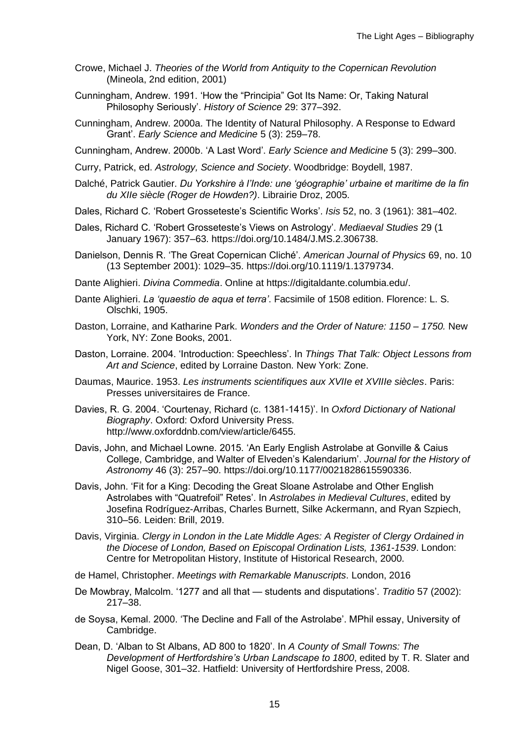- Crowe, Michael J. *Theories of the World from Antiquity to the Copernican Revolution* (Mineola, 2nd edition, 2001)
- Cunningham, Andrew. 1991. 'How the "Principia" Got Its Name: Or, Taking Natural Philosophy Seriously'. *History of Science* 29: 377–392.
- Cunningham, Andrew. 2000a. The Identity of Natural Philosophy. A Response to Edward Grant'. *Early Science and Medicine* 5 (3): 259–78.

Cunningham, Andrew. 2000b. 'A Last Word'. *Early Science and Medicine* 5 (3): 299–300.

Curry, Patrick, ed. *Astrology, Science and Society*. Woodbridge: Boydell, 1987.

- Dalché, Patrick Gautier. *Du Yorkshire à l'Inde: une 'géographie' urbaine et maritime de la fin du XIIe siècle (Roger de Howden?)*. Librairie Droz, 2005.
- Dales, Richard C. 'Robert Grosseteste's Scientific Works'. *Isis* 52, no. 3 (1961): 381–402.
- Dales, Richard C. 'Robert Grosseteste's Views on Astrology'. *Mediaeval Studies* 29 (1 January 1967): 357–63. https://doi.org/10.1484/J.MS.2.306738.
- Danielson, Dennis R. 'The Great Copernican Cliché'. *American Journal of Physics* 69, no. 10 (13 September 2001): 1029–35. https://doi.org/10.1119/1.1379734.
- Dante Alighieri. *Divina Commedia*. Online at https://digitaldante.columbia.edu/.
- Dante Alighieri. *La 'quaestio de aqua et terra'*. Facsimile of 1508 edition. Florence: L. S. Olschki, 1905.
- Daston, Lorraine, and Katharine Park. *Wonders and the Order of Nature: 1150 – 1750.* New York, NY: Zone Books, 2001.
- Daston, Lorraine. 2004. 'Introduction: Speechless'. In *Things That Talk: Object Lessons from Art and Science*, edited by Lorraine Daston. New York: Zone.
- Daumas, Maurice. 1953. *Les instruments scientifiques aux XVIIe et XVIIIe siècles*. Paris: Presses universitaires de France.
- Davies, R. G. 2004. 'Courtenay, Richard (c. 1381-1415)'. In *Oxford Dictionary of National Biography*. Oxford: Oxford University Press. http://www.oxforddnb.com/view/article/6455.
- Davis, John, and Michael Lowne. 2015. 'An Early English Astrolabe at Gonville & Caius College, Cambridge, and Walter of Elveden's Kalendarium'. *Journal for the History of Astronomy* 46 (3): 257–90. https://doi.org/10.1177/0021828615590336.
- Davis, John. 'Fit for a King: Decoding the Great Sloane Astrolabe and Other English Astrolabes with "Quatrefoil" Retes'. In *Astrolabes in Medieval Cultures*, edited by Josefina Rodríguez-Arribas, Charles Burnett, Silke Ackermann, and Ryan Szpiech, 310–56. Leiden: Brill, 2019.
- Davis, Virginia. *Clergy in London in the Late Middle Ages: A Register of Clergy Ordained in the Diocese of London, Based on Episcopal Ordination Lists, 1361-1539*. London: Centre for Metropolitan History, Institute of Historical Research, 2000.
- de Hamel, Christopher. *Meetings with Remarkable Manuscripts*. London, 2016
- De Mowbray, Malcolm. '1277 and all that students and disputations'. *Traditio* 57 (2002): 217–38.
- de Soysa, Kemal. 2000. 'The Decline and Fall of the Astrolabe'. MPhil essay, University of Cambridge.
- Dean, D. 'Alban to St Albans, AD 800 to 1820'. In *A County of Small Towns: The Development of Hertfordshire's Urban Landscape to 1800*, edited by T. R. Slater and Nigel Goose, 301–32. Hatfield: University of Hertfordshire Press, 2008.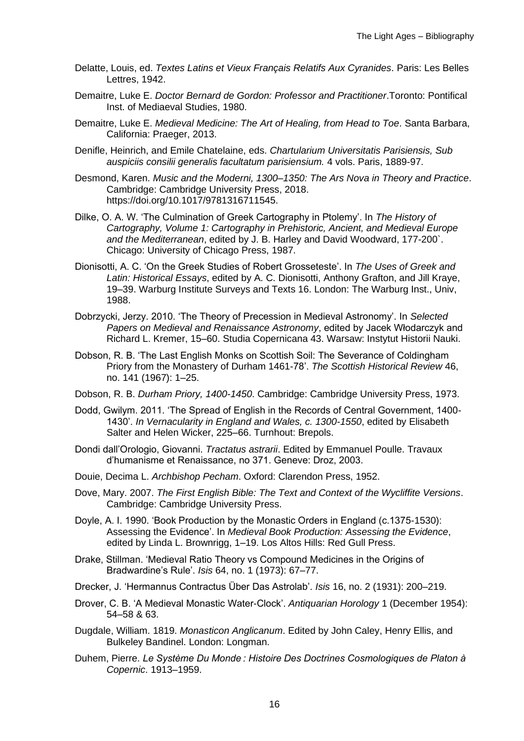- Delatte, Louis, ed. *Textes Latins et Vieux Français Relatifs Aux Cyranides*. Paris: Les Belles Lettres, 1942.
- Demaitre, Luke E. *Doctor Bernard de Gordon: Professor and Practitioner*.Toronto: Pontifical Inst. of Mediaeval Studies, 1980.
- Demaitre, Luke E. *Medieval Medicine: The Art of Healing, from Head to Toe*. Santa Barbara, California: Praeger, 2013.
- Denifle, Heinrich, and Emile Chatelaine, eds. *Chartularium Universitatis Parisiensis, Sub auspiciis consilii generalis facultatum parisiensium.* 4 vols. Paris, 1889-97.
- Desmond, Karen. *Music and the Moderni, 1300–1350: The Ars Nova in Theory and Practice*. Cambridge: Cambridge University Press, 2018. https://doi.org/10.1017/9781316711545.
- Dilke, O. A. W. 'The Culmination of Greek Cartography in Ptolemy'. In *The History of Cartography, Volume 1: Cartography in Prehistoric, Ancient, and Medieval Europe and the Mediterranean*, edited by J. B. Harley and David Woodward, 177-200`. Chicago: University of Chicago Press, 1987.
- Dionisotti, A. C. 'On the Greek Studies of Robert Grosseteste'. In *The Uses of Greek and Latin: Historical Essays*, edited by A. C. Dionisotti, Anthony Grafton, and Jill Kraye, 19–39. Warburg Institute Surveys and Texts 16. London: The Warburg Inst., Univ, 1988.
- Dobrzycki, Jerzy. 2010. 'The Theory of Precession in Medieval Astronomy'. In *Selected Papers on Medieval and Renaissance Astronomy*, edited by Jacek Włodarczyk and Richard L. Kremer, 15–60. Studia Copernicana 43. Warsaw: Instytut Historii Nauki.
- Dobson, R. B. 'The Last English Monks on Scottish Soil: The Severance of Coldingham Priory from the Monastery of Durham 1461-78'. *The Scottish Historical Review* 46, no. 141 (1967): 1–25.
- Dobson, R. B. *Durham Priory, 1400-1450*. Cambridge: Cambridge University Press, 1973.
- Dodd, Gwilym. 2011. 'The Spread of English in the Records of Central Government, 1400- 1430'. *In Vernacularity in England and Wales, c. 1300-1550*, edited by Elisabeth Salter and Helen Wicker, 225–66. Turnhout: Brepols.
- Dondi dall'Orologio, Giovanni. *Tractatus astrarii*. Edited by Emmanuel Poulle. Travaux d'humanisme et Renaissance, no 371. Geneve: Droz, 2003.
- Douie, Decima L. *Archbishop Pecham*. Oxford: Clarendon Press, 1952.
- Dove, Mary. 2007. *The First English Bible: The Text and Context of the Wycliffite Versions*. Cambridge: Cambridge University Press.
- Doyle, A. I. 1990. 'Book Production by the Monastic Orders in England (c.1375-1530): Assessing the Evidence'. In *Medieval Book Production: Assessing the Evidence*, edited by Linda L. Brownrigg, 1–19. Los Altos Hills: Red Gull Press.
- Drake, Stillman. 'Medieval Ratio Theory vs Compound Medicines in the Origins of Bradwardine's Rule'. *Isis* 64, no. 1 (1973): 67–77.
- Drecker, J. 'Hermannus Contractus Über Das Astrolab'. *Isis* 16, no. 2 (1931): 200–219.
- Drover, C. B. 'A Medieval Monastic Water-Clock'. *Antiquarian Horology* 1 (December 1954): 54–58 & 63.
- Dugdale, William. 1819. *Monasticon Anglicanum*. Edited by John Caley, Henry Ellis, and Bulkeley Bandinel. London: Longman.
- Duhem, Pierre. *Le Système Du Monde : Histoire Des Doctrines Cosmologiques de Platon à Copernic*. 1913–1959.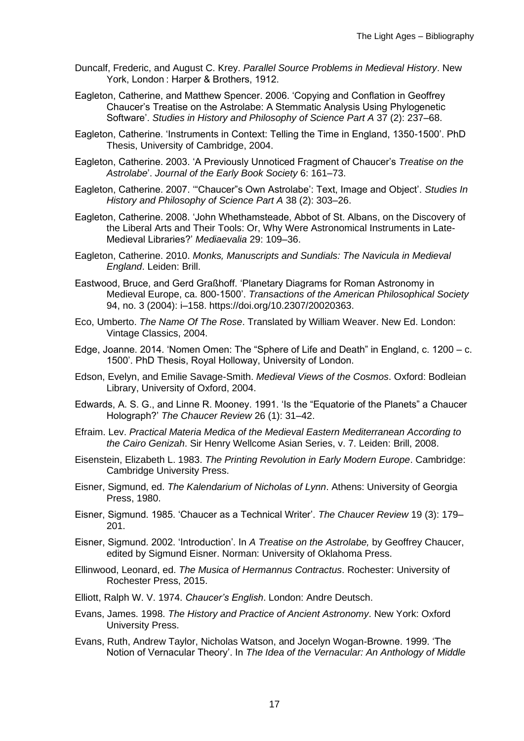- Duncalf, Frederic, and August C. Krey. *Parallel Source Problems in Medieval History*. New York, London : Harper & Brothers, 1912.
- Eagleton, Catherine, and Matthew Spencer. 2006. 'Copying and Conflation in Geoffrey Chaucer's Treatise on the Astrolabe: A Stemmatic Analysis Using Phylogenetic Software'. *Studies in History and Philosophy of Science Part A* 37 (2): 237–68.
- Eagleton, Catherine. 'Instruments in Context: Telling the Time in England, 1350-1500'. PhD Thesis, University of Cambridge, 2004.
- Eagleton, Catherine. 2003. 'A Previously Unnoticed Fragment of Chaucer's *Treatise on the Astrolabe*'. *Journal of the Early Book Society* 6: 161–73.
- Eagleton, Catherine. 2007. '"Chaucer"s Own Astrolabe': Text, Image and Object'. *Studies In History and Philosophy of Science Part A* 38 (2): 303–26.
- Eagleton, Catherine. 2008. 'John Whethamsteade, Abbot of St. Albans, on the Discovery of the Liberal Arts and Their Tools: Or, Why Were Astronomical Instruments in Late-Medieval Libraries?' *Mediaevalia* 29: 109–36.
- Eagleton, Catherine. 2010. *Monks, Manuscripts and Sundials: The Navicula in Medieval England*. Leiden: Brill.
- Eastwood, Bruce, and Gerd Graßhoff. 'Planetary Diagrams for Roman Astronomy in Medieval Europe, ca. 800-1500'. *Transactions of the American Philosophical Society* 94, no. 3 (2004): i–158. https://doi.org/10.2307/20020363.
- Eco, Umberto. *The Name Of The Rose*. Translated by William Weaver. New Ed. London: Vintage Classics, 2004.
- Edge, Joanne. 2014. 'Nomen Omen: The "Sphere of Life and Death" in England, c. 1200 c. 1500'. PhD Thesis, Royal Holloway, University of London.
- Edson, Evelyn, and Emilie Savage-Smith. *Medieval Views of the Cosmos*. Oxford: Bodleian Library, University of Oxford, 2004.
- Edwards, A. S. G., and Linne R. Mooney. 1991. 'Is the "Equatorie of the Planets" a Chaucer Holograph?' *The Chaucer Review* 26 (1): 31–42.
- Efraim. Lev. *Practical Materia Medica of the Medieval Eastern Mediterranean According to the Cairo Genizah*. Sir Henry Wellcome Asian Series, v. 7. Leiden: Brill, 2008.
- Eisenstein, Elizabeth L. 1983. *The Printing Revolution in Early Modern Europe*. Cambridge: Cambridge University Press.
- Eisner, Sigmund, ed. *The Kalendarium of Nicholas of Lynn*. Athens: University of Georgia Press, 1980.
- Eisner, Sigmund. 1985. 'Chaucer as a Technical Writer'. *The Chaucer Review* 19 (3): 179– 201.
- Eisner, Sigmund. 2002. 'Introduction'. In *A Treatise on the Astrolabe,* by Geoffrey Chaucer, edited by Sigmund Eisner. Norman: University of Oklahoma Press.
- Ellinwood, Leonard, ed. *The Musica of Hermannus Contractus*. Rochester: University of Rochester Press, 2015.
- Elliott, Ralph W. V. 1974. *Chaucer's English*. London: Andre Deutsch.
- Evans, James. 1998. *The History and Practice of Ancient Astronomy*. New York: Oxford University Press.
- Evans, Ruth, Andrew Taylor, Nicholas Watson, and Jocelyn Wogan-Browne. 1999. 'The Notion of Vernacular Theory'. In *The Idea of the Vernacular: An Anthology of Middle*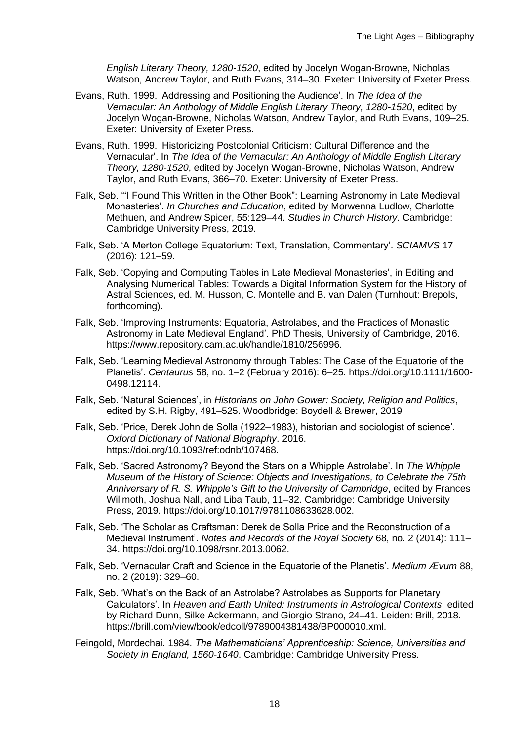*English Literary Theory, 1280-1520*, edited by Jocelyn Wogan-Browne, Nicholas Watson, Andrew Taylor, and Ruth Evans, 314–30. Exeter: University of Exeter Press.

- Evans, Ruth. 1999. 'Addressing and Positioning the Audience'. In *The Idea of the Vernacular: An Anthology of Middle English Literary Theory, 1280-1520*, edited by Jocelyn Wogan-Browne, Nicholas Watson, Andrew Taylor, and Ruth Evans, 109–25. Exeter: University of Exeter Press.
- Evans, Ruth. 1999. 'Historicizing Postcolonial Criticism: Cultural Difference and the Vernacular'. In *The Idea of the Vernacular: An Anthology of Middle English Literary Theory, 1280-1520*, edited by Jocelyn Wogan-Browne, Nicholas Watson, Andrew Taylor, and Ruth Evans, 366–70. Exeter: University of Exeter Press.
- Falk, Seb. '"I Found This Written in the Other Book": Learning Astronomy in Late Medieval Monasteries'. *In Churches and Education*, edited by Morwenna Ludlow, Charlotte Methuen, and Andrew Spicer, 55:129–44. *Studies in Church History*. Cambridge: Cambridge University Press, 2019.
- Falk, Seb. 'A Merton College Equatorium: Text, Translation, Commentary'. *SCIAMVS* 17 (2016): 121–59.
- Falk, Seb. 'Copying and Computing Tables in Late Medieval Monasteries', in Editing and Analysing Numerical Tables: Towards a Digital Information System for the History of Astral Sciences, ed. M. Husson, C. Montelle and B. van Dalen (Turnhout: Brepols, forthcoming).
- Falk, Seb. 'Improving Instruments: Equatoria, Astrolabes, and the Practices of Monastic Astronomy in Late Medieval England'. PhD Thesis, University of Cambridge, 2016. https://www.repository.cam.ac.uk/handle/1810/256996.
- Falk, Seb. 'Learning Medieval Astronomy through Tables: The Case of the Equatorie of the Planetis'. *Centaurus* 58, no. 1–2 (February 2016): 6–25. https://doi.org/10.1111/1600- 0498.12114.
- Falk, Seb. 'Natural Sciences', in *Historians on John Gower: Society, Religion and Politics*, edited by S.H. Rigby, 491–525. Woodbridge: Boydell & Brewer, 2019
- Falk, Seb. 'Price, Derek John de Solla (1922–1983), historian and sociologist of science'. *Oxford Dictionary of National Biography*. 2016. https://doi.org/10.1093/ref:odnb/107468.
- Falk, Seb. 'Sacred Astronomy? Beyond the Stars on a Whipple Astrolabe'. In *The Whipple Museum of the History of Science: Objects and Investigations, to Celebrate the 75th Anniversary of R. S. Whipple's Gift to the University of Cambridge*, edited by Frances Willmoth, Joshua Nall, and Liba Taub, 11–32. Cambridge: Cambridge University Press, 2019. https://doi.org/10.1017/9781108633628.002.
- Falk, Seb. 'The Scholar as Craftsman: Derek de Solla Price and the Reconstruction of a Medieval Instrument'. *Notes and Records of the Royal Society* 68, no. 2 (2014): 111– 34. https://doi.org/10.1098/rsnr.2013.0062.
- Falk, Seb. 'Vernacular Craft and Science in the Equatorie of the Planetis'. *Medium Ævum* 88, no. 2 (2019): 329–60.
- Falk, Seb. 'What's on the Back of an Astrolabe? Astrolabes as Supports for Planetary Calculators'. In *Heaven and Earth United: Instruments in Astrological Contexts*, edited by Richard Dunn, Silke Ackermann, and Giorgio Strano, 24–41. Leiden: Brill, 2018. https://brill.com/view/book/edcoll/9789004381438/BP000010.xml.
- Feingold, Mordechai. 1984. *The Mathematicians' Apprenticeship: Science, Universities and Society in England, 1560-1640*. Cambridge: Cambridge University Press.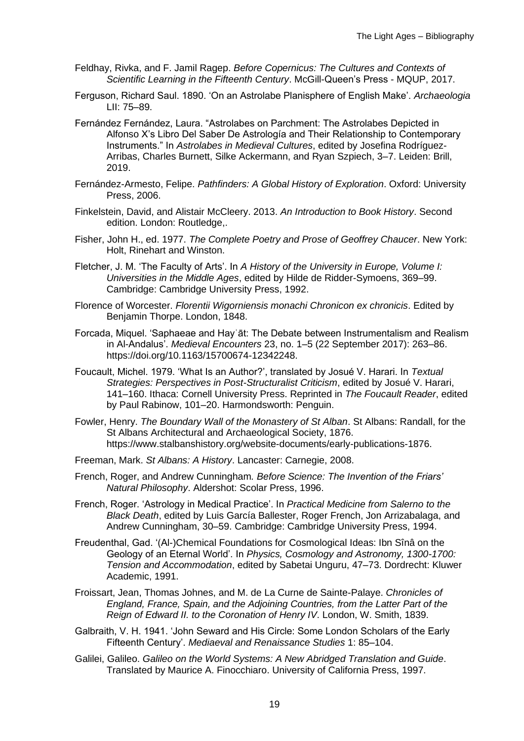- Feldhay, Rivka, and F. Jamil Ragep. *Before Copernicus: The Cultures and Contexts of Scientific Learning in the Fifteenth Century*. McGill-Queen's Press - MQUP, 2017.
- Ferguson, Richard Saul. 1890. 'On an Astrolabe Planisphere of English Make'. *Archaeologia* LII: 75–89.
- Fernández Fernández, Laura. "Astrolabes on Parchment: The Astrolabes Depicted in Alfonso X's Libro Del Saber De Astrología and Their Relationship to Contemporary Instruments." In *Astrolabes in Medieval Cultures*, edited by Josefina Rodríguez-Arribas, Charles Burnett, Silke Ackermann, and Ryan Szpiech, 3–7. Leiden: Brill, 2019.
- Fernández-Armesto, Felipe. *Pathfinders: A Global History of Exploration*. Oxford: University Press, 2006.
- Finkelstein, David, and Alistair McCleery. 2013. *An Introduction to Book History*. Second edition. London: Routledge,.
- Fisher, John H., ed. 1977. *The Complete Poetry and Prose of Geoffrey Chaucer*. New York: Holt, Rinehart and Winston.
- Fletcher, J. M. 'The Faculty of Arts'. In *A History of the University in Europe, Volume I: Universities in the Middle Ages*, edited by Hilde de Ridder-Symoens, 369–99. Cambridge: Cambridge University Press, 1992.
- Florence of Worcester. *Florentii Wigorniensis monachi Chronicon ex chronicis*. Edited by Benjamin Thorpe. London, 1848.
- Forcada, Miquel. 'Saphaeae and Hayʾāt: The Debate between Instrumentalism and Realism in Al-Andalus'. *Medieval Encounters* 23, no. 1–5 (22 September 2017): 263–86. https://doi.org/10.1163/15700674-12342248.
- Foucault, Michel. 1979. 'What Is an Author?', translated by Josué V. Harari. In *Textual Strategies: Perspectives in Post-Structuralist Criticism*, edited by Josué V. Harari, 141–160. Ithaca: Cornell University Press. Reprinted in *The Foucault Reader*, edited by Paul Rabinow, 101–20. Harmondsworth: Penguin.
- Fowler, Henry. *The Boundary Wall of the Monastery of St Alban*. St Albans: Randall, for the St Albans Architectural and Archaeological Society, 1876. https://www.stalbanshistory.org/website-documents/early-publications-1876.
- Freeman, Mark. *St Albans: A History*. Lancaster: Carnegie, 2008.
- French, Roger, and Andrew Cunningham*. Before Science: The Invention of the Friars' Natural Philosophy*. Aldershot: Scolar Press, 1996.
- French, Roger. 'Astrology in Medical Practice'. In *Practical Medicine from Salerno to the Black Death*, edited by Luis García Ballester, Roger French, Jon Arrizabalaga, and Andrew Cunningham, 30–59. Cambridge: Cambridge University Press, 1994.
- Freudenthal, Gad. '(Al-)Chemical Foundations for Cosmological Ideas: Ibn Sînâ on the Geology of an Eternal World'. In *Physics, Cosmology and Astronomy, 1300-1700: Tension and Accommodation*, edited by Sabetai Unguru, 47–73. Dordrecht: Kluwer Academic, 1991.
- Froissart, Jean, Thomas Johnes, and M. de La Curne de Sainte-Palaye. *Chronicles of England, France, Spain, and the Adjoining Countries, from the Latter Part of the Reign of Edward II. to the Coronation of Henry IV*. London, W. Smith, 1839.
- Galbraith, V. H. 1941. 'John Seward and His Circle: Some London Scholars of the Early Fifteenth Century'. *Mediaeval and Renaissance Studies* 1: 85–104.
- Galilei, Galileo. *Galileo on the World Systems: A New Abridged Translation and Guide*. Translated by Maurice A. Finocchiaro. University of California Press, 1997.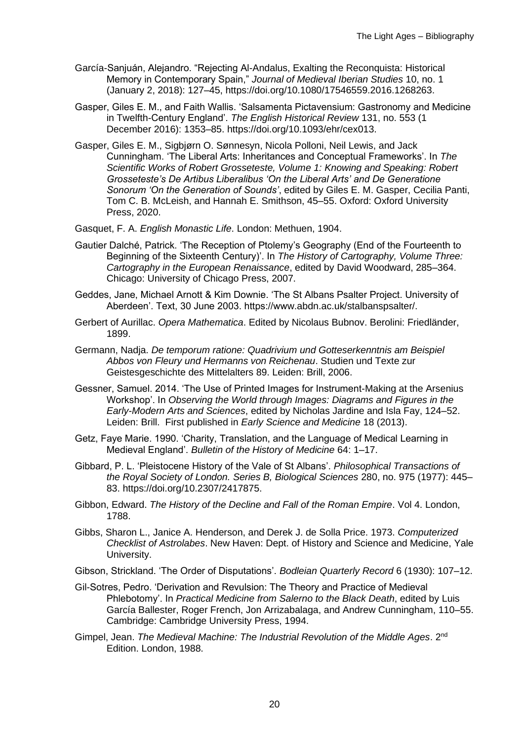- García-Sanjuán, Alejandro. "Rejecting Al-Andalus, Exalting the Reconquista: Historical Memory in Contemporary Spain," *Journal of Medieval Iberian Studies* 10, no. 1 (January 2, 2018): 127–45, https://doi.org/10.1080/17546559.2016.1268263.
- Gasper, Giles E. M., and Faith Wallis. 'Salsamenta Pictavensium: Gastronomy and Medicine in Twelfth-Century England'. *The English Historical Review* 131, no. 553 (1 December 2016): 1353–85. https://doi.org/10.1093/ehr/cex013.
- Gasper, Giles E. M., Sigbjørn O. Sønnesyn, Nicola Polloni, Neil Lewis, and Jack Cunningham. 'The Liberal Arts: Inheritances and Conceptual Frameworks'. In *The Scientific Works of Robert Grosseteste, Volume 1: Knowing and Speaking: Robert Grosseteste's De Artibus Liberalibus 'On the Liberal Arts' and De Generatione Sonorum 'On the Generation of Sounds'*, edited by Giles E. M. Gasper, Cecilia Panti, Tom C. B. McLeish, and Hannah E. Smithson, 45–55. Oxford: Oxford University Press, 2020.
- Gasquet, F. A. *English Monastic Life*. London: Methuen, 1904.
- Gautier Dalché, Patrick. 'The Reception of Ptolemy's Geography (End of the Fourteenth to Beginning of the Sixteenth Century)'. In *The History of Cartography, Volume Three: Cartography in the European Renaissance*, edited by David Woodward, 285–364. Chicago: University of Chicago Press, 2007.
- Geddes, Jane, Michael Arnott & Kim Downie. 'The St Albans Psalter Project. University of Aberdeen'. Text, 30 June 2003. https://www.abdn.ac.uk/stalbanspsalter/.
- Gerbert of Aurillac. *Opera Mathematica*. Edited by Nicolaus Bubnov. Berolini: Friedländer, 1899.
- Germann, Nadja. *De temporum ratione: Quadrivium und Gotteserkenntnis am Beispiel Abbos von Fleury und Hermanns von Reichenau*. Studien und Texte zur Geistesgeschichte des Mittelalters 89. Leiden: Brill, 2006.
- Gessner, Samuel. 2014. 'The Use of Printed Images for Instrument-Making at the Arsenius Workshop'. In *Observing the World through Images: Diagrams and Figures in the Early-Modern Arts and Sciences*, edited by Nicholas Jardine and Isla Fay, 124–52. Leiden: Brill. First published in *Early Science and Medicine* 18 (2013).
- Getz, Faye Marie. 1990. 'Charity, Translation, and the Language of Medical Learning in Medieval England'. *Bulletin of the History of Medicine* 64: 1–17.
- Gibbard, P. L. 'Pleistocene History of the Vale of St Albans'. *Philosophical Transactions of the Royal Society of London. Series B, Biological Sciences* 280, no. 975 (1977): 445– 83. https://doi.org/10.2307/2417875.
- Gibbon, Edward. *The History of the Decline and Fall of the Roman Empire*. Vol 4. London, 1788.
- Gibbs, Sharon L., Janice A. Henderson, and Derek J. de Solla Price. 1973. *Computerized Checklist of Astrolabes*. New Haven: Dept. of History and Science and Medicine, Yale University.
- Gibson, Strickland. 'The Order of Disputations'. *Bodleian Quarterly Record* 6 (1930): 107–12.
- Gil-Sotres, Pedro. 'Derivation and Revulsion: The Theory and Practice of Medieval Phlebotomy'. In *Practical Medicine from Salerno to the Black Death*, edited by Luis García Ballester, Roger French, Jon Arrizabalaga, and Andrew Cunningham, 110–55. Cambridge: Cambridge University Press, 1994.
- Gimpel, Jean. *The Medieval Machine: The Industrial Revolution of the Middle Ages*. 2nd Edition. London, 1988.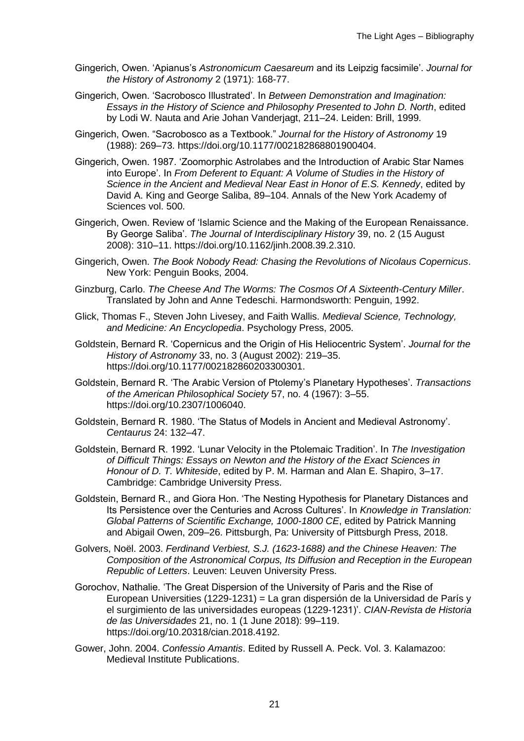- Gingerich, Owen. 'Apianus's *Astronomicum Caesareum* and its Leipzig facsimile'. *Journal for the History of Astronomy* 2 (1971): 168-77.
- Gingerich, Owen. 'Sacrobosco Illustrated'. In *Between Demonstration and Imagination: Essays in the History of Science and Philosophy Presented to John D. North*, edited by Lodi W. Nauta and Arie Johan Vanderjagt, 211–24. Leiden: Brill, 1999.
- Gingerich, Owen. "Sacrobosco as a Textbook." *Journal for the History of Astronomy* 19 (1988): 269–73. https://doi.org/10.1177/002182868801900404.
- Gingerich, Owen. 1987. 'Zoomorphic Astrolabes and the Introduction of Arabic Star Names into Europe'. In *From Deferent to Equant: A Volume of Studies in the History of Science in the Ancient and Medieval Near East in Honor of E.S. Kennedy*, edited by David A. King and George Saliba, 89–104. Annals of the New York Academy of Sciences vol. 500.
- Gingerich, Owen. Review of 'Islamic Science and the Making of the European Renaissance. By George Saliba'. *The Journal of Interdisciplinary History* 39, no. 2 (15 August 2008): 310–11. https://doi.org/10.1162/jinh.2008.39.2.310.
- Gingerich, Owen. *The Book Nobody Read: Chasing the Revolutions of Nicolaus Copernicus*. New York: Penguin Books, 2004.
- Ginzburg, Carlo. *The Cheese And The Worms: The Cosmos Of A Sixteenth-Century Miller*. Translated by John and Anne Tedeschi. Harmondsworth: Penguin, 1992.
- Glick, Thomas F., Steven John Livesey, and Faith Wallis. *Medieval Science, Technology, and Medicine: An Encyclopedia*. Psychology Press, 2005.
- Goldstein, Bernard R. 'Copernicus and the Origin of His Heliocentric System'. *Journal for the History of Astronomy* 33, no. 3 (August 2002): 219–35. https://doi.org/10.1177/002182860203300301.
- Goldstein, Bernard R. 'The Arabic Version of Ptolemy's Planetary Hypotheses'. *Transactions of the American Philosophical Society* 57, no. 4 (1967): 3–55. https://doi.org/10.2307/1006040.
- Goldstein, Bernard R. 1980. 'The Status of Models in Ancient and Medieval Astronomy'. *Centaurus* 24: 132–47.
- Goldstein, Bernard R. 1992. 'Lunar Velocity in the Ptolemaic Tradition'. In *The Investigation of Difficult Things: Essays on Newton and the History of the Exact Sciences in Honour of D. T. Whiteside*, edited by P. M. Harman and Alan E. Shapiro, 3–17. Cambridge: Cambridge University Press.
- Goldstein, Bernard R., and Giora Hon. 'The Nesting Hypothesis for Planetary Distances and Its Persistence over the Centuries and Across Cultures'. In *Knowledge in Translation: Global Patterns of Scientific Exchange, 1000-1800 CE*, edited by Patrick Manning and Abigail Owen, 209–26. Pittsburgh, Pa: University of Pittsburgh Press, 2018.
- Golvers, Noël. 2003. *Ferdinand Verbiest, S.J. (1623-1688) and the Chinese Heaven: The Composition of the Astronomical Corpus, Its Diffusion and Reception in the European Republic of Letters*. Leuven: Leuven University Press.
- Gorochov, Nathalie. 'The Great Dispersion of the University of Paris and the Rise of European Universities (1229-1231) = La gran dispersión de la Universidad de París y el surgimiento de las universidades europeas (1229-1231)'. *CIAN-Revista de Historia de las Universidades* 21, no. 1 (1 June 2018): 99–119. https://doi.org/10.20318/cian.2018.4192.
- Gower, John. 2004. *Confessio Amantis*. Edited by Russell A. Peck. Vol. 3. Kalamazoo: Medieval Institute Publications.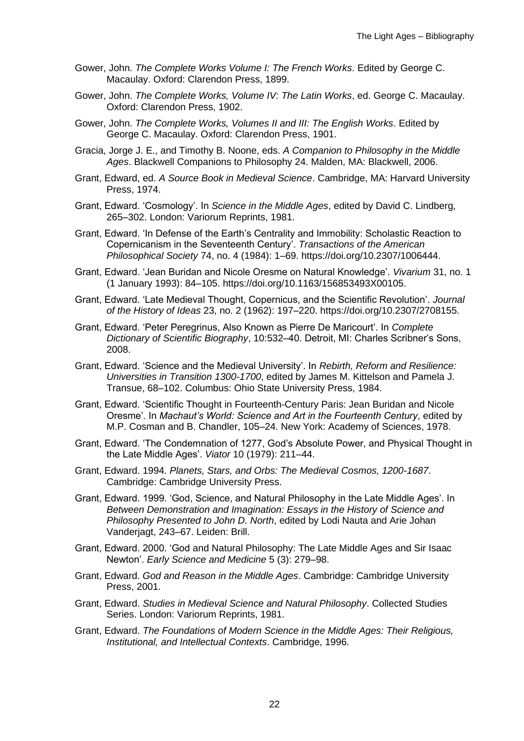- Gower, John. *The Complete Works Volume I: The French Works*. Edited by George C. Macaulay. Oxford: Clarendon Press, 1899.
- Gower, John. *The Complete Works, Volume IV: The Latin Works*, ed. George C. Macaulay. Oxford: Clarendon Press, 1902.
- Gower, John. *The Complete Works, Volumes II and III: The English Works*. Edited by George C. Macaulay. Oxford: Clarendon Press, 1901.
- Gracia, Jorge J. E., and Timothy B. Noone, eds. *A Companion to Philosophy in the Middle Ages*. Blackwell Companions to Philosophy 24. Malden, MA: Blackwell, 2006.
- Grant, Edward, ed. *A Source Book in Medieval Science*. Cambridge, MA: Harvard University Press, 1974.
- Grant, Edward. 'Cosmology'. In *Science in the Middle Ages*, edited by David C. Lindberg, 265–302. London: Variorum Reprints, 1981.
- Grant, Edward. 'In Defense of the Earth's Centrality and Immobility: Scholastic Reaction to Copernicanism in the Seventeenth Century'. *Transactions of the American Philosophical Society* 74, no. 4 (1984): 1–69. https://doi.org/10.2307/1006444.
- Grant, Edward. 'Jean Buridan and Nicole Oresme on Natural Knowledge'. *Vivarium* 31, no. 1 (1 January 1993): 84–105. https://doi.org/10.1163/156853493X00105.
- Grant, Edward. 'Late Medieval Thought, Copernicus, and the Scientific Revolution'. *Journal of the History of Ideas* 23, no. 2 (1962): 197–220. https://doi.org/10.2307/2708155.
- Grant, Edward. 'Peter Peregrinus, Also Known as Pierre De Maricourt'. In *Complete Dictionary of Scientific Biography*, 10:532–40. Detroit, MI: Charles Scribner's Sons, 2008.
- Grant, Edward. 'Science and the Medieval University'. In *Rebirth, Reform and Resilience: Universities in Transition 1300-1700*, edited by James M. Kittelson and Pamela J. Transue, 68–102. Columbus: Ohio State University Press, 1984.
- Grant, Edward. 'Scientific Thought in Fourteenth-Century Paris: Jean Buridan and Nicole Oresme'. In *Machaut's World: Science and Art in the Fourteenth Century*, edited by M.P. Cosman and B. Chandler, 105–24. New York: Academy of Sciences, 1978.
- Grant, Edward. 'The Condemnation of 1277, God's Absolute Power, and Physical Thought in the Late Middle Ages'. *Viator* 10 (1979): 211–44.
- Grant, Edward. 1994. *Planets, Stars, and Orbs: The Medieval Cosmos, 1200-1687*. Cambridge: Cambridge University Press.
- Grant, Edward. 1999. 'God, Science, and Natural Philosophy in the Late Middle Ages'. In *Between Demonstration and Imagination: Essays in the History of Science and Philosophy Presented to John D. North*, edited by Lodi Nauta and Arie Johan Vanderjagt, 243–67. Leiden: Brill.
- Grant, Edward. 2000. 'God and Natural Philosophy: The Late Middle Ages and Sir Isaac Newton'. *Early Science and Medicine* 5 (3): 279–98.
- Grant, Edward. *God and Reason in the Middle Ages*. Cambridge: Cambridge University Press, 2001.
- Grant, Edward. *Studies in Medieval Science and Natural Philosophy*. Collected Studies Series. London: Variorum Reprints, 1981.
- Grant, Edward. *The Foundations of Modern Science in the Middle Ages: Their Religious, Institutional, and Intellectual Contexts*. Cambridge, 1996.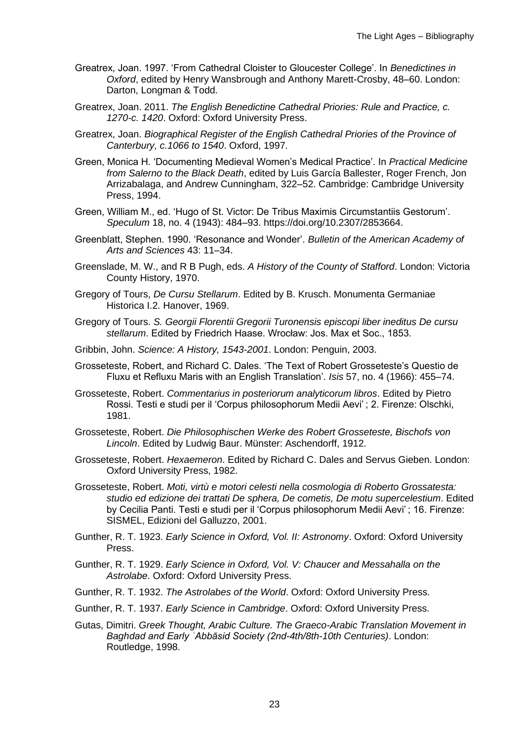- Greatrex, Joan. 1997. 'From Cathedral Cloister to Gloucester College'. In *Benedictines in Oxford*, edited by Henry Wansbrough and Anthony Marett-Crosby, 48–60. London: Darton, Longman & Todd.
- Greatrex, Joan. 2011. *The English Benedictine Cathedral Priories: Rule and Practice, c. 1270-c. 1420*. Oxford: Oxford University Press.
- Greatrex, Joan. *Biographical Register of the English Cathedral Priories of the Province of Canterbury, c.1066 to 1540*. Oxford, 1997.
- Green, Monica H. 'Documenting Medieval Women's Medical Practice'. In *Practical Medicine from Salerno to the Black Death*, edited by Luis García Ballester, Roger French, Jon Arrizabalaga, and Andrew Cunningham, 322–52. Cambridge: Cambridge University Press, 1994.
- Green, William M., ed. 'Hugo of St. Victor: De Tribus Maximis Circumstantiis Gestorum'. *Speculum* 18, no. 4 (1943): 484–93. https://doi.org/10.2307/2853664.
- Greenblatt, Stephen. 1990. 'Resonance and Wonder'. *Bulletin of the American Academy of Arts and Sciences* 43: 11–34.
- Greenslade, M. W., and R B Pugh, eds. *A History of the County of Stafford*. London: Victoria County History, 1970.
- Gregory of Tours, *De Cursu Stellarum*. Edited by B. Krusch. Monumenta Germaniae Historica I.2. Hanover, 1969.
- Gregory of Tours. *S. Georgii Florentii Gregorii Turonensis episcopi liber ineditus De cursu stellarum*. Edited by Friedrich Haase. Wrocław: Jos. Max et Soc., 1853.
- Gribbin, John. *Science: A History, 1543-2001*. London: Penguin, 2003.
- Grosseteste, Robert, and Richard C. Dales. 'The Text of Robert Grosseteste's Questio de Fluxu et Refluxu Maris with an English Translation'. *Isis* 57, no. 4 (1966): 455–74.
- Grosseteste, Robert. *Commentarius in posteriorum analyticorum libros*. Edited by Pietro Rossi. Testi e studi per il 'Corpus philosophorum Medii Aevi' ; 2. Firenze: Olschki, 1981.
- Grosseteste, Robert. *Die Philosophischen Werke des Robert Grosseteste, Bischofs von Lincoln*. Edited by Ludwig Baur. Münster: Aschendorff, 1912.
- Grosseteste, Robert. *Hexaemeron*. Edited by Richard C. Dales and Servus Gieben. London: Oxford University Press, 1982.
- Grosseteste, Robert. *Moti, virtù e motori celesti nella cosmologia di Roberto Grossatesta: studio ed edizione dei trattati De sphera, De cometis, De motu supercelestium*. Edited by Cecilia Panti. Testi e studi per il 'Corpus philosophorum Medii Aevi' ; 16. Firenze: SISMEL, Edizioni del Galluzzo, 2001.
- Gunther, R. T. 1923. *Early Science in Oxford, Vol. II: Astronomy*. Oxford: Oxford University Press.
- Gunther, R. T. 1929. *Early Science in Oxford, Vol. V: Chaucer and Messahalla on the Astrolabe*. Oxford: Oxford University Press.
- Gunther, R. T. 1932. *The Astrolabes of the World*. Oxford: Oxford University Press.
- Gunther, R. T. 1937. *Early Science in Cambridge*. Oxford: Oxford University Press.
- Gutas, Dimitri. *Greek Thought, Arabic Culture. The Graeco-Arabic Translation Movement in Baghdad and Early ʿAbbāsid Society (2nd-4th/8th-10th Centuries)*. London: Routledge, 1998.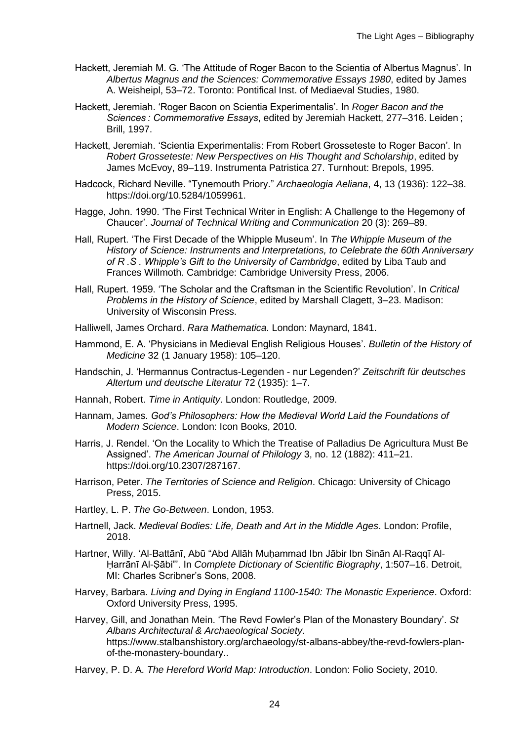- Hackett, Jeremiah M. G. 'The Attitude of Roger Bacon to the Scientia of Albertus Magnus'. In *Albertus Magnus and the Sciences: Commemorative Essays 1980*, edited by James A. Weisheipl, 53–72. Toronto: Pontifical Inst. of Mediaeval Studies, 1980.
- Hackett, Jeremiah. 'Roger Bacon on Scientia Experimentalis'. In *Roger Bacon and the Sciences : Commemorative Essays*, edited by Jeremiah Hackett, 277–316. Leiden ; Brill, 1997.
- Hackett, Jeremiah. 'Scientia Experimentalis: From Robert Grosseteste to Roger Bacon'. In *Robert Grosseteste: New Perspectives on His Thought and Scholarship*, edited by James McEvoy, 89–119. Instrumenta Patristica 27. Turnhout: Brepols, 1995.
- Hadcock, Richard Neville. "Tynemouth Priory." *Archaeologia Aeliana*, 4, 13 (1936): 122–38. https://doi.org/10.5284/1059961.
- Hagge, John. 1990. 'The First Technical Writer in English: A Challenge to the Hegemony of Chaucer'. *Journal of Technical Writing and Communication* 20 (3): 269–89.
- Hall, Rupert. 'The First Decade of the Whipple Museum'. In *The Whipple Museum of the History of Science: Instruments and Interpretations, to Celebrate the 60th Anniversary of R .S . Whipple's Gift to the University of Cambridge*, edited by Liba Taub and Frances Willmoth. Cambridge: Cambridge University Press, 2006.
- Hall, Rupert. 1959. 'The Scholar and the Craftsman in the Scientific Revolution'. In *Critical Problems in the History of Science*, edited by Marshall Clagett, 3–23. Madison: University of Wisconsin Press.
- Halliwell, James Orchard. *Rara Mathematica*. London: Maynard, 1841.
- Hammond, E. A. 'Physicians in Medieval English Religious Houses'. *Bulletin of the History of Medicine* 32 (1 January 1958): 105–120.
- Handschin, J. 'Hermannus Contractus-Legenden nur Legenden?' *Zeitschrift für deutsches Altertum und deutsche Literatur* 72 (1935): 1–7.
- Hannah, Robert. *Time in Antiquity*. London: Routledge, 2009.
- Hannam, James. *God's Philosophers: How the Medieval World Laid the Foundations of Modern Science*. London: Icon Books, 2010.
- Harris, J. Rendel. 'On the Locality to Which the Treatise of Palladius De Agricultura Must Be Assigned'. *The American Journal of Philology* 3, no. 12 (1882): 411–21. https://doi.org/10.2307/287167.
- Harrison, Peter. *The Territories of Science and Religion*. Chicago: University of Chicago Press, 2015.
- Hartley, L. P. *The Go-Between*. London, 1953.
- Hartnell, Jack. *Medieval Bodies: Life, Death and Art in the Middle Ages*. London: Profile, 2018.
- Hartner, Willy. 'Al-Battānī, Abū "Abd Allāh Muḥammad Ibn Jābir Ibn Sinān Al-Raqqī Al-Ḥarrānī Al-Ṣābi"'. In *Complete Dictionary of Scientific Biography*, 1:507–16. Detroit, MI: Charles Scribner's Sons, 2008.
- Harvey, Barbara. *Living and Dying in England 1100-1540: The Monastic Experience*. Oxford: Oxford University Press, 1995.
- Harvey, Gill, and Jonathan Mein. 'The Revd Fowler's Plan of the Monastery Boundary'. *St Albans Architectural & Archaeological Society*. https://www.stalbanshistory.org/archaeology/st-albans-abbey/the-revd-fowlers-planof-the-monastery-boundary..
- Harvey, P. D. A. *The Hereford World Map: Introduction*. London: Folio Society, 2010.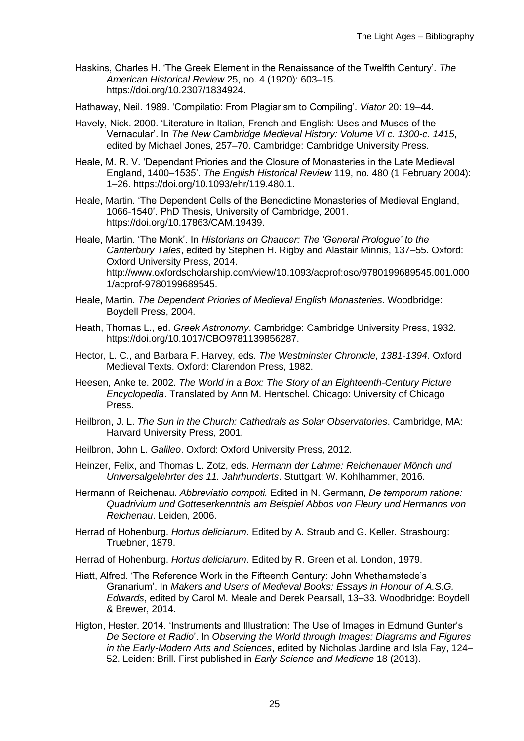Haskins, Charles H. 'The Greek Element in the Renaissance of the Twelfth Century'. *The American Historical Review* 25, no. 4 (1920): 603–15. https://doi.org/10.2307/1834924.

Hathaway, Neil. 1989. 'Compilatio: From Plagiarism to Compiling'. *Viator* 20: 19–44.

- Havely, Nick. 2000. 'Literature in Italian, French and English: Uses and Muses of the Vernacular'. In *The New Cambridge Medieval History: Volume VI c. 1300-c. 1415*, edited by Michael Jones, 257–70. Cambridge: Cambridge University Press.
- Heale, M. R. V. 'Dependant Priories and the Closure of Monasteries in the Late Medieval England, 1400–1535'. *The English Historical Review* 119, no. 480 (1 February 2004): 1–26. https://doi.org/10.1093/ehr/119.480.1.
- Heale, Martin. 'The Dependent Cells of the Benedictine Monasteries of Medieval England, 1066-1540'. PhD Thesis, University of Cambridge, 2001. https://doi.org/10.17863/CAM.19439.
- Heale, Martin. 'The Monk'. In *Historians on Chaucer: The 'General Prologue' to the Canterbury Tales*, edited by Stephen H. Rigby and Alastair Minnis, 137–55. Oxford: Oxford University Press, 2014. http://www.oxfordscholarship.com/view/10.1093/acprof:oso/9780199689545.001.000 1/acprof-9780199689545.
- Heale, Martin. *The Dependent Priories of Medieval English Monasteries*. Woodbridge: Boydell Press, 2004.
- Heath, Thomas L., ed. *Greek Astronomy*. Cambridge: Cambridge University Press, 1932. https://doi.org/10.1017/CBO9781139856287.
- Hector, L. C., and Barbara F. Harvey, eds. *The Westminster Chronicle, 1381-1394*. Oxford Medieval Texts. Oxford: Clarendon Press, 1982.
- Heesen, Anke te. 2002. *The World in a Box: The Story of an Eighteenth-Century Picture Encyclopedia*. Translated by Ann M. Hentschel. Chicago: University of Chicago Press.
- Heilbron, J. L. *The Sun in the Church: Cathedrals as Solar Observatories*. Cambridge, MA: Harvard University Press, 2001.
- Heilbron, John L. *Galileo*. Oxford: Oxford University Press, 2012.
- Heinzer, Felix, and Thomas L. Zotz, eds. *Hermann der Lahme: Reichenauer Mönch und Universalgelehrter des 11. Jahrhunderts*. Stuttgart: W. Kohlhammer, 2016.
- Hermann of Reichenau. *Abbreviatio compoti.* Edited in N. Germann, *De temporum ratione: Quadrivium und Gotteserkenntnis am Beispiel Abbos von Fleury und Hermanns von Reichenau*. Leiden, 2006.
- Herrad of Hohenburg. *Hortus deliciarum*. Edited by A. Straub and G. Keller. Strasbourg: Truebner, 1879.

Herrad of Hohenburg. *Hortus deliciarum*. Edited by R. Green et al. London, 1979.

- Hiatt, Alfred. 'The Reference Work in the Fifteenth Century: John Whethamstede's Granarium'. In *Makers and Users of Medieval Books: Essays in Honour of A.S.G. Edwards*, edited by Carol M. Meale and Derek Pearsall, 13–33. Woodbridge: Boydell & Brewer, 2014.
- Higton, Hester. 2014. 'Instruments and Illustration: The Use of Images in Edmund Gunter's *De Sectore et Radio*'. In *Observing the World through Images: Diagrams and Figures in the Early-Modern Arts and Sciences*, edited by Nicholas Jardine and Isla Fay, 124– 52. Leiden: Brill. First published in *Early Science and Medicine* 18 (2013).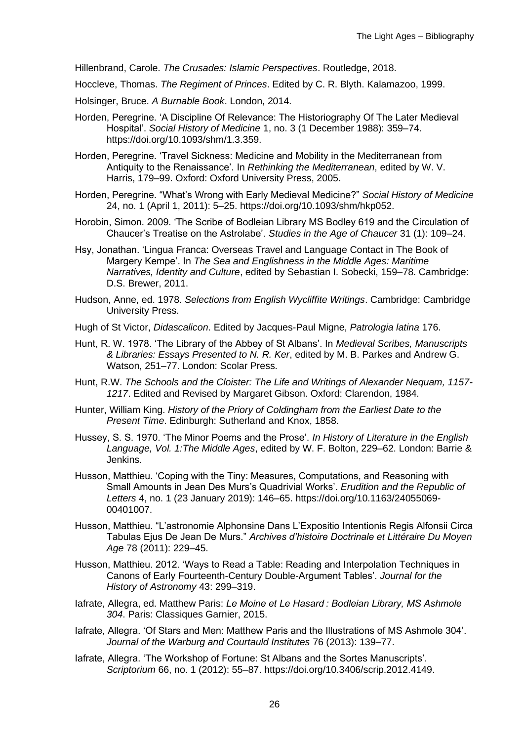Hillenbrand, Carole. *The Crusades: Islamic Perspectives*. Routledge, 2018.

Hoccleve, Thomas. *The Regiment of Princes*. Edited by C. R. Blyth. Kalamazoo, 1999.

- Holsinger, Bruce. *A Burnable Book*. London, 2014.
- Horden, Peregrine. 'A Discipline Of Relevance: The Historiography Of The Later Medieval Hospital'. *Social History of Medicine* 1, no. 3 (1 December 1988): 359–74. https://doi.org/10.1093/shm/1.3.359.
- Horden, Peregrine. 'Travel Sickness: Medicine and Mobility in the Mediterranean from Antiquity to the Renaissance'. In *Rethinking the Mediterranean*, edited by W. V. Harris, 179–99. Oxford: Oxford University Press, 2005.
- Horden, Peregrine. "What's Wrong with Early Medieval Medicine?" *Social History of Medicine* 24, no. 1 (April 1, 2011): 5–25. https://doi.org/10.1093/shm/hkp052.
- Horobin, Simon. 2009. 'The Scribe of Bodleian Library MS Bodley 619 and the Circulation of Chaucer's Treatise on the Astrolabe'. *Studies in the Age of Chaucer* 31 (1): 109–24.
- Hsy, Jonathan. 'Lingua Franca: Overseas Travel and Language Contact in The Book of Margery Kempe'. In *The Sea and Englishness in the Middle Ages: Maritime Narratives, Identity and Culture*, edited by Sebastian I. Sobecki, 159–78. Cambridge: D.S. Brewer, 2011.
- Hudson, Anne, ed. 1978. *Selections from English Wycliffite Writings*. Cambridge: Cambridge University Press.
- Hugh of St Victor, *Didascalicon*. Edited by Jacques-Paul Migne, *Patrologia latina* 176.
- Hunt, R. W. 1978. 'The Library of the Abbey of St Albans'. In *Medieval Scribes, Manuscripts & Libraries: Essays Presented to N. R. Ker*, edited by M. B. Parkes and Andrew G. Watson, 251–77. London: Scolar Press.
- Hunt, R.W. *The Schools and the Cloister: The Life and Writings of Alexander Nequam, 1157- 1217*. Edited and Revised by Margaret Gibson. Oxford: Clarendon, 1984.
- Hunter, William King. *History of the Priory of Coldingham from the Earliest Date to the Present Time*. Edinburgh: Sutherland and Knox, 1858.
- Hussey, S. S. 1970. 'The Minor Poems and the Prose'. *In History of Literature in the English Language, Vol. 1:The Middle Ages*, edited by W. F. Bolton, 229–62. London: Barrie & Jenkins.
- Husson, Matthieu. 'Coping with the Tiny: Measures, Computations, and Reasoning with Small Amounts in Jean Des Murs's Quadrivial Works'. *Erudition and the Republic of Letters* 4, no. 1 (23 January 2019): 146–65. https://doi.org/10.1163/24055069- 00401007.
- Husson, Matthieu. "L'astronomie Alphonsine Dans L'Expositio Intentionis Regis Alfonsii Circa Tabulas Ejus De Jean De Murs." *Archives d'histoire Doctrinale et Littéraire Du Moyen Age* 78 (2011): 229–45.
- Husson, Matthieu. 2012. 'Ways to Read a Table: Reading and Interpolation Techniques in Canons of Early Fourteenth-Century Double-Argument Tables'. *Journal for the History of Astronomy* 43: 299–319.
- Iafrate, Allegra, ed. Matthew Paris: *Le Moine et Le Hasard : Bodleian Library, MS Ashmole 304*. Paris: Classiques Garnier, 2015.
- Iafrate, Allegra. 'Of Stars and Men: Matthew Paris and the Illustrations of MS Ashmole 304'. *Journal of the Warburg and Courtauld Institutes* 76 (2013): 139–77.
- Iafrate, Allegra. 'The Workshop of Fortune: St Albans and the Sortes Manuscripts'. *Scriptorium* 66, no. 1 (2012): 55–87. https://doi.org/10.3406/scrip.2012.4149.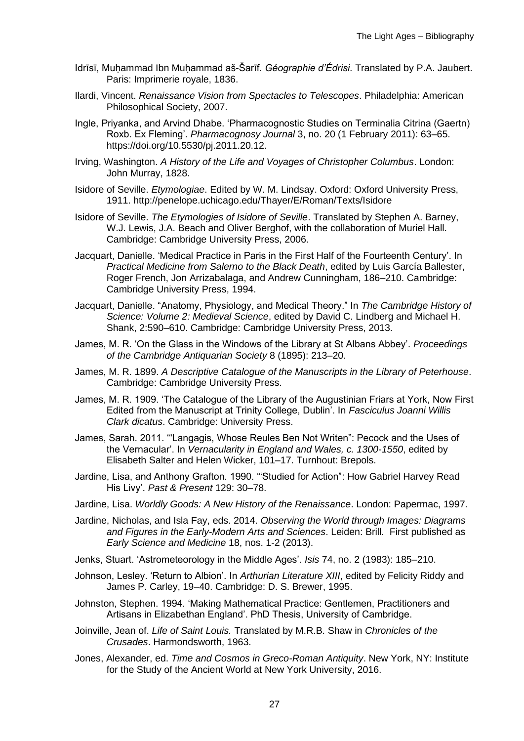- Idrīsī, Muhammad Ibn Muhammad aš-Šarīf. *Géographie d'Édrisi*. Translated by P.A. Jaubert. Paris: Imprimerie royale, 1836.
- Ilardi, Vincent. *Renaissance Vision from Spectacles to Telescopes*. Philadelphia: American Philosophical Society, 2007.
- Ingle, Priyanka, and Arvind Dhabe. 'Pharmacognostic Studies on Terminalia Citrina (Gaertn) Roxb. Ex Fleming'. *Pharmacognosy Journal* 3, no. 20 (1 February 2011): 63–65. https://doi.org/10.5530/pj.2011.20.12.
- Irving, Washington. *A History of the Life and Voyages of Christopher Columbus*. London: John Murray, 1828.
- Isidore of Seville. *Etymologiae*. Edited by W. M. Lindsay. Oxford: Oxford University Press, 1911. http://penelope.uchicago.edu/Thayer/E/Roman/Texts/Isidore
- Isidore of Seville. *The Etymologies of Isidore of Seville*. Translated by Stephen A. Barney, W.J. Lewis, J.A. Beach and Oliver Berghof, with the collaboration of Muriel Hall. Cambridge: Cambridge University Press, 2006.
- Jacquart, Danielle. 'Medical Practice in Paris in the First Half of the Fourteenth Century'. In *Practical Medicine from Salerno to the Black Death*, edited by Luis García Ballester, Roger French, Jon Arrizabalaga, and Andrew Cunningham, 186–210. Cambridge: Cambridge University Press, 1994.
- Jacquart, Danielle. "Anatomy, Physiology, and Medical Theory." In *The Cambridge History of Science: Volume 2: Medieval Science*, edited by David C. Lindberg and Michael H. Shank, 2:590–610. Cambridge: Cambridge University Press, 2013.
- James, M. R. 'On the Glass in the Windows of the Library at St Albans Abbey'. *Proceedings of the Cambridge Antiquarian Society* 8 (1895): 213–20.
- James, M. R. 1899. *A Descriptive Catalogue of the Manuscripts in the Library of Peterhouse*. Cambridge: Cambridge University Press.
- James, M. R. 1909. 'The Catalogue of the Library of the Augustinian Friars at York, Now First Edited from the Manuscript at Trinity College, Dublin'. In *Fasciculus Joanni Willis Clark dicatus*. Cambridge: University Press.
- James, Sarah. 2011. '"Langagis, Whose Reules Ben Not Writen": Pecock and the Uses of the Vernacular'. In *Vernacularity in England and Wales, c. 1300-1550*, edited by Elisabeth Salter and Helen Wicker, 101–17. Turnhout: Brepols.
- Jardine, Lisa, and Anthony Grafton. 1990. '"Studied for Action": How Gabriel Harvey Read His Livy'. *Past & Present* 129: 30–78.
- Jardine, Lisa. *Worldly Goods: A New History of the Renaissance*. London: Papermac, 1997.
- Jardine, Nicholas, and Isla Fay, eds. 2014. *Observing the World through Images: Diagrams and Figures in the Early-Modern Arts and Sciences*. Leiden: Brill. First published as *Early Science and Medicine* 18, nos. 1-2 (2013).
- Jenks, Stuart. 'Astrometeorology in the Middle Ages'. *Isis* 74, no. 2 (1983): 185–210.
- Johnson, Lesley. 'Return to Albion'. In *Arthurian Literature XIII*, edited by Felicity Riddy and James P. Carley, 19–40. Cambridge: D. S. Brewer, 1995.
- Johnston, Stephen. 1994. 'Making Mathematical Practice: Gentlemen, Practitioners and Artisans in Elizabethan England'. PhD Thesis, University of Cambridge.
- Joinville, Jean of. *Life of Saint Louis.* Translated by M.R.B. Shaw in *Chronicles of the Crusades*. Harmondsworth, 1963.
- Jones, Alexander, ed. *Time and Cosmos in Greco-Roman Antiquity*. New York, NY: Institute for the Study of the Ancient World at New York University, 2016.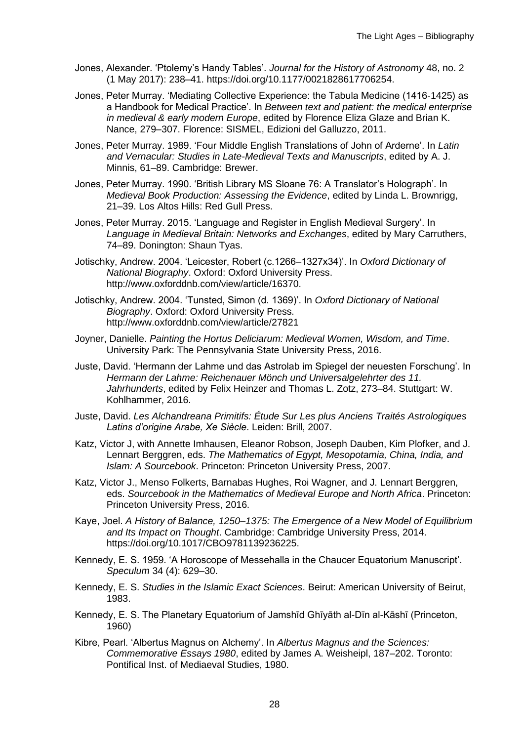- Jones, Alexander. 'Ptolemy's Handy Tables'. *Journal for the History of Astronomy* 48, no. 2 (1 May 2017): 238–41. https://doi.org/10.1177/0021828617706254.
- Jones, Peter Murray. 'Mediating Collective Experience: the Tabula Medicine (1416-1425) as a Handbook for Medical Practice'. In *Between text and patient: the medical enterprise in medieval & early modern Europe*, edited by Florence Eliza Glaze and Brian K. Nance, 279–307. Florence: SISMEL, Edizioni del Galluzzo, 2011.
- Jones, Peter Murray. 1989. 'Four Middle English Translations of John of Arderne'. In *Latin and Vernacular: Studies in Late-Medieval Texts and Manuscripts*, edited by A. J. Minnis, 61–89. Cambridge: Brewer.
- Jones, Peter Murray. 1990. 'British Library MS Sloane 76: A Translator's Holograph'. In *Medieval Book Production: Assessing the Evidence*, edited by Linda L. Brownrigg, 21–39. Los Altos Hills: Red Gull Press.
- Jones, Peter Murray. 2015. 'Language and Register in English Medieval Surgery'. In *Language in Medieval Britain: Networks and Exchanges*, edited by Mary Carruthers, 74–89. Donington: Shaun Tyas.
- Jotischky, Andrew. 2004. 'Leicester, Robert (c.1266–1327x34)'. In *Oxford Dictionary of National Biography*. Oxford: Oxford University Press. http://www.oxforddnb.com/view/article/16370.
- Jotischky, Andrew. 2004. 'Tunsted, Simon (d. 1369)'. In *Oxford Dictionary of National Biography*. Oxford: Oxford University Press. http://www.oxforddnb.com/view/article/27821
- Joyner, Danielle. *Painting the Hortus Deliciarum: Medieval Women, Wisdom, and Time*. University Park: The Pennsylvania State University Press, 2016.
- Juste, David. 'Hermann der Lahme und das Astrolab im Spiegel der neuesten Forschung'. In *Hermann der Lahme: Reichenauer Mönch und Universalgelehrter des 11. Jahrhunderts*, edited by Felix Heinzer and Thomas L. Zotz, 273–84. Stuttgart: W. Kohlhammer, 2016.
- Juste, David. *Les Alchandreana Primitifs: Étude Sur Les plus Anciens Traités Astrologiques Latins d'origine Arabe, Xe Siècle*. Leiden: Brill, 2007.
- Katz, Victor J, with Annette Imhausen, Eleanor Robson, Joseph Dauben, Kim Plofker, and J. Lennart Berggren, eds. *The Mathematics of Egypt, Mesopotamia, China, India, and Islam: A Sourcebook*. Princeton: Princeton University Press, 2007.
- Katz, Victor J., Menso Folkerts, Barnabas Hughes, Roi Wagner, and J. Lennart Berggren, eds. *Sourcebook in the Mathematics of Medieval Europe and North Africa*. Princeton: Princeton University Press, 2016.
- Kaye, Joel. *A History of Balance, 1250–1375: The Emergence of a New Model of Equilibrium and Its Impact on Thought*. Cambridge: Cambridge University Press, 2014. https://doi.org/10.1017/CBO9781139236225.
- Kennedy, E. S. 1959. 'A Horoscope of Messehalla in the Chaucer Equatorium Manuscript'. *Speculum* 34 (4): 629–30.
- Kennedy, E. S. *Studies in the Islamic Exact Sciences*. Beirut: American University of Beirut, 1983.
- Kennedy, E. S. The Planetary Equatorium of Jamshīd Ghīyāth al-Dīn al-Kāshī (Princeton, 1960)
- Kibre, Pearl. 'Albertus Magnus on Alchemy'. In *Albertus Magnus and the Sciences: Commemorative Essays 1980*, edited by James A. Weisheipl, 187–202. Toronto: Pontifical Inst. of Mediaeval Studies, 1980.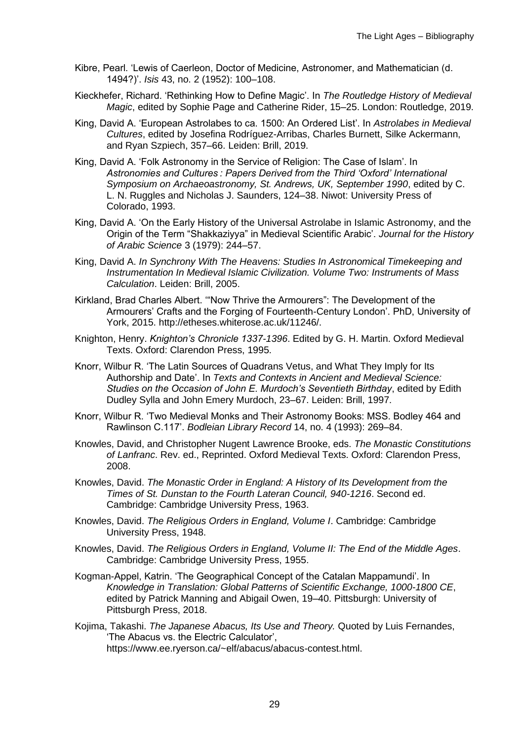- Kibre, Pearl. 'Lewis of Caerleon, Doctor of Medicine, Astronomer, and Mathematician (d. 1494?)'. *Isis* 43, no. 2 (1952): 100–108.
- Kieckhefer, Richard. 'Rethinking How to Define Magic'. In *The Routledge History of Medieval Magic*, edited by Sophie Page and Catherine Rider, 15–25. London: Routledge, 2019.
- King, David A. 'European Astrolabes to ca. 1500: An Ordered List'. In *Astrolabes in Medieval Cultures*, edited by Josefina Rodríguez-Arribas, Charles Burnett, Silke Ackermann, and Ryan Szpiech, 357–66. Leiden: Brill, 2019.
- King, David A. 'Folk Astronomy in the Service of Religion: The Case of Islam'. In *Astronomies and Cultures : Papers Derived from the Third 'Oxford' International Symposium on Archaeoastronomy, St. Andrews, UK, September 1990*, edited by C. L. N. Ruggles and Nicholas J. Saunders, 124–38. Niwot: University Press of Colorado, 1993.
- King, David A. 'On the Early History of the Universal Astrolabe in Islamic Astronomy, and the Origin of the Term "Shakkaziyya" in Medieval Scientific Arabic'. *Journal for the History of Arabic Science* 3 (1979): 244–57.
- King, David A. *In Synchrony With The Heavens: Studies In Astronomical Timekeeping and Instrumentation In Medieval Islamic Civilization. Volume Two: Instruments of Mass Calculation*. Leiden: Brill, 2005.
- Kirkland, Brad Charles Albert. '"Now Thrive the Armourers": The Development of the Armourers' Crafts and the Forging of Fourteenth-Century London'. PhD, University of York, 2015. http://etheses.whiterose.ac.uk/11246/.
- Knighton, Henry. *Knighton's Chronicle 1337-1396*. Edited by G. H. Martin. Oxford Medieval Texts. Oxford: Clarendon Press, 1995.
- Knorr, Wilbur R. 'The Latin Sources of Quadrans Vetus, and What They Imply for Its Authorship and Date'. In *Texts and Contexts in Ancient and Medieval Science: Studies on the Occasion of John E. Murdoch's Seventieth Birthday*, edited by Edith Dudley Sylla and John Emery Murdoch, 23–67. Leiden: Brill, 1997.
- Knorr, Wilbur R. 'Two Medieval Monks and Their Astronomy Books: MSS. Bodley 464 and Rawlinson C.117'. *Bodleian Library Record* 14, no. 4 (1993): 269–84.
- Knowles, David, and Christopher Nugent Lawrence Brooke, eds. *The Monastic Constitutions of Lanfranc*. Rev. ed., Reprinted. Oxford Medieval Texts. Oxford: Clarendon Press, 2008.
- Knowles, David. *The Monastic Order in England: A History of Its Development from the Times of St. Dunstan to the Fourth Lateran Council, 940-1216*. Second ed. Cambridge: Cambridge University Press, 1963.
- Knowles, David. *The Religious Orders in England, Volume I*. Cambridge: Cambridge University Press, 1948.
- Knowles, David. *The Religious Orders in England, Volume II: The End of the Middle Ages*. Cambridge: Cambridge University Press, 1955.
- Kogman-Appel, Katrin. 'The Geographical Concept of the Catalan Mappamundi'. In *Knowledge in Translation: Global Patterns of Scientific Exchange, 1000-1800 CE*, edited by Patrick Manning and Abigail Owen, 19–40. Pittsburgh: University of Pittsburgh Press, 2018.
- Kojima, Takashi. *The Japanese Abacus, Its Use and Theory.* Quoted by Luis Fernandes, 'The Abacus vs. the Electric Calculator', https://www.ee.ryerson.ca/~elf/abacus/abacus-contest.html.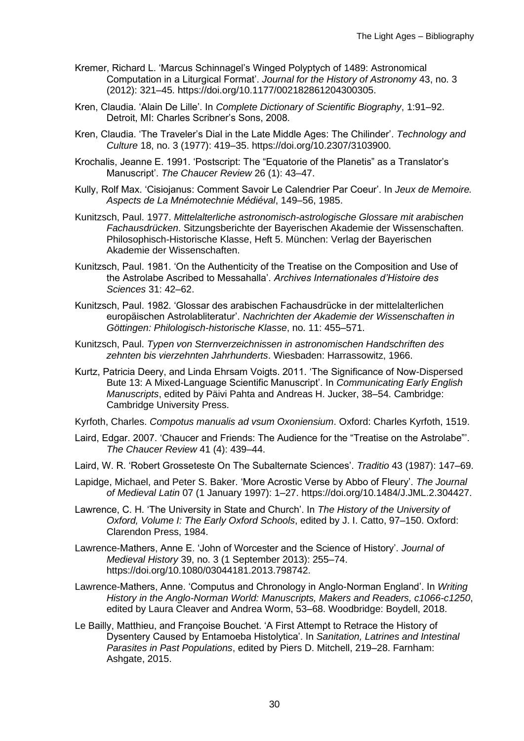- Kremer, Richard L. 'Marcus Schinnagel's Winged Polyptych of 1489: Astronomical Computation in a Liturgical Format'. *Journal for the History of Astronomy* 43, no. 3 (2012): 321–45. https://doi.org/10.1177/002182861204300305.
- Kren, Claudia. 'Alain De Lille'. In *Complete Dictionary of Scientific Biography*, 1:91–92. Detroit, MI: Charles Scribner's Sons, 2008.
- Kren, Claudia. 'The Traveler's Dial in the Late Middle Ages: The Chilinder'. *Technology and Culture* 18, no. 3 (1977): 419–35. https://doi.org/10.2307/3103900.
- Krochalis, Jeanne E. 1991. 'Postscript: The "Equatorie of the Planetis" as a Translator's Manuscript'. *The Chaucer Review* 26 (1): 43–47.
- Kully, Rolf Max. 'Cisiojanus: Comment Savoir Le Calendrier Par Coeur'. In *Jeux de Memoire. Aspects de La Mnémotechnie Médiéval*, 149–56, 1985.
- Kunitzsch, Paul. 1977. *Mittelalterliche astronomisch-astrologische Glossare mit arabischen Fachausdrücken*. Sitzungsberichte der Bayerischen Akademie der Wissenschaften. Philosophisch-Historische Klasse, Heft 5. München: Verlag der Bayerischen Akademie der Wissenschaften.
- Kunitzsch, Paul. 1981. 'On the Authenticity of the Treatise on the Composition and Use of the Astrolabe Ascribed to Messahalla'. *Archives Internationales d'Histoire des Sciences* 31: 42–62.
- Kunitzsch, Paul. 1982. 'Glossar des arabischen Fachausdrücke in der mittelalterlichen europäischen Astrolabliteratur'. *Nachrichten der Akademie der Wissenschaften in Göttingen: Philologisch-historische Klasse*, no. 11: 455–571.
- Kunitzsch, Paul. *Typen von Sternverzeichnissen in astronomischen Handschriften des zehnten bis vierzehnten Jahrhunderts*. Wiesbaden: Harrassowitz, 1966.
- Kurtz, Patricia Deery, and Linda Ehrsam Voigts. 2011. 'The Significance of Now-Dispersed Bute 13: A Mixed-Language Scientific Manuscript'. In *Communicating Early English Manuscripts*, edited by Päivi Pahta and Andreas H. Jucker, 38–54. Cambridge: Cambridge University Press.
- Kyrfoth, Charles. *Compotus manualis ad vsum Oxoniensium*. Oxford: Charles Kyrfoth, 1519.
- Laird, Edgar. 2007. 'Chaucer and Friends: The Audience for the "Treatise on the Astrolabe"'. *The Chaucer Review* 41 (4): 439–44.
- Laird, W. R. 'Robert Grosseteste On The Subalternate Sciences'. *Traditio* 43 (1987): 147–69.
- Lapidge, Michael, and Peter S. Baker. 'More Acrostic Verse by Abbo of Fleury'. *The Journal of Medieval Latin* 07 (1 January 1997): 1–27. https://doi.org/10.1484/J.JML.2.304427.
- Lawrence, C. H. 'The University in State and Church'. In *The History of the University of Oxford, Volume I: The Early Oxford Schools*, edited by J. I. Catto, 97–150. Oxford: Clarendon Press, 1984.
- Lawrence-Mathers, Anne E. 'John of Worcester and the Science of History'. *Journal of Medieval History* 39, no. 3 (1 September 2013): 255–74. https://doi.org/10.1080/03044181.2013.798742.
- Lawrence-Mathers, Anne. 'Computus and Chronology in Anglo-Norman England'. In *Writing History in the Anglo-Norman World: Manuscripts, Makers and Readers, c1066-c1250*, edited by Laura Cleaver and Andrea Worm, 53–68. Woodbridge: Boydell, 2018.
- Le Bailly, Matthieu, and Françoise Bouchet. 'A First Attempt to Retrace the History of Dysentery Caused by Entamoeba Histolytica'. In *Sanitation, Latrines and Intestinal Parasites in Past Populations*, edited by Piers D. Mitchell, 219–28. Farnham: Ashgate, 2015.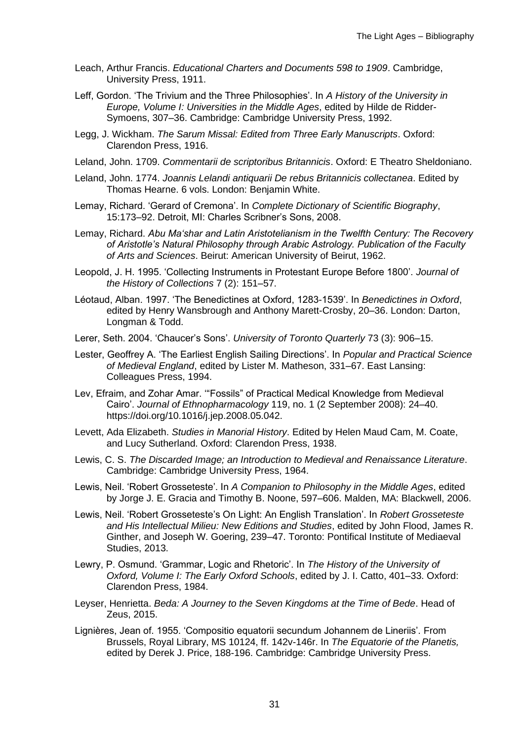- Leach, Arthur Francis. *Educational Charters and Documents 598 to 1909*. Cambridge, University Press, 1911.
- Leff, Gordon. 'The Trivium and the Three Philosophies'. In *A History of the University in Europe, Volume I: Universities in the Middle Ages*, edited by Hilde de Ridder-Symoens, 307–36. Cambridge: Cambridge University Press, 1992.
- Legg, J. Wickham. *The Sarum Missal: Edited from Three Early Manuscripts*. Oxford: Clarendon Press, 1916.
- Leland, John. 1709. *Commentarii de scriptoribus Britannicis*. Oxford: E Theatro Sheldoniano.
- Leland, John. 1774. *Joannis Lelandi antiquarii De rebus Britannicis collectanea*. Edited by Thomas Hearne. 6 vols. London: Benjamin White.
- Lemay, Richard. 'Gerard of Cremona'. In *Complete Dictionary of Scientific Biography*, 15:173–92. Detroit, MI: Charles Scribner's Sons, 2008.
- Lemay, Richard. *Abu Maʻshar and Latin Aristotelianism in the Twelfth Century: The Recovery of Aristotle's Natural Philosophy through Arabic Astrology. Publication of the Faculty of Arts and Sciences*. Beirut: American University of Beirut, 1962.
- Leopold, J. H. 1995. 'Collecting Instruments in Protestant Europe Before 1800'. *Journal of the History of Collections* 7 (2): 151–57.
- Léotaud, Alban. 1997. 'The Benedictines at Oxford, 1283-1539'. In *Benedictines in Oxford*, edited by Henry Wansbrough and Anthony Marett-Crosby, 20–36. London: Darton, Longman & Todd.
- Lerer, Seth. 2004. 'Chaucer's Sons'. *University of Toronto Quarterly* 73 (3): 906–15.
- Lester, Geoffrey A. 'The Earliest English Sailing Directions'. In *Popular and Practical Science of Medieval England*, edited by Lister M. Matheson, 331–67. East Lansing: Colleagues Press, 1994.
- Lev, Efraim, and Zohar Amar. '"Fossils" of Practical Medical Knowledge from Medieval Cairo'. *Journal of Ethnopharmacology* 119, no. 1 (2 September 2008): 24–40. https://doi.org/10.1016/j.jep.2008.05.042.
- Levett, Ada Elizabeth. *Studies in Manorial History*. Edited by Helen Maud Cam, M. Coate, and Lucy Sutherland. Oxford: Clarendon Press, 1938.
- Lewis, C. S. *The Discarded Image; an Introduction to Medieval and Renaissance Literature*. Cambridge: Cambridge University Press, 1964.
- Lewis, Neil. 'Robert Grosseteste'. In *A Companion to Philosophy in the Middle Ages*, edited by Jorge J. E. Gracia and Timothy B. Noone, 597–606. Malden, MA: Blackwell, 2006.
- Lewis, Neil. 'Robert Grosseteste's On Light: An English Translation'. In *Robert Grosseteste and His Intellectual Milieu: New Editions and Studies*, edited by John Flood, James R. Ginther, and Joseph W. Goering, 239–47. Toronto: Pontifical Institute of Mediaeval Studies, 2013.
- Lewry, P. Osmund. 'Grammar, Logic and Rhetoric'. In *The History of the University of Oxford, Volume I: The Early Oxford Schools*, edited by J. I. Catto, 401–33. Oxford: Clarendon Press, 1984.
- Leyser, Henrietta. *Beda: A Journey to the Seven Kingdoms at the Time of Bede*. Head of Zeus, 2015.
- Lignières, Jean of. 1955. 'Compositio equatorii secundum Johannem de Lineriis'. From Brussels, Royal Library, MS 10124, ff. 142v-146r. In *The Equatorie of the Planetis,*  edited by Derek J. Price, 188-196. Cambridge: Cambridge University Press.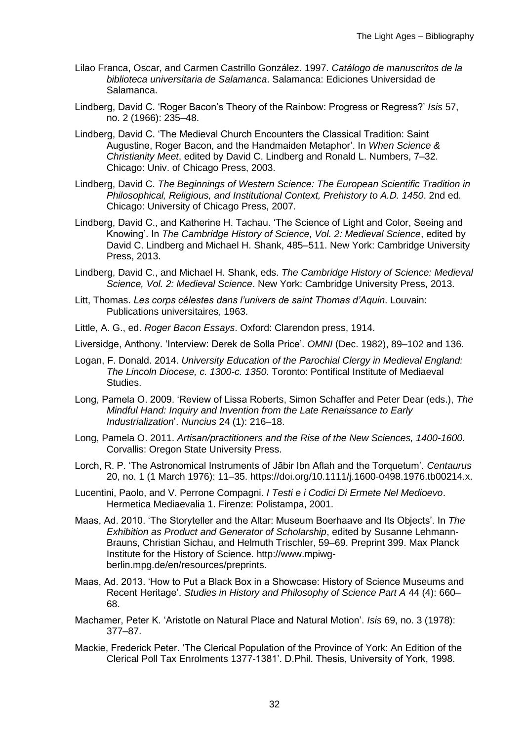- Lilao Franca, Oscar, and Carmen Castrillo González. 1997. *Catálogo de manuscritos de la biblioteca universitaria de Salamanca*. Salamanca: Ediciones Universidad de Salamanca.
- Lindberg, David C. 'Roger Bacon's Theory of the Rainbow: Progress or Regress?' *Isis* 57, no. 2 (1966): 235–48.
- Lindberg, David C. 'The Medieval Church Encounters the Classical Tradition: Saint Augustine, Roger Bacon, and the Handmaiden Metaphor'. In *When Science & Christianity Meet*, edited by David C. Lindberg and Ronald L. Numbers, 7–32. Chicago: Univ. of Chicago Press, 2003.
- Lindberg, David C. *The Beginnings of Western Science: The European Scientific Tradition in Philosophical, Religious, and Institutional Context, Prehistory to A.D. 1450*. 2nd ed. Chicago: University of Chicago Press, 2007.
- Lindberg, David C., and Katherine H. Tachau. 'The Science of Light and Color, Seeing and Knowing'. In *The Cambridge History of Science, Vol. 2: Medieval Science*, edited by David C. Lindberg and Michael H. Shank, 485–511. New York: Cambridge University Press, 2013.
- Lindberg, David C., and Michael H. Shank, eds. *The Cambridge History of Science: Medieval Science, Vol. 2: Medieval Science*. New York: Cambridge University Press, 2013.
- Litt, Thomas. *Les corps célestes dans l'univers de saint Thomas d'Aquin*. Louvain: Publications universitaires, 1963.
- Little, A. G., ed. *Roger Bacon Essays*. Oxford: Clarendon press, 1914.
- Liversidge, Anthony. 'Interview: Derek de Solla Price'. *OMNI* (Dec. 1982), 89–102 and 136.
- Logan, F. Donald. 2014. *University Education of the Parochial Clergy in Medieval England: The Lincoln Diocese, c. 1300-c. 1350*. Toronto: Pontifical Institute of Mediaeval **Studies**
- Long, Pamela O. 2009. 'Review of Lissa Roberts, Simon Schaffer and Peter Dear (eds.), *The Mindful Hand: Inquiry and Invention from the Late Renaissance to Early Industrialization*'. *Nuncius* 24 (1): 216–18.
- Long, Pamela O. 2011. *Artisan/practitioners and the Rise of the New Sciences, 1400-1600*. Corvallis: Oregon State University Press.
- Lorch, R. P. 'The Astronomical Instruments of Jābir Ibn Aflah and the Torquetum'. *Centaurus* 20, no. 1 (1 March 1976): 11–35. https://doi.org/10.1111/j.1600-0498.1976.tb00214.x.
- Lucentini, Paolo, and V. Perrone Compagni. *I Testi e i Codici Di Ermete Nel Medioevo*. Hermetica Mediaevalia 1. Firenze: Polistampa, 2001.
- Maas, Ad. 2010. 'The Storyteller and the Altar: Museum Boerhaave and Its Objects'. In *The Exhibition as Product and Generator of Scholarship*, edited by Susanne Lehmann-Brauns, Christian Sichau, and Helmuth Trischler, 59–69. Preprint 399. Max Planck Institute for the History of Science. http://www.mpiwgberlin.mpg.de/en/resources/preprints.
- Maas, Ad. 2013. 'How to Put a Black Box in a Showcase: History of Science Museums and Recent Heritage'. *Studies in History and Philosophy of Science Part A* 44 (4): 660– 68.
- Machamer, Peter K. 'Aristotle on Natural Place and Natural Motion'. *Isis* 69, no. 3 (1978): 377–87.
- Mackie, Frederick Peter. 'The Clerical Population of the Province of York: An Edition of the Clerical Poll Tax Enrolments 1377-1381'. D.Phil. Thesis, University of York, 1998.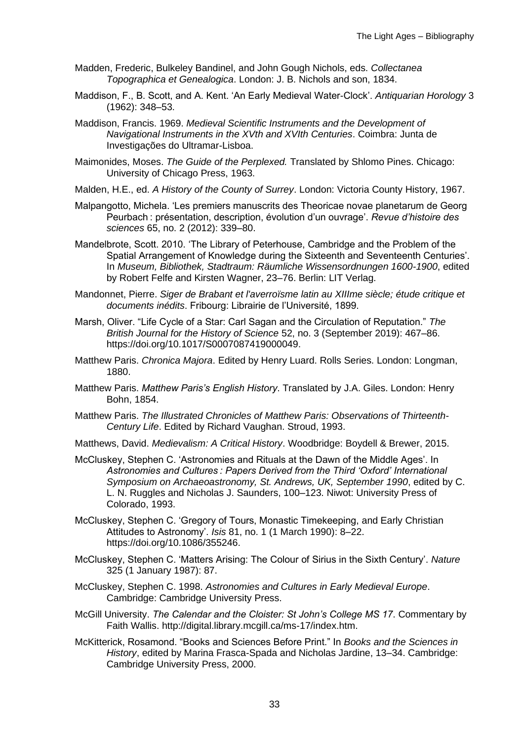- Madden, Frederic, Bulkeley Bandinel, and John Gough Nichols, eds. *Collectanea Topographica et Genealogica*. London: J. B. Nichols and son, 1834.
- Maddison, F., B. Scott, and A. Kent. 'An Early Medieval Water-Clock'. *Antiquarian Horology* 3 (1962): 348–53.
- Maddison, Francis. 1969. *Medieval Scientific Instruments and the Development of Navigational Instruments in the XVth and XVIth Centuries*. Coimbra: Junta de Investigações do Ultramar-Lisboa.
- Maimonides, Moses. *The Guide of the Perplexed.* Translated by Shlomo Pines. Chicago: University of Chicago Press, 1963.
- Malden, H.E., ed. *A History of the County of Surrey*. London: Victoria County History, 1967.
- Malpangotto, Michela. 'Les premiers manuscrits des Theoricae novae planetarum de Georg Peurbach : présentation, description, évolution d'un ouvrage'. *Revue d'histoire des sciences* 65, no. 2 (2012): 339–80.
- Mandelbrote, Scott. 2010. 'The Library of Peterhouse, Cambridge and the Problem of the Spatial Arrangement of Knowledge during the Sixteenth and Seventeenth Centuries'. In *Museum, Bibliothek, Stadtraum: Räumliche Wissensordnungen 1600-1900*, edited by Robert Felfe and Kirsten Wagner, 23–76. Berlin: LIT Verlag.
- Mandonnet, Pierre. *Siger de Brabant et l'averroïsme latin au XIIIme siècle; étude critique et documents inédits*. Fribourg: Librairie de l'Université, 1899.
- Marsh, Oliver. "Life Cycle of a Star: Carl Sagan and the Circulation of Reputation." *The British Journal for the History of Science* 52, no. 3 (September 2019): 467–86. https://doi.org/10.1017/S0007087419000049.
- Matthew Paris. *Chronica Majora*. Edited by Henry Luard. Rolls Series. London: Longman, 1880.
- Matthew Paris. *Matthew Paris's English History*. Translated by J.A. Giles. London: Henry Bohn, 1854.
- Matthew Paris. *The Illustrated Chronicles of Matthew Paris: Observations of Thirteenth-Century Life*. Edited by Richard Vaughan. Stroud, 1993.
- Matthews, David. *Medievalism: A Critical History*. Woodbridge: Boydell & Brewer, 2015.
- McCluskey, Stephen C. 'Astronomies and Rituals at the Dawn of the Middle Ages'. In *Astronomies and Cultures : Papers Derived from the Third 'Oxford' International Symposium on Archaeoastronomy, St. Andrews, UK, September 1990*, edited by C. L. N. Ruggles and Nicholas J. Saunders, 100–123. Niwot: University Press of Colorado, 1993.
- McCluskey, Stephen C. 'Gregory of Tours, Monastic Timekeeping, and Early Christian Attitudes to Astronomy'. *Isis* 81, no. 1 (1 March 1990): 8–22. https://doi.org/10.1086/355246.
- McCluskey, Stephen C. 'Matters Arising: The Colour of Sirius in the Sixth Century'. *Nature* 325 (1 January 1987): 87.
- McCluskey, Stephen C. 1998. *Astronomies and Cultures in Early Medieval Europe*. Cambridge: Cambridge University Press.
- McGill University. *The Calendar and the Cloister: St John's College MS 17*. Commentary by Faith Wallis. http://digital.library.mcgill.ca/ms-17/index.htm.
- McKitterick, Rosamond. "Books and Sciences Before Print." In *Books and the Sciences in History*, edited by Marina Frasca-Spada and Nicholas Jardine, 13–34. Cambridge: Cambridge University Press, 2000.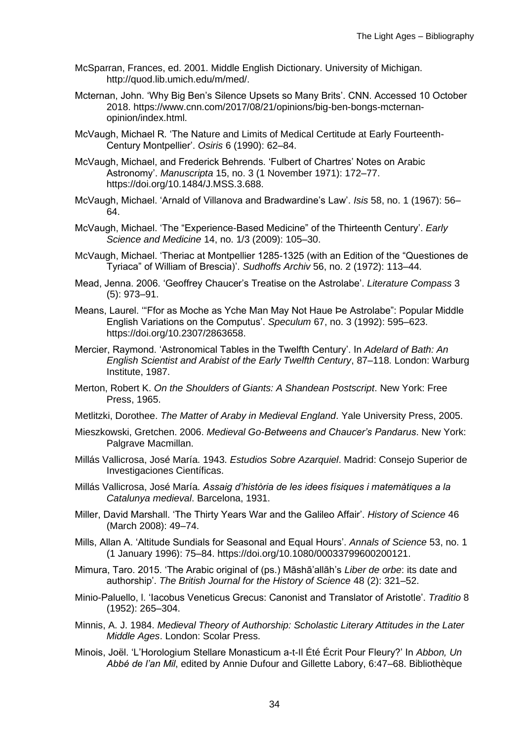- McSparran, Frances, ed. 2001. Middle English Dictionary. University of Michigan. http://quod.lib.umich.edu/m/med/.
- Mcternan, John. 'Why Big Ben's Silence Upsets so Many Brits'. CNN. Accessed 10 October 2018. https://www.cnn.com/2017/08/21/opinions/big-ben-bongs-mcternanopinion/index.html.
- McVaugh, Michael R. 'The Nature and Limits of Medical Certitude at Early Fourteenth-Century Montpellier'. *Osiris* 6 (1990): 62–84.
- McVaugh, Michael, and Frederick Behrends. 'Fulbert of Chartres' Notes on Arabic Astronomy'. *Manuscripta* 15, no. 3 (1 November 1971): 172–77. https://doi.org/10.1484/J.MSS.3.688.
- McVaugh, Michael. 'Arnald of Villanova and Bradwardine's Law'. *Isis* 58, no. 1 (1967): 56– 64.
- McVaugh, Michael. 'The "Experience-Based Medicine" of the Thirteenth Century'. *Early Science and Medicine* 14, no. 1/3 (2009): 105–30.
- McVaugh, Michael. 'Theriac at Montpellier 1285-1325 (with an Edition of the "Questiones de Tyriaca" of William of Brescia)'. *Sudhoffs Archiv* 56, no. 2 (1972): 113–44.
- Mead, Jenna. 2006. 'Geoffrey Chaucer's Treatise on the Astrolabe'. *Literature Compass* 3 (5): 973–91.
- Means, Laurel. '"Ffor as Moche as Yche Man May Not Haue Þe Astrolabe": Popular Middle English Variations on the Computus'. *Speculum* 67, no. 3 (1992): 595–623. https://doi.org/10.2307/2863658.
- Mercier, Raymond. 'Astronomical Tables in the Twelfth Century'. In *Adelard of Bath: An English Scientist and Arabist of the Early Twelfth Century*, 87–118. London: Warburg Institute, 1987.
- Merton, Robert K. *On the Shoulders of Giants: A Shandean Postscript*. New York: Free Press, 1965.
- Metlitzki, Dorothee. *The Matter of Araby in Medieval England*. Yale University Press, 2005.
- Mieszkowski, Gretchen. 2006. *Medieval Go-Betweens and Chaucer's Pandarus*. New York: Palgrave Macmillan.
- Millás Vallicrosa, José María. 1943. *Estudios Sobre Azarquiel*. Madrid: Consejo Superior de Investigaciones Científicas.
- Millás Vallicrosa, José María. *Assaig d'història de les idees físiques i matemàtiques a la Catalunya medieval*. Barcelona, 1931.
- Miller, David Marshall. 'The Thirty Years War and the Galileo Affair'. *History of Science* 46 (March 2008): 49–74.
- Mills, Allan A. 'Altitude Sundials for Seasonal and Equal Hours'. *Annals of Science* 53, no. 1 (1 January 1996): 75–84. https://doi.org/10.1080/00033799600200121.
- Mimura, Taro. 2015. 'The Arabic original of (ps.) Māshā'allāh's *Liber de orbe*: its date and authorship'. *The British Journal for the History of Science* 48 (2): 321–52.
- Minio-Paluello, l. 'Iacobus Veneticus Grecus: Canonist and Translator of Aristotle'. *Traditio* 8 (1952): 265–304.
- Minnis, A. J. 1984. *Medieval Theory of Authorship: Scholastic Literary Attitudes in the Later Middle Ages*. London: Scolar Press.
- Minois, Joël. 'L'Horologium Stellare Monasticum a-t-Il Été Écrit Pour Fleury?' In *Abbon, Un Abbé de l'an Mil*, edited by Annie Dufour and Gillette Labory, 6:47–68. Bibliothèque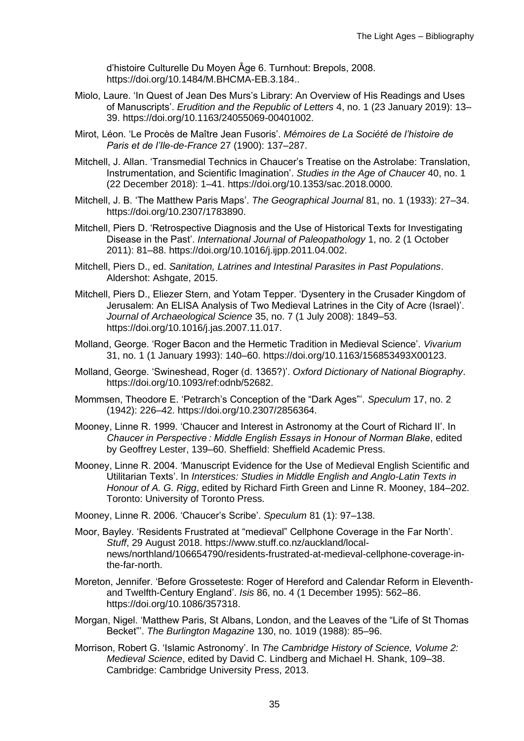d'histoire Culturelle Du Moyen Âge 6. Turnhout: Brepols, 2008. https://doi.org/10.1484/M.BHCMA-EB.3.184..

- Miolo, Laure. 'In Quest of Jean Des Murs's Library: An Overview of His Readings and Uses of Manuscripts'. *Erudition and the Republic of Letters* 4, no. 1 (23 January 2019): 13– 39. https://doi.org/10.1163/24055069-00401002.
- Mirot, Léon. 'Le Procès de Maître Jean Fusoris'. *Mémoires de La Société de l'histoire de Paris et de l'Ile-de-France* 27 (1900): 137–287.
- Mitchell, J. Allan. 'Transmedial Technics in Chaucer's Treatise on the Astrolabe: Translation, Instrumentation, and Scientific Imagination'. *Studies in the Age of Chaucer* 40, no. 1 (22 December 2018): 1–41. https://doi.org/10.1353/sac.2018.0000.
- Mitchell, J. B. 'The Matthew Paris Maps'. *The Geographical Journal* 81, no. 1 (1933): 27–34. https://doi.org/10.2307/1783890.
- Mitchell, Piers D. 'Retrospective Diagnosis and the Use of Historical Texts for Investigating Disease in the Past'. *International Journal of Paleopathology* 1, no. 2 (1 October 2011): 81–88. https://doi.org/10.1016/j.ijpp.2011.04.002.
- Mitchell, Piers D., ed. *Sanitation, Latrines and Intestinal Parasites in Past Populations*. Aldershot: Ashgate, 2015.
- Mitchell, Piers D., Eliezer Stern, and Yotam Tepper. 'Dysentery in the Crusader Kingdom of Jerusalem: An ELISA Analysis of Two Medieval Latrines in the City of Acre (Israel)'. *Journal of Archaeological Science* 35, no. 7 (1 July 2008): 1849–53. https://doi.org/10.1016/j.jas.2007.11.017.
- Molland, George. 'Roger Bacon and the Hermetic Tradition in Medieval Science'. *Vivarium* 31, no. 1 (1 January 1993): 140–60. https://doi.org/10.1163/156853493X00123.
- Molland, George. 'Swineshead, Roger (d. 1365?)'. *Oxford Dictionary of National Biography*. https://doi.org/10.1093/ref:odnb/52682.
- Mommsen, Theodore E. 'Petrarch's Conception of the "Dark Ages"'. *Speculum* 17, no. 2 (1942): 226–42. https://doi.org/10.2307/2856364.
- Mooney, Linne R. 1999. 'Chaucer and Interest in Astronomy at the Court of Richard II'. In *Chaucer in Perspective : Middle English Essays in Honour of Norman Blake*, edited by Geoffrey Lester, 139–60. Sheffield: Sheffield Academic Press.
- Mooney, Linne R. 2004. 'Manuscript Evidence for the Use of Medieval English Scientific and Utilitarian Texts'. In *Interstices: Studies in Middle English and Anglo-Latin Texts in Honour of A. G. Rigg*, edited by Richard Firth Green and Linne R. Mooney, 184–202. Toronto: University of Toronto Press.
- Mooney, Linne R. 2006. 'Chaucer's Scribe'. *Speculum* 81 (1): 97–138.
- Moor, Bayley. 'Residents Frustrated at "medieval" Cellphone Coverage in the Far North'. *Stuff*, 29 August 2018. https://www.stuff.co.nz/auckland/localnews/northland/106654790/residents-frustrated-at-medieval-cellphone-coverage-inthe-far-north.
- Moreton, Jennifer. 'Before Grosseteste: Roger of Hereford and Calendar Reform in Eleventhand Twelfth-Century England'. *Isis* 86, no. 4 (1 December 1995): 562–86. https://doi.org/10.1086/357318.
- Morgan, Nigel. 'Matthew Paris, St Albans, London, and the Leaves of the "Life of St Thomas Becket"'. *The Burlington Magazine* 130, no. 1019 (1988): 85–96.
- Morrison, Robert G. 'Islamic Astronomy'. In *The Cambridge History of Science, Volume 2: Medieval Science*, edited by David C. Lindberg and Michael H. Shank, 109–38. Cambridge: Cambridge University Press, 2013.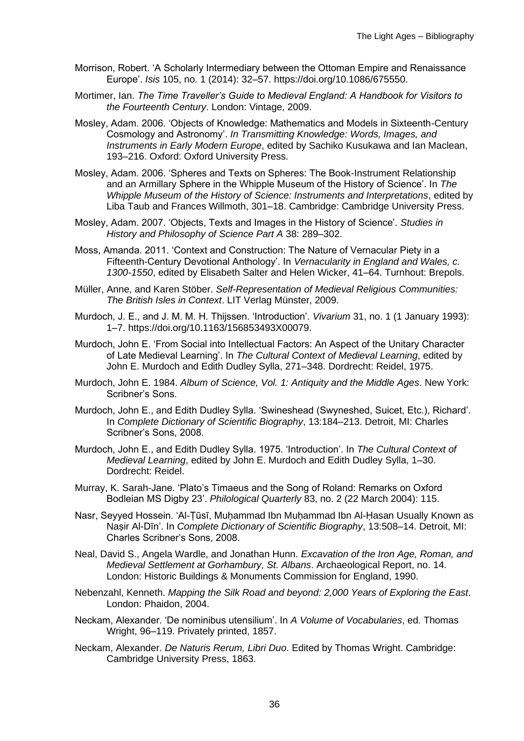- Morrison, Robert. 'A Scholarly Intermediary between the Ottoman Empire and Renaissance Europe'. *Isis* 105, no. 1 (2014): 32–57. https://doi.org/10.1086/675550.
- Mortimer, Ian. *The Time Traveller's Guide to Medieval England: A Handbook for Visitors to the Fourteenth Century*. London: Vintage, 2009.
- Mosley, Adam. 2006. 'Objects of Knowledge: Mathematics and Models in Sixteenth-Century Cosmology and Astronomy'. *In Transmitting Knowledge: Words, Images, and Instruments in Early Modern Europe*, edited by Sachiko Kusukawa and Ian Maclean, 193–216. Oxford: Oxford University Press.
- Mosley, Adam. 2006. 'Spheres and Texts on Spheres: The Book-Instrument Relationship and an Armillary Sphere in the Whipple Museum of the History of Science'. In *The Whipple Museum of the History of Science: Instruments and Interpretations*, edited by Liba Taub and Frances Willmoth, 301–18. Cambridge: Cambridge University Press.
- Mosley, Adam. 2007. 'Objects, Texts and Images in the History of Science'. *Studies in History and Philosophy of Science Part A* 38: 289–302.
- Moss, Amanda. 2011. 'Context and Construction: The Nature of Vernacular Piety in a Fifteenth-Century Devotional Anthology'. In *Vernacularity in England and Wales, c. 1300-1550*, edited by Elisabeth Salter and Helen Wicker, 41–64. Turnhout: Brepols.
- Müller, Anne, and Karen Stöber. *Self-Representation of Medieval Religious Communities: The British Isles in Context*. LIT Verlag Münster, 2009.
- Murdoch, J. E., and J. M. M. H. Thijssen. 'Introduction'. *Vivarium* 31, no. 1 (1 January 1993): 1–7. https://doi.org/10.1163/156853493X00079.
- Murdoch, John E. 'From Social into Intellectual Factors: An Aspect of the Unitary Character of Late Medieval Learning'. In *The Cultural Context of Medieval Learning*, edited by John E. Murdoch and Edith Dudley Sylla, 271–348. Dordrecht: Reidel, 1975.
- Murdoch, John E. 1984. *Album of Science, Vol. 1: Antiquity and the Middle Ages*. New York: Scribner's Sons.
- Murdoch, John E., and Edith Dudley Sylla. 'Swineshead (Swyneshed, Suicet, Etc.), Richard'. In *Complete Dictionary of Scientific Biography*, 13:184–213. Detroit, MI: Charles Scribner's Sons, 2008.
- Murdoch, John E., and Edith Dudley Sylla. 1975. 'Introduction'. In *The Cultural Context of Medieval Learning*, edited by John E. Murdoch and Edith Dudley Sylla, 1–30. Dordrecht: Reidel.
- Murray, K. Sarah-Jane. 'Plato's Timaeus and the Song of Roland: Remarks on Oxford Bodleian MS Digby 23'. *Philological Quarterly* 83, no. 2 (22 March 2004): 115.
- Nasr, Seyyed Hossein. 'Al-Tūsī, Muhammad Ibn Muhammad Ibn Al-Hasan Usually Known as Naṣir Al-Dīn'. In *Complete Dictionary of Scientific Biography*, 13:508–14. Detroit, MI: Charles Scribner's Sons, 2008.
- Neal, David S., Angela Wardle, and Jonathan Hunn. *Excavation of the Iron Age, Roman, and Medieval Settlement at Gorhambury, St. Albans*. Archaeological Report, no. 14. London: Historic Buildings & Monuments Commission for England, 1990.
- Nebenzahl, Kenneth. *Mapping the Silk Road and beyond: 2,000 Years of Exploring the East*. London: Phaidon, 2004.
- Neckam, Alexander. 'De nominibus utensilium'. In *A Volume of Vocabularies*, ed. Thomas Wright, 96–119. Privately printed, 1857.
- Neckam, Alexander. *De Naturis Rerum, Libri Duo*. Edited by Thomas Wright. Cambridge: Cambridge University Press, 1863.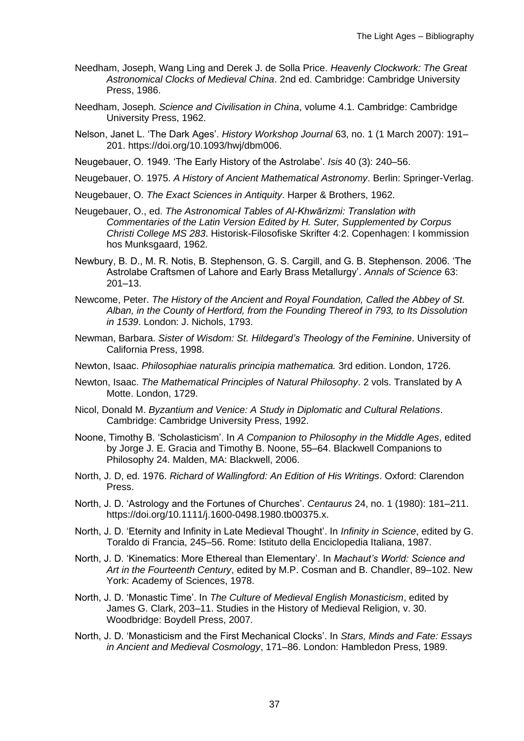- Needham, Joseph, Wang Ling and Derek J. de Solla Price. *Heavenly Clockwork: The Great Astronomical Clocks of Medieval China*. 2nd ed. Cambridge: Cambridge University Press, 1986.
- Needham, Joseph. *Science and Civilisation in China*, volume 4.1. Cambridge: Cambridge University Press, 1962.
- Nelson, Janet L. 'The Dark Ages'. *History Workshop Journal* 63, no. 1 (1 March 2007): 191– 201. https://doi.org/10.1093/hwj/dbm006.
- Neugebauer, O. 1949. 'The Early History of the Astrolabe'. *Isis* 40 (3): 240–56.
- Neugebauer, O. 1975. *A History of Ancient Mathematical Astronomy*. Berlin: Springer-Verlag.
- Neugebauer, O. *The Exact Sciences in Antiquity*. Harper & Brothers, 1962.
- Neugebauer, O., ed. *The Astronomical Tables of Al-Khwārizmi: Translation with Commentaries of the Latin Version Edited by H. Suter, Supplemented by Corpus Christi College MS 283*. Historisk-Filosofiske Skrifter 4:2. Copenhagen: I kommission hos Munksgaard, 1962.
- Newbury, B. D., M. R. Notis, B. Stephenson, G. S. Cargill, and G. B. Stephenson. 2006. 'The Astrolabe Craftsmen of Lahore and Early Brass Metallurgy'. *Annals of Science* 63: 201–13.
- Newcome, Peter. *The History of the Ancient and Royal Foundation, Called the Abbey of St. Alban, in the County of Hertford, from the Founding Thereof in 793, to Its Dissolution in 1539*. London: J. Nichols, 1793.
- Newman, Barbara. *Sister of Wisdom: St. Hildegard's Theology of the Feminine*. University of California Press, 1998.
- Newton, Isaac. *Philosophiae naturalis principia mathematica.* 3rd edition. London, 1726.
- Newton, Isaac. *The Mathematical Principles of Natural Philosophy*. 2 vols. Translated by A Motte. London, 1729.
- Nicol, Donald M. *Byzantium and Venice: A Study in Diplomatic and Cultural Relations*. Cambridge: Cambridge University Press, 1992.
- Noone, Timothy B. 'Scholasticism'. In *A Companion to Philosophy in the Middle Ages*, edited by Jorge J. E. Gracia and Timothy B. Noone, 55–64. Blackwell Companions to Philosophy 24. Malden, MA: Blackwell, 2006.
- North, J. D, ed. 1976. *Richard of Wallingford: An Edition of His Writings*. Oxford: Clarendon Press.
- North, J. D. 'Astrology and the Fortunes of Churches'. *Centaurus* 24, no. 1 (1980): 181–211. https://doi.org/10.1111/j.1600-0498.1980.tb00375.x.
- North, J. D. 'Eternity and Infinity in Late Medieval Thought'. In *Infinity in Science*, edited by G. Toraldo di Francia, 245–56. Rome: Istituto della Enciclopedia Italiana, 1987.
- North, J. D. 'Kinematics: More Ethereal than Elementary'. In *Machaut's World: Science and Art in the Fourteenth Century*, edited by M.P. Cosman and B. Chandler, 89–102. New York: Academy of Sciences, 1978.
- North, J. D. 'Monastic Time'. In *The Culture of Medieval English Monasticism*, edited by James G. Clark, 203–11. Studies in the History of Medieval Religion, v. 30. Woodbridge: Boydell Press, 2007.
- North, J. D. 'Monasticism and the First Mechanical Clocks'. In *Stars, Minds and Fate: Essays in Ancient and Medieval Cosmology*, 171–86. London: Hambledon Press, 1989.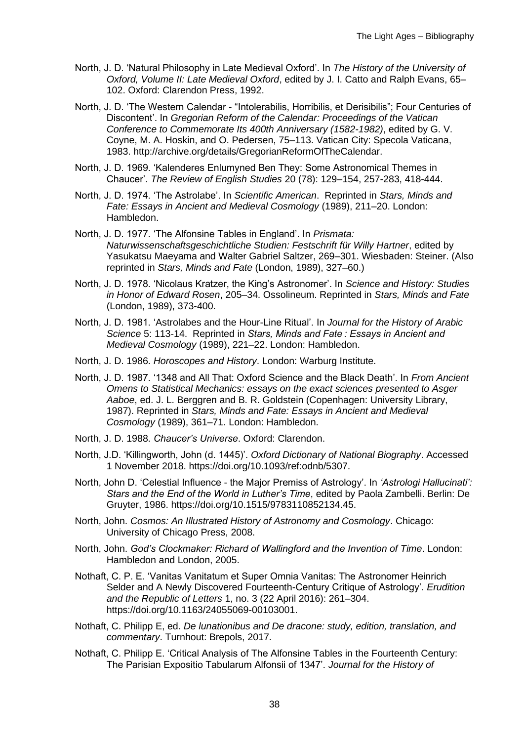- North, J. D. 'Natural Philosophy in Late Medieval Oxford'. In *The History of the University of Oxford, Volume II: Late Medieval Oxford*, edited by J. I. Catto and Ralph Evans, 65– 102. Oxford: Clarendon Press, 1992.
- North, J. D. 'The Western Calendar "Intolerabilis, Horribilis, et Derisibilis"; Four Centuries of Discontent'. In *Gregorian Reform of the Calendar: Proceedings of the Vatican Conference to Commemorate Its 400th Anniversary (1582-1982)*, edited by G. V. Coyne, M. A. Hoskin, and O. Pedersen, 75–113. Vatican City: Specola Vaticana, 1983. http://archive.org/details/GregorianReformOfTheCalendar.
- North, J. D. 1969. 'Kalenderes Enlumyned Ben They: Some Astronomical Themes in Chaucer'. *The Review of English Studies* 20 (78): 129–154, 257-283, 418-444.
- North, J. D. 1974. 'The Astrolabe'. In *Scientific American*. Reprinted in *Stars, Minds and Fate: Essays in Ancient and Medieval Cosmology* (1989), 211–20. London: Hambledon.
- North, J. D. 1977. 'The Alfonsine Tables in England'. In *Prismata: Naturwissenschaftsgeschichtliche Studien: Festschrift für Willy Hartner*, edited by Yasukatsu Maeyama and Walter Gabriel Saltzer, 269–301. Wiesbaden: Steiner. (Also reprinted in *Stars, Minds and Fate* (London, 1989), 327–60.)
- North, J. D. 1978. 'Nicolaus Kratzer, the King's Astronomer'. In *Science and History: Studies in Honor of Edward Rosen*, 205–34. Ossolineum. Reprinted in *Stars, Minds and Fate* (London, 1989), 373-400.
- North, J. D. 1981. 'Astrolabes and the Hour-Line Ritual'. In *Journal for the History of Arabic Science* 5: 113-14. Reprinted in *Stars, Minds and Fate : Essays in Ancient and Medieval Cosmology* (1989), 221–22. London: Hambledon.
- North, J. D. 1986. *Horoscopes and History*. London: Warburg Institute.
- North, J. D. 1987. '1348 and All That: Oxford Science and the Black Death'. In *From Ancient Omens to Statistical Mechanics: essays on the exact sciences presented to Asger Aaboe*, ed. J. L. Berggren and B. R. Goldstein (Copenhagen: University Library, 1987). Reprinted in *Stars, Minds and Fate: Essays in Ancient and Medieval Cosmology* (1989), 361–71. London: Hambledon.
- North, J. D. 1988. *Chaucer's Universe*. Oxford: Clarendon.
- North, J.D. 'Killingworth, John (d. 1445)'. *Oxford Dictionary of National Biography*. Accessed 1 November 2018. https://doi.org/10.1093/ref:odnb/5307.
- North, John D. 'Celestial Influence the Major Premiss of Astrology'. In *'Astrologi Hallucinati': Stars and the End of the World in Luther's Time*, edited by Paola Zambelli. Berlin: De Gruyter, 1986. https://doi.org/10.1515/9783110852134.45.
- North, John. *Cosmos: An Illustrated History of Astronomy and Cosmology*. Chicago: University of Chicago Press, 2008.
- North, John. *God's Clockmaker: Richard of Wallingford and the Invention of Time*. London: Hambledon and London, 2005.
- Nothaft, C. P. E. 'Vanitas Vanitatum et Super Omnia Vanitas: The Astronomer Heinrich Selder and A Newly Discovered Fourteenth-Century Critique of Astrology'. *Erudition and the Republic of Letters* 1, no. 3 (22 April 2016): 261–304. https://doi.org/10.1163/24055069-00103001.
- Nothaft, C. Philipp E, ed. *De lunationibus and De dracone: study, edition, translation, and commentary*. Turnhout: Brepols, 2017.
- Nothaft, C. Philipp E. 'Critical Analysis of The Alfonsine Tables in the Fourteenth Century: The Parisian Expositio Tabularum Alfonsii of 1347'. *Journal for the History of*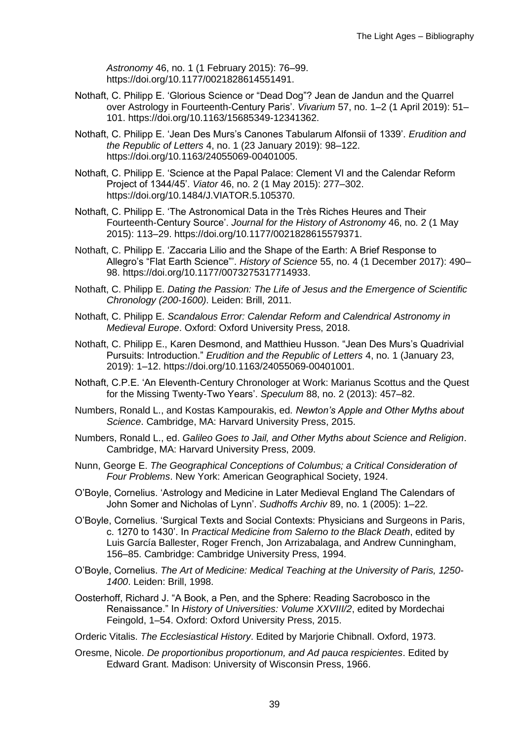*Astronomy* 46, no. 1 (1 February 2015): 76–99. https://doi.org/10.1177/0021828614551491.

- Nothaft, C. Philipp E. 'Glorious Science or "Dead Dog"? Jean de Jandun and the Quarrel over Astrology in Fourteenth-Century Paris'. *Vivarium* 57, no. 1–2 (1 April 2019): 51– 101. https://doi.org/10.1163/15685349-12341362.
- Nothaft, C. Philipp E. 'Jean Des Murs's Canones Tabularum Alfonsii of 1339'. *Erudition and the Republic of Letters* 4, no. 1 (23 January 2019): 98–122. https://doi.org/10.1163/24055069-00401005.
- Nothaft, C. Philipp E. 'Science at the Papal Palace: Clement VI and the Calendar Reform Project of 1344/45'. *Viator* 46, no. 2 (1 May 2015): 277–302. https://doi.org/10.1484/J.VIATOR.5.105370.
- Nothaft, C. Philipp E. 'The Astronomical Data in the Très Riches Heures and Their Fourteenth-Century Source'. *Journal for the History of Astronomy* 46, no. 2 (1 May 2015): 113–29. https://doi.org/10.1177/0021828615579371.
- Nothaft, C. Philipp E. 'Zaccaria Lilio and the Shape of the Earth: A Brief Response to Allegro's "Flat Earth Science"'. *History of Science* 55, no. 4 (1 December 2017): 490– 98. https://doi.org/10.1177/0073275317714933.
- Nothaft, C. Philipp E. *Dating the Passion: The Life of Jesus and the Emergence of Scientific Chronology (200-1600)*. Leiden: Brill, 2011.
- Nothaft, C. Philipp E. *Scandalous Error: Calendar Reform and Calendrical Astronomy in Medieval Europe*. Oxford: Oxford University Press, 2018.
- Nothaft, C. Philipp E., Karen Desmond, and Matthieu Husson. "Jean Des Murs's Quadrivial Pursuits: Introduction." *Erudition and the Republic of Letters* 4, no. 1 (January 23, 2019): 1–12. https://doi.org/10.1163/24055069-00401001.
- Nothaft, C.P.E. 'An Eleventh-Century Chronologer at Work: Marianus Scottus and the Quest for the Missing Twenty-Two Years'. *Speculum* 88, no. 2 (2013): 457–82.
- Numbers, Ronald L., and Kostas Kampourakis, ed. *Newton's Apple and Other Myths about Science*. Cambridge, MA: Harvard University Press, 2015.
- Numbers, Ronald L., ed. *Galileo Goes to Jail, and Other Myths about Science and Religion*. Cambridge, MA: Harvard University Press, 2009.
- Nunn, George E. *The Geographical Conceptions of Columbus; a Critical Consideration of Four Problems*. New York: American Geographical Society, 1924.
- O'Boyle, Cornelius. 'Astrology and Medicine in Later Medieval England The Calendars of John Somer and Nicholas of Lynn'. *Sudhoffs Archiv* 89, no. 1 (2005): 1–22.
- O'Boyle, Cornelius. 'Surgical Texts and Social Contexts: Physicians and Surgeons in Paris, c. 1270 to 1430'. In *Practical Medicine from Salerno to the Black Death*, edited by Luis García Ballester, Roger French, Jon Arrizabalaga, and Andrew Cunningham, 156–85. Cambridge: Cambridge University Press, 1994.
- O'Boyle, Cornelius. *The Art of Medicine: Medical Teaching at the University of Paris, 1250- 1400*. Leiden: Brill, 1998.
- Oosterhoff, Richard J. "A Book, a Pen, and the Sphere: Reading Sacrobosco in the Renaissance." In *History of Universities: Volume XXVIII/2*, edited by Mordechai Feingold, 1–54. Oxford: Oxford University Press, 2015.
- Orderic Vitalis. *The Ecclesiastical History*. Edited by Marjorie Chibnall. Oxford, 1973.
- Oresme, Nicole. *De proportionibus proportionum, and Ad pauca respicientes*. Edited by Edward Grant. Madison: University of Wisconsin Press, 1966.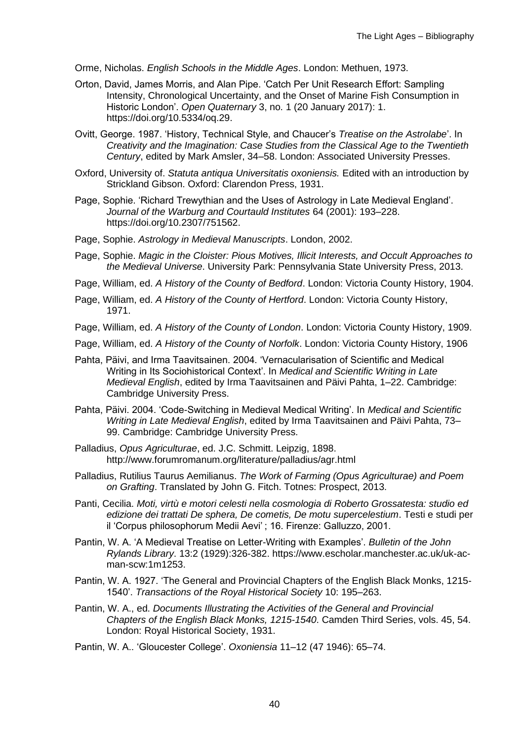Orme, Nicholas. *English Schools in the Middle Ages*. London: Methuen, 1973.

- Orton, David, James Morris, and Alan Pipe. 'Catch Per Unit Research Effort: Sampling Intensity, Chronological Uncertainty, and the Onset of Marine Fish Consumption in Historic London'. *Open Quaternary* 3, no. 1 (20 January 2017): 1. https://doi.org/10.5334/oq.29.
- Ovitt, George. 1987. 'History, Technical Style, and Chaucer's *Treatise on the Astrolabe*'. In *Creativity and the Imagination: Case Studies from the Classical Age to the Twentieth Century*, edited by Mark Amsler, 34–58. London: Associated University Presses.
- Oxford, University of. *Statuta antiqua Universitatis oxoniensis.* Edited with an introduction by Strickland Gibson. Oxford: Clarendon Press, 1931.
- Page, Sophie. 'Richard Trewythian and the Uses of Astrology in Late Medieval England'. *Journal of the Warburg and Courtauld Institutes* 64 (2001): 193–228. https://doi.org/10.2307/751562.
- Page, Sophie. *Astrology in Medieval Manuscripts*. London, 2002.
- Page, Sophie. *Magic in the Cloister: Pious Motives, Illicit Interests, and Occult Approaches to the Medieval Universe*. University Park: Pennsylvania State University Press, 2013.
- Page, William, ed. *A History of the County of Bedford*. London: Victoria County History, 1904.
- Page, William, ed. *A History of the County of Hertford*. London: Victoria County History, 1971.
- Page, William, ed. *A History of the County of London*. London: Victoria County History, 1909.
- Page, William, ed. *A History of the County of Norfolk*. London: Victoria County History, 1906
- Pahta, Päivi, and Irma Taavitsainen. 2004. 'Vernacularisation of Scientific and Medical Writing in Its Sociohistorical Context'. In *Medical and Scientific Writing in Late Medieval English*, edited by Irma Taavitsainen and Päivi Pahta, 1–22. Cambridge: Cambridge University Press.
- Pahta, Päivi. 2004. 'Code-Switching in Medieval Medical Writing'. In *Medical and Scientific Writing in Late Medieval English*, edited by Irma Taavitsainen and Päivi Pahta, 73– 99. Cambridge: Cambridge University Press.
- Palladius, *Opus Agriculturae*, ed. J.C. Schmitt. Leipzig, 1898. http://www.forumromanum.org/literature/palladius/agr.html
- Palladius, Rutilius Taurus Aemilianus. *The Work of Farming (Opus Agriculturae) and Poem on Grafting*. Translated by John G. Fitch. Totnes: Prospect, 2013.
- Panti, Cecilia. *Moti, virtù e motori celesti nella cosmologia di Roberto Grossatesta: studio ed edizione dei trattati De sphera, De cometis, De motu supercelestium*. Testi e studi per il 'Corpus philosophorum Medii Aevi' ; 16. Firenze: Galluzzo, 2001.
- Pantin, W. A. 'A Medieval Treatise on Letter-Writing with Examples'. *Bulletin of the John Rylands Library*. 13:2 (1929):326-382. https://www.escholar.manchester.ac.uk/uk-acman-scw:1m1253.
- Pantin, W. A. 1927. 'The General and Provincial Chapters of the English Black Monks, 1215- 1540'. *Transactions of the Royal Historical Society* 10: 195–263.
- Pantin, W. A., ed. *Documents Illustrating the Activities of the General and Provincial Chapters of the English Black Monks, 1215-1540*. Camden Third Series, vols. 45, 54. London: Royal Historical Society, 1931.
- Pantin, W. A.. 'Gloucester College'. *Oxoniensia* 11–12 (47 1946): 65–74.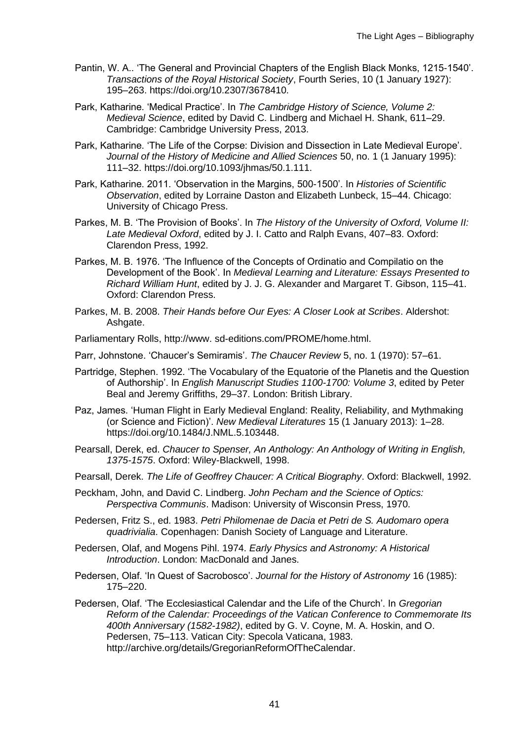- Pantin, W. A.. 'The General and Provincial Chapters of the English Black Monks, 1215-1540'. *Transactions of the Royal Historical Society*, Fourth Series, 10 (1 January 1927): 195–263. https://doi.org/10.2307/3678410.
- Park, Katharine. 'Medical Practice'. In *The Cambridge History of Science, Volume 2: Medieval Science*, edited by David C. Lindberg and Michael H. Shank, 611–29. Cambridge: Cambridge University Press, 2013.
- Park, Katharine. 'The Life of the Corpse: Division and Dissection in Late Medieval Europe'. *Journal of the History of Medicine and Allied Sciences* 50, no. 1 (1 January 1995): 111–32. https://doi.org/10.1093/jhmas/50.1.111.
- Park, Katharine. 2011. 'Observation in the Margins, 500-1500'. In *Histories of Scientific Observation*, edited by Lorraine Daston and Elizabeth Lunbeck, 15–44. Chicago: University of Chicago Press.
- Parkes, M. B. 'The Provision of Books'. In *The History of the University of Oxford, Volume II: Late Medieval Oxford*, edited by J. I. Catto and Ralph Evans, 407–83. Oxford: Clarendon Press, 1992.
- Parkes, M. B. 1976. 'The Influence of the Concepts of Ordinatio and Compilatio on the Development of the Book'. In *Medieval Learning and Literature: Essays Presented to Richard William Hunt*, edited by J. J. G. Alexander and Margaret T. Gibson, 115–41. Oxford: Clarendon Press.
- Parkes, M. B. 2008. *Their Hands before Our Eyes: A Closer Look at Scribes*. Aldershot: Ashgate.
- Parliamentary Rolls, http://www. sd-editions.com/PROME/home.html.
- Parr, Johnstone. 'Chaucer's Semiramis'. *The Chaucer Review* 5, no. 1 (1970): 57–61.
- Partridge, Stephen. 1992. 'The Vocabulary of the Equatorie of the Planetis and the Question of Authorship'. In *English Manuscript Studies 1100-1700: Volume 3*, edited by Peter Beal and Jeremy Griffiths, 29–37. London: British Library.
- Paz, James. 'Human Flight in Early Medieval England: Reality, Reliability, and Mythmaking (or Science and Fiction)'. *New Medieval Literatures* 15 (1 January 2013): 1–28. https://doi.org/10.1484/J.NML.5.103448.
- Pearsall, Derek, ed. *Chaucer to Spenser, An Anthology: An Anthology of Writing in English, 1375-1575*. Oxford: Wiley-Blackwell, 1998.
- Pearsall, Derek. *The Life of Geoffrey Chaucer: A Critical Biography*. Oxford: Blackwell, 1992.
- Peckham, John, and David C. Lindberg. *John Pecham and the Science of Optics: Perspectiva Communis*. Madison: University of Wisconsin Press, 1970.
- Pedersen, Fritz S., ed. 1983. *Petri Philomenae de Dacia et Petri de S. Audomaro opera quadrivialia*. Copenhagen: Danish Society of Language and Literature.
- Pedersen, Olaf, and Mogens Pihl. 1974. *Early Physics and Astronomy: A Historical Introduction*. London: MacDonald and Janes.
- Pedersen, Olaf. 'In Quest of Sacrobosco'. *Journal for the History of Astronomy* 16 (1985): 175–220.
- Pedersen, Olaf. 'The Ecclesiastical Calendar and the Life of the Church'. In *Gregorian Reform of the Calendar: Proceedings of the Vatican Conference to Commemorate Its 400th Anniversary (1582-1982)*, edited by G. V. Coyne, M. A. Hoskin, and O. Pedersen, 75–113. Vatican City: Specola Vaticana, 1983. http://archive.org/details/GregorianReformOfTheCalendar.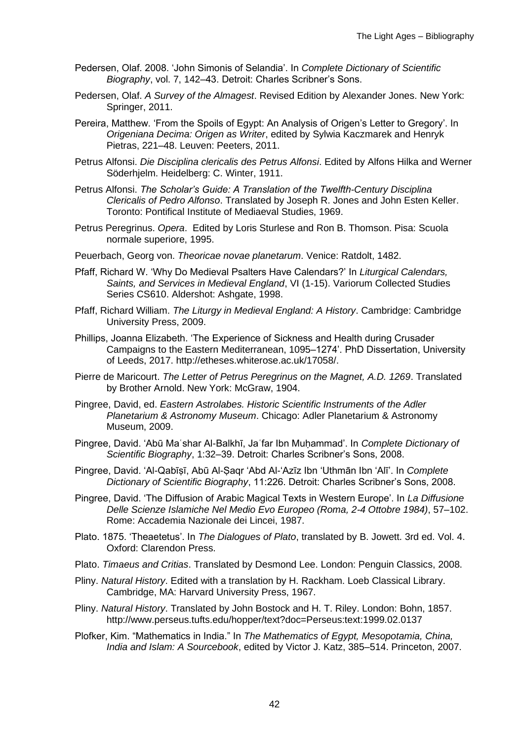- Pedersen, Olaf. 2008. 'John Simonis of Selandia'. In *Complete Dictionary of Scientific Biography*, vol. 7, 142–43. Detroit: Charles Scribner's Sons.
- Pedersen, Olaf. *A Survey of the Almagest*. Revised Edition by Alexander Jones. New York: Springer, 2011.
- Pereira, Matthew. 'From the Spoils of Egypt: An Analysis of Origen's Letter to Gregory'. In *Origeniana Decima: Origen as Writer*, edited by Sylwia Kaczmarek and Henryk Pietras, 221–48. Leuven: Peeters, 2011.
- Petrus Alfonsi. *Die Disciplina clericalis des Petrus Alfonsi*. Edited by Alfons Hilka and Werner Söderhjelm. Heidelberg: C. Winter, 1911.
- Petrus Alfonsi. *The Scholar's Guide: A Translation of the Twelfth-Century Disciplina Clericalis of Pedro Alfonso*. Translated by Joseph R. Jones and John Esten Keller. Toronto: Pontifical Institute of Mediaeval Studies, 1969.
- Petrus Peregrinus. *Opera*. Edited by Loris Sturlese and Ron B. Thomson. Pisa: Scuola normale superiore, 1995.
- Peuerbach, Georg von. *Theoricae novae planetarum*. Venice: Ratdolt, 1482.
- Pfaff, Richard W. 'Why Do Medieval Psalters Have Calendars?' In *Liturgical Calendars, Saints, and Services in Medieval England*, VI (1-15). Variorum Collected Studies Series CS610. Aldershot: Ashgate, 1998.
- Pfaff, Richard William. *The Liturgy in Medieval England: A History*. Cambridge: Cambridge University Press, 2009.
- Phillips, Joanna Elizabeth. 'The Experience of Sickness and Health during Crusader Campaigns to the Eastern Mediterranean, 1095–1274'. PhD Dissertation, University of Leeds, 2017. http://etheses.whiterose.ac.uk/17058/.
- Pierre de Maricourt. *The Letter of Petrus Peregrinus on the Magnet, A.D. 1269*. Translated by Brother Arnold. New York: McGraw, 1904.
- Pingree, David, ed. *Eastern Astrolabes. Historic Scientific Instruments of the Adler Planetarium & Astronomy Museum*. Chicago: Adler Planetarium & Astronomy Museum, 2009.
- Pingree, David. 'Abū Maʿshar Al-Balkhī, Jaʿfar Ibn Muḥammad'. In *Complete Dictionary of Scientific Biography*, 1:32–39. Detroit: Charles Scribner's Sons, 2008.
- Pingree, David. 'Al-Qabīṣī, Abū Al-Ṣaqr 'Abd Al-'Azīz Ibn 'Uthmān Ibn 'Alī'. In *Complete Dictionary of Scientific Biography*, 11:226. Detroit: Charles Scribner's Sons, 2008.
- Pingree, David. 'The Diffusion of Arabic Magical Texts in Western Europe'. In *La Diffusione Delle Scienze Islamiche Nel Medio Evo Europeo (Roma, 2-4 Ottobre 1984)*, 57–102. Rome: Accademia Nazionale dei Lincei, 1987.
- Plato. 1875. 'Theaetetus'. In *The Dialogues of Plato*, translated by B. Jowett. 3rd ed. Vol. 4. Oxford: Clarendon Press.
- Plato. *Timaeus and Critias*. Translated by Desmond Lee. London: Penguin Classics, 2008.
- Pliny. *Natural History*. Edited with a translation by H. Rackham. Loeb Classical Library. Cambridge, MA: Harvard University Press, 1967.
- Pliny. *Natural History*. Translated by John Bostock and H. T. Riley. London: Bohn, 1857. http://www.perseus.tufts.edu/hopper/text?doc=Perseus:text:1999.02.0137
- Plofker, Kim. "Mathematics in India." In *The Mathematics of Egypt, Mesopotamia, China, India and Islam: A Sourcebook*, edited by Victor J. Katz, 385–514. Princeton, 2007.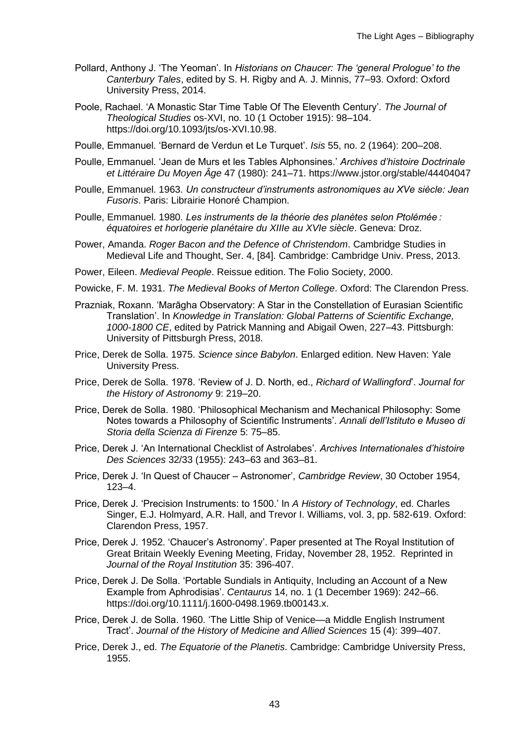- Pollard, Anthony J. 'The Yeoman'. In *Historians on Chaucer: The 'general Prologue' to the Canterbury Tales*, edited by S. H. Rigby and A. J. Minnis, 77–93. Oxford: Oxford University Press, 2014.
- Poole, Rachael. 'A Monastic Star Time Table Of The Eleventh Century'. *The Journal of Theological Studies* os-XVI, no. 10 (1 October 1915): 98–104. https://doi.org/10.1093/jts/os-XVI.10.98.
- Poulle, Emmanuel. 'Bernard de Verdun et Le Turquet'. *Isis* 55, no. 2 (1964): 200–208.
- Poulle, Emmanuel. 'Jean de Murs et les Tables Alphonsines.' *Archives d'histoire Doctrinale et Littéraire Du Moyen Âge* 47 (1980): 241–71. https://www.jstor.org/stable/44404047
- Poulle, Emmanuel. 1963. *Un constructeur d'instruments astronomiques au XVe siècle: Jean Fusoris*. Paris: Librairie Honoré Champion.
- Poulle, Emmanuel. 1980. *Les instruments de la théorie des planètes selon Ptolémée : équatoires et horlogerie planétaire du XIIIe au XVIe siècle*. Geneva: Droz.
- Power, Amanda. *Roger Bacon and the Defence of Christendom*. Cambridge Studies in Medieval Life and Thought, Ser. 4, [84]. Cambridge: Cambridge Univ. Press, 2013.
- Power, Eileen. *Medieval People*. Reissue edition. The Folio Society, 2000.
- Powicke, F. M. 1931. *The Medieval Books of Merton College*. Oxford: The Clarendon Press.
- Prazniak, Roxann. 'Marāgha Observatory: A Star in the Constellation of Eurasian Scientific Translation'. In *Knowledge in Translation: Global Patterns of Scientific Exchange, 1000-1800 CE*, edited by Patrick Manning and Abigail Owen, 227–43. Pittsburgh: University of Pittsburgh Press, 2018.
- Price, Derek de Solla. 1975. *Science since Babylon*. Enlarged edition. New Haven: Yale University Press.
- Price, Derek de Solla. 1978. 'Review of J. D. North, ed., *Richard of Wallingford*'. *Journal for the History of Astronomy* 9: 219–20.
- Price, Derek de Solla. 1980. 'Philosophical Mechanism and Mechanical Philosophy: Some Notes towards a Philosophy of Scientific Instruments'. *Annali dell'Istituto e Museo di Storia della Scienza di Firenze* 5: 75–85.
- Price, Derek J. 'An International Checklist of Astrolabes'. *Archives Internationales d'histoire Des Sciences* 32/33 (1955): 243–63 and 363–81.
- Price, Derek J. 'In Quest of Chaucer Astronomer', *Cambridge Review*, 30 October 1954, 123–4.
- Price, Derek J. 'Precision Instruments: to 1500.' In *A History of Technology*, ed. Charles Singer, E.J. Holmyard, A.R. Hall, and Trevor I. Williams, vol. 3, pp. 582-619. Oxford: Clarendon Press, 1957.
- Price, Derek J. 1952. 'Chaucer's Astronomy'. Paper presented at The Royal Institution of Great Britain Weekly Evening Meeting, Friday, November 28, 1952. Reprinted in *Journal of the Royal Institution* 35: 396-407.
- Price, Derek J. De Solla. 'Portable Sundials in Antiquity, Including an Account of a New Example from Aphrodisias'. *Centaurus* 14, no. 1 (1 December 1969): 242–66. https://doi.org/10.1111/j.1600-0498.1969.tb00143.x.
- Price, Derek J. de Solla. 1960. 'The Little Ship of Venice—a Middle English Instrument Tract'. *Journal of the History of Medicine and Allied Sciences* 15 (4): 399–407.
- Price, Derek J., ed. *The Equatorie of the Planetis*. Cambridge: Cambridge University Press, 1955.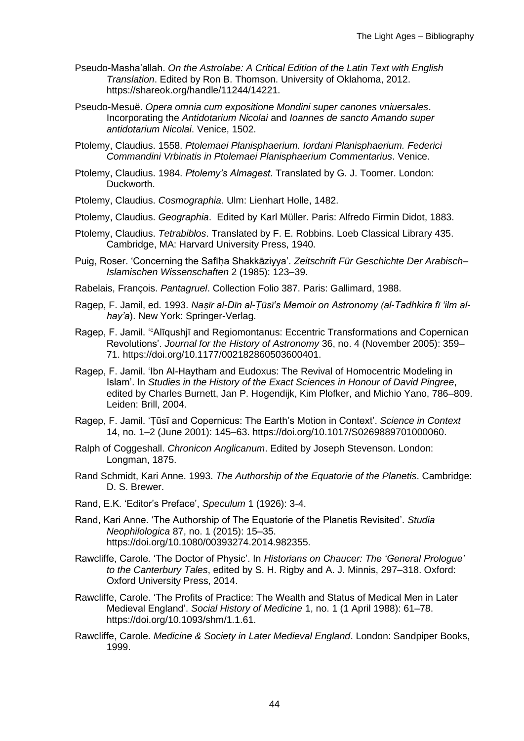- Pseudo-Masha'allah. *On the Astrolabe: A Critical Edition of the Latin Text with English Translation*. Edited by Ron B. Thomson. University of Oklahoma, 2012. https://shareok.org/handle/11244/14221.
- Pseudo-Mesuë. *Opera omnia cum expositione Mondini super canones vniuersales*. Incorporating the *Antidotarium Nicolai* and *Ioannes de sancto Amando super antidotarium Nicolai*. Venice, 1502.
- Ptolemy, Claudius. 1558. *Ptolemaei Planisphaerium. Iordani Planisphaerium. Federici Commandini Vrbinatis in Ptolemaei Planisphaerium Commentarius*. Venice.
- Ptolemy, Claudius. 1984. *Ptolemy's Almagest*. Translated by G. J. Toomer. London: Duckworth.
- Ptolemy, Claudius. *Cosmographia*. Ulm: Lienhart Holle, 1482.
- Ptolemy, Claudius. *Geographia*. Edited by Karl Müller. Paris: Alfredo Firmin Didot, 1883.
- Ptolemy, Claudius. *Tetrabiblos*. Translated by F. E. Robbins. Loeb Classical Library 435. Cambridge, MA: Harvard University Press, 1940.
- Puig, Roser. 'Concerning the Safīḥa Shakkāziyya'. *Zeitschrift Für Geschichte Der Arabisch– Islamischen Wissenschaften* 2 (1985): 123–39.
- Rabelais, François. *Pantagruel*. Collection Folio 387. Paris: Gallimard, 1988.
- Ragep, F. Jamil, ed. 1993. *Naṣīr al-Dīn al-Ṭūsī's Memoir on Astronomy (al-Tadhkira fī ʻilm alhay'a*). New York: Springer-Verlag.
- Ragep, F. Jamil. '<sup>c</sup>Alīqushjī and Regiomontanus: Eccentric Transformations and Copernican Revolutions'. *Journal for the History of Astronomy* 36, no. 4 (November 2005): 359– 71. https://doi.org/10.1177/002182860503600401.
- Ragep, F. Jamil. 'Ibn Al-Haytham and Eudoxus: The Revival of Homocentric Modeling in Islam'. In *Studies in the History of the Exact Sciences in Honour of David Pingree*, edited by Charles Burnett, Jan P. Hogendijk, Kim Plofker, and Michio Yano, 786–809. Leiden: Brill, 2004.
- Ragep, F. Jamil. 'Ṭūsī and Copernicus: The Earth's Motion in Context'. *Science in Context* 14, no. 1–2 (June 2001): 145–63. https://doi.org/10.1017/S0269889701000060.
- Ralph of Coggeshall. *Chronicon Anglicanum*. Edited by Joseph Stevenson. London: Longman, 1875.
- Rand Schmidt, Kari Anne. 1993. *The Authorship of the Equatorie of the Planetis*. Cambridge: D. S. Brewer.
- Rand, E.K. 'Editor's Preface', *Speculum* 1 (1926): 3-4.
- Rand, Kari Anne. 'The Authorship of The Equatorie of the Planetis Revisited'. *Studia Neophilologica* 87, no. 1 (2015): 15–35. https://doi.org/10.1080/00393274.2014.982355.
- Rawcliffe, Carole. 'The Doctor of Physic'. In *Historians on Chaucer: The 'General Prologue' to the Canterbury Tales*, edited by S. H. Rigby and A. J. Minnis, 297–318. Oxford: Oxford University Press, 2014.
- Rawcliffe, Carole. 'The Profits of Practice: The Wealth and Status of Medical Men in Later Medieval England'. *Social History of Medicine* 1, no. 1 (1 April 1988): 61–78. https://doi.org/10.1093/shm/1.1.61.
- Rawcliffe, Carole. *Medicine & Society in Later Medieval England*. London: Sandpiper Books, 1999.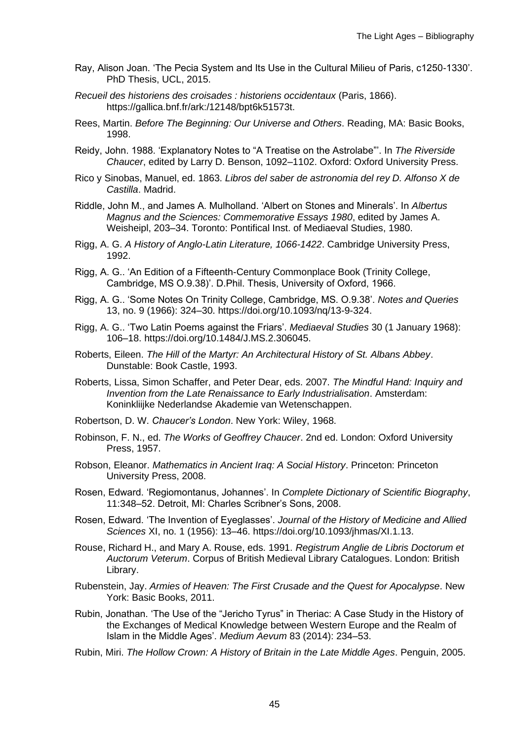- Ray, Alison Joan. 'The Pecia System and Its Use in the Cultural Milieu of Paris, c1250-1330'. PhD Thesis, UCL, 2015.
- *Recueil des historiens des croisades : historiens occidentaux* (Paris, 1866). https://gallica.bnf.fr/ark:/12148/bpt6k51573t.
- Rees, Martin. *Before The Beginning: Our Universe and Others*. Reading, MA: Basic Books, 1998.
- Reidy, John. 1988. 'Explanatory Notes to "A Treatise on the Astrolabe"'. In *The Riverside Chaucer*, edited by Larry D. Benson, 1092–1102. Oxford: Oxford University Press.
- Rico y Sinobas, Manuel, ed. 1863. *Libros del saber de astronomia del rey D. Alfonso X de Castilla*. Madrid.
- Riddle, John M., and James A. Mulholland. 'Albert on Stones and Minerals'. In *Albertus Magnus and the Sciences: Commemorative Essays 1980*, edited by James A. Weisheipl, 203–34. Toronto: Pontifical Inst. of Mediaeval Studies, 1980.
- Rigg, A. G. *A History of Anglo-Latin Literature, 1066-1422*. Cambridge University Press, 1992.
- Rigg, A. G.. 'An Edition of a Fifteenth-Century Commonplace Book (Trinity College, Cambridge, MS O.9.38)'. D.Phil. Thesis, University of Oxford, 1966.
- Rigg, A. G.. 'Some Notes On Trinity College, Cambridge, MS. O.9.38'. *Notes and Queries* 13, no. 9 (1966): 324–30. https://doi.org/10.1093/nq/13-9-324.
- Rigg, A. G.. 'Two Latin Poems against the Friars'. *Mediaeval Studies* 30 (1 January 1968): 106–18. https://doi.org/10.1484/J.MS.2.306045.
- Roberts, Eileen. *The Hill of the Martyr: An Architectural History of St. Albans Abbey*. Dunstable: Book Castle, 1993.
- Roberts, Lissa, Simon Schaffer, and Peter Dear, eds. 2007. *The Mindful Hand: Inquiry and Invention from the Late Renaissance to Early Industrialisation*. Amsterdam: Koninkliijke Nederlandse Akademie van Wetenschappen.
- Robertson, D. W. *Chaucer's London*. New York: Wiley, 1968.
- Robinson, F. N., ed. *The Works of Geoffrey Chaucer*. 2nd ed. London: Oxford University Press, 1957.
- Robson, Eleanor. *Mathematics in Ancient Iraq: A Social History*. Princeton: Princeton University Press, 2008.
- Rosen, Edward. 'Regiomontanus, Johannes'. In *Complete Dictionary of Scientific Biography*, 11:348–52. Detroit, MI: Charles Scribner's Sons, 2008.
- Rosen, Edward. 'The Invention of Eyeglasses'. *Journal of the History of Medicine and Allied Sciences* XI, no. 1 (1956): 13–46. https://doi.org/10.1093/jhmas/XI.1.13.
- Rouse, Richard H., and Mary A. Rouse, eds. 1991. *Registrum Anglie de Libris Doctorum et Auctorum Veterum*. Corpus of British Medieval Library Catalogues. London: British Library.
- Rubenstein, Jay. *Armies of Heaven: The First Crusade and the Quest for Apocalypse*. New York: Basic Books, 2011.
- Rubin, Jonathan. 'The Use of the "Jericho Tyrus" in Theriac: A Case Study in the History of the Exchanges of Medical Knowledge between Western Europe and the Realm of Islam in the Middle Ages'. *Medium Aevum* 83 (2014): 234–53.
- Rubin, Miri. *The Hollow Crown: A History of Britain in the Late Middle Ages*. Penguin, 2005.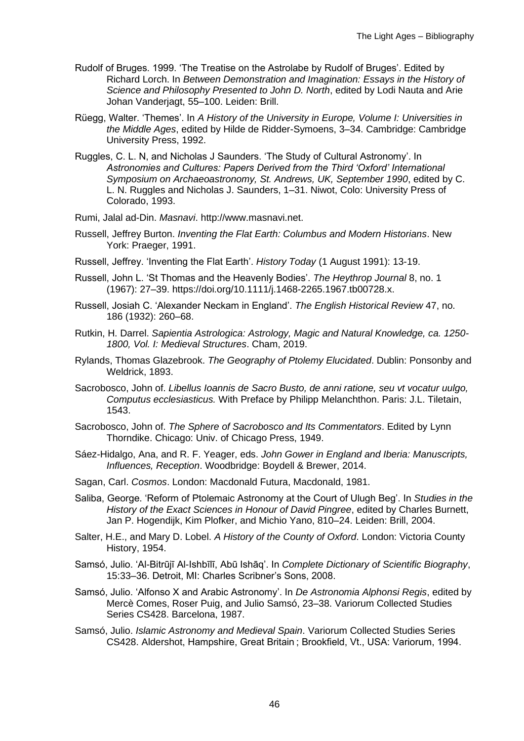- Rudolf of Bruges. 1999. 'The Treatise on the Astrolabe by Rudolf of Bruges'. Edited by Richard Lorch. In *Between Demonstration and Imagination: Essays in the History of Science and Philosophy Presented to John D. North*, edited by Lodi Nauta and Arie Johan Vanderjagt, 55–100. Leiden: Brill.
- Rüegg, Walter. 'Themes'. In *A History of the University in Europe, Volume I: Universities in the Middle Ages*, edited by Hilde de Ridder-Symoens, 3–34. Cambridge: Cambridge University Press, 1992.
- Ruggles, C. L. N, and Nicholas J Saunders. 'The Study of Cultural Astronomy'. In *Astronomies and Cultures: Papers Derived from the Third 'Oxford' International Symposium on Archaeoastronomy, St. Andrews, UK, September 1990*, edited by C. L. N. Ruggles and Nicholas J. Saunders, 1–31. Niwot, Colo: University Press of Colorado, 1993.
- Rumi, Jalal ad-Din. *Masnavi*. http://www.masnavi.net.
- Russell, Jeffrey Burton. *Inventing the Flat Earth: Columbus and Modern Historians*. New York: Praeger, 1991.
- Russell, Jeffrey. 'Inventing the Flat Earth'. *History Today* (1 August 1991): 13-19.
- Russell, John L. 'St Thomas and the Heavenly Bodies'. *The Heythrop Journal* 8, no. 1 (1967): 27–39. https://doi.org/10.1111/j.1468-2265.1967.tb00728.x.
- Russell, Josiah C. 'Alexander Neckam in England'. *The English Historical Review* 47, no. 186 (1932): 260–68.
- Rutkin, H. Darrel. *Sapientia Astrologica: Astrology, Magic and Natural Knowledge, ca. 1250- 1800, Vol. I: Medieval Structures*. Cham, 2019.
- Rylands, Thomas Glazebrook. *The Geography of Ptolemy Elucidated*. Dublin: Ponsonby and Weldrick, 1893.
- Sacrobosco, John of. *Libellus Ioannis de Sacro Busto, de anni ratione, seu vt vocatur uulgo, Computus ecclesiasticus.* With Preface by Philipp Melanchthon. Paris: J.L. Tiletain, 1543.
- Sacrobosco, John of. *The Sphere of Sacrobosco and Its Commentators*. Edited by Lynn Thorndike. Chicago: Univ. of Chicago Press, 1949.
- Sáez-Hidalgo, Ana, and R. F. Yeager, eds. *John Gower in England and Iberia: Manuscripts, Influences, Reception*. Woodbridge: Boydell & Brewer, 2014.
- Sagan, Carl. *Cosmos*. London: Macdonald Futura, Macdonald, 1981.
- Saliba, George. 'Reform of Ptolemaic Astronomy at the Court of Ulugh Beg'. In *Studies in the History of the Exact Sciences in Honour of David Pingree*, edited by Charles Burnett, Jan P. Hogendijk, Kim Plofker, and Michio Yano, 810–24. Leiden: Brill, 2004.
- Salter, H.E., and Mary D. Lobel. *A History of the County of Oxford*. London: Victoria County History, 1954.
- Samsó, Julio. 'Al-Bitrūjī Al-Ishbīlī, Abū Ishāq'. In *Complete Dictionary of Scientific Biography*, 15:33–36. Detroit, MI: Charles Scribner's Sons, 2008.
- Samsó, Julio. 'Alfonso X and Arabic Astronomy'. In *De Astronomia Alphonsi Regis*, edited by Mercè Comes, Roser Puig, and Julio Samsó, 23–38. Variorum Collected Studies Series CS428. Barcelona, 1987.
- Samsó, Julio. *Islamic Astronomy and Medieval Spain*. Variorum Collected Studies Series CS428. Aldershot, Hampshire, Great Britain ; Brookfield, Vt., USA: Variorum, 1994.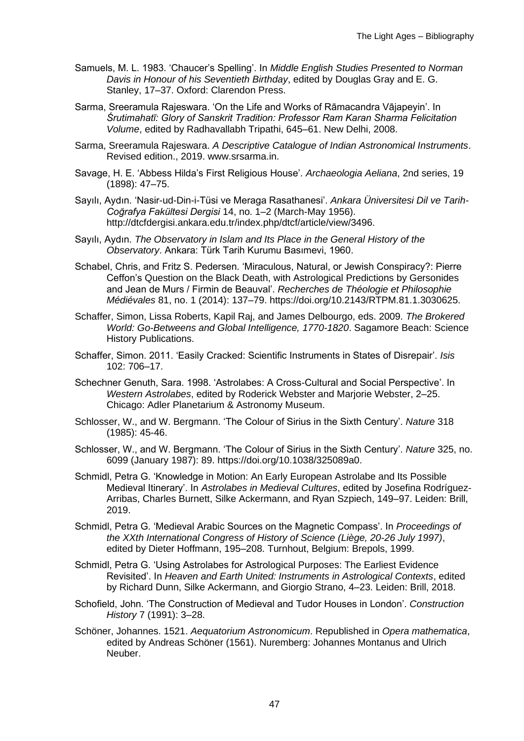- Samuels, M. L. 1983. 'Chaucer's Spelling'. In *Middle English Studies Presented to Norman Davis in Honour of his Seventieth Birthday*, edited by Douglas Gray and E. G. Stanley, 17–37. Oxford: Clarendon Press.
- Sarma, Sreeramula Rajeswara. 'On the Life and Works of Rāmacandra Vājapeyin'. In *Śrutimahatī: Glory of Sanskrit Tradition: Professor Ram Karan Sharma Felicitation Volume*, edited by Radhavallabh Tripathi, 645–61. New Delhi, 2008.
- Sarma, Sreeramula Rajeswara. *A Descriptive Catalogue of Indian Astronomical Instruments*. Revised edition., 2019. www.srsarma.in.
- Savage, H. E. 'Abbess Hilda's First Religious House'. *Archaeologia Aeliana*, 2nd series, 19 (1898): 47–75.
- Sayılı, Aydın. 'Nasir-ud-Din-i-Tüsi ve Meraga Rasathanesi'. *Ankara Üniversitesi Dil ve Tarih-Coğrafya Fakültesi Dergisi* 14, no. 1–2 (March-May 1956). http://dtcfdergisi.ankara.edu.tr/index.php/dtcf/article/view/3496.
- Sayılı, Aydın. *The Observatory in Islam and Its Place in the General History of the Observatory*. Ankara: Türk Tarih Kurumu Basımevi, 1960.
- Schabel, Chris, and Fritz S. Pedersen. 'Miraculous, Natural, or Jewish Conspiracy?: Pierre Ceffon's Question on the Black Death, with Astrological Predictions by Gersonides and Jean de Murs / Firmin de Beauval'. *Recherches de Théologie et Philosophie Médiévales* 81, no. 1 (2014): 137–79. https://doi.org/10.2143/RTPM.81.1.3030625.
- Schaffer, Simon, Lissa Roberts, Kapil Raj, and James Delbourgo, eds. 2009. *The Brokered World: Go-Betweens and Global Intelligence, 1770-1820*. Sagamore Beach: Science History Publications.
- Schaffer, Simon. 2011. 'Easily Cracked: Scientific Instruments in States of Disrepair'. *Isis* 102: 706–17.
- Schechner Genuth, Sara. 1998. 'Astrolabes: A Cross-Cultural and Social Perspective'. In *Western Astrolabes*, edited by Roderick Webster and Marjorie Webster, 2–25. Chicago: Adler Planetarium & Astronomy Museum.
- Schlosser, W., and W. Bergmann. 'The Colour of Sirius in the Sixth Century'. *Nature* 318 (1985): 45-46.
- Schlosser, W., and W. Bergmann. 'The Colour of Sirius in the Sixth Century'. *Nature* 325, no. 6099 (January 1987): 89. https://doi.org/10.1038/325089a0.
- Schmidl, Petra G. 'Knowledge in Motion: An Early European Astrolabe and Its Possible Medieval Itinerary'. In *Astrolabes in Medieval Cultures*, edited by Josefina Rodríguez-Arribas, Charles Burnett, Silke Ackermann, and Ryan Szpiech, 149–97. Leiden: Brill, 2019.
- Schmidl, Petra G. 'Medieval Arabic Sources on the Magnetic Compass'. In *Proceedings of the XXth International Congress of History of Science (Liège, 20-26 July 1997)*, edited by Dieter Hoffmann, 195–208. Turnhout, Belgium: Brepols, 1999.
- Schmidl, Petra G. 'Using Astrolabes for Astrological Purposes: The Earliest Evidence Revisited'. In *Heaven and Earth United: Instruments in Astrological Contexts*, edited by Richard Dunn, Silke Ackermann, and Giorgio Strano, 4–23. Leiden: Brill, 2018.
- Schofield, John. 'The Construction of Medieval and Tudor Houses in London'. *Construction History* 7 (1991): 3–28.
- Schöner, Johannes. 1521. *Aequatorium Astronomicum*. Republished in *Opera mathematica*, edited by Andreas Schöner (1561). Nuremberg: Johannes Montanus and Ulrich Neuber.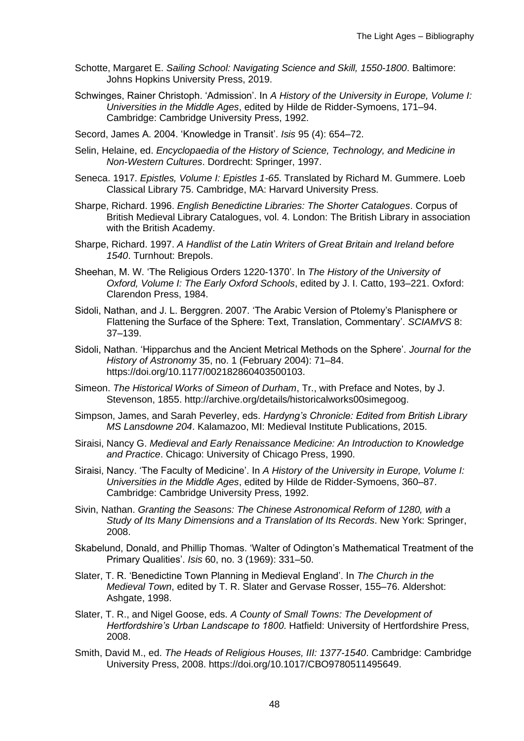- Schotte, Margaret E. *Sailing School: Navigating Science and Skill, 1550-1800*. Baltimore: Johns Hopkins University Press, 2019.
- Schwinges, Rainer Christoph. 'Admission'. In *A History of the University in Europe, Volume I: Universities in the Middle Ages*, edited by Hilde de Ridder-Symoens, 171–94. Cambridge: Cambridge University Press, 1992.
- Secord, James A. 2004. 'Knowledge in Transit'. *Isis* 95 (4): 654–72.
- Selin, Helaine, ed. *Encyclopaedia of the History of Science, Technology, and Medicine in Non-Western Cultures*. Dordrecht: Springer, 1997.
- Seneca. 1917. *Epistles, Volume I: Epistles 1-65*. Translated by Richard M. Gummere. Loeb Classical Library 75. Cambridge, MA: Harvard University Press.
- Sharpe, Richard. 1996. *English Benedictine Libraries: The Shorter Catalogues*. Corpus of British Medieval Library Catalogues, vol. 4. London: The British Library in association with the British Academy.
- Sharpe, Richard. 1997. *A Handlist of the Latin Writers of Great Britain and Ireland before 1540*. Turnhout: Brepols.
- Sheehan, M. W. 'The Religious Orders 1220-1370'. In *The History of the University of Oxford, Volume I: The Early Oxford Schools*, edited by J. I. Catto, 193–221. Oxford: Clarendon Press, 1984.
- Sidoli, Nathan, and J. L. Berggren. 2007. 'The Arabic Version of Ptolemy's Planisphere or Flattening the Surface of the Sphere: Text, Translation, Commentary'. *SCIAMVS* 8: 37–139.
- Sidoli, Nathan. 'Hipparchus and the Ancient Metrical Methods on the Sphere'. *Journal for the History of Astronomy* 35, no. 1 (February 2004): 71–84. https://doi.org/10.1177/002182860403500103.
- Simeon. *The Historical Works of Simeon of Durham*, Tr., with Preface and Notes, by J. Stevenson, 1855. http://archive.org/details/historicalworks00simegoog.
- Simpson, James, and Sarah Peverley, eds. *Hardyng's Chronicle: Edited from British Library MS Lansdowne 204*. Kalamazoo, MI: Medieval Institute Publications, 2015.
- Siraisi, Nancy G. *Medieval and Early Renaissance Medicine: An Introduction to Knowledge and Practice*. Chicago: University of Chicago Press, 1990.
- Siraisi, Nancy. 'The Faculty of Medicine'. In *A History of the University in Europe, Volume I: Universities in the Middle Ages*, edited by Hilde de Ridder-Symoens, 360–87. Cambridge: Cambridge University Press, 1992.
- Sivin, Nathan. *Granting the Seasons: The Chinese Astronomical Reform of 1280, with a Study of Its Many Dimensions and a Translation of Its Records*. New York: Springer, 2008.
- Skabelund, Donald, and Phillip Thomas. 'Walter of Odington's Mathematical Treatment of the Primary Qualities'. *Isis* 60, no. 3 (1969): 331–50.
- Slater, T. R. 'Benedictine Town Planning in Medieval England'. In *The Church in the Medieval Town*, edited by T. R. Slater and Gervase Rosser, 155–76. Aldershot: Ashgate, 1998.
- Slater, T. R., and Nigel Goose, eds. *A County of Small Towns: The Development of Hertfordshire's Urban Landscape to 1800*. Hatfield: University of Hertfordshire Press, 2008.
- Smith, David M., ed. *The Heads of Religious Houses, III: 1377-1540*. Cambridge: Cambridge University Press, 2008. https://doi.org/10.1017/CBO9780511495649.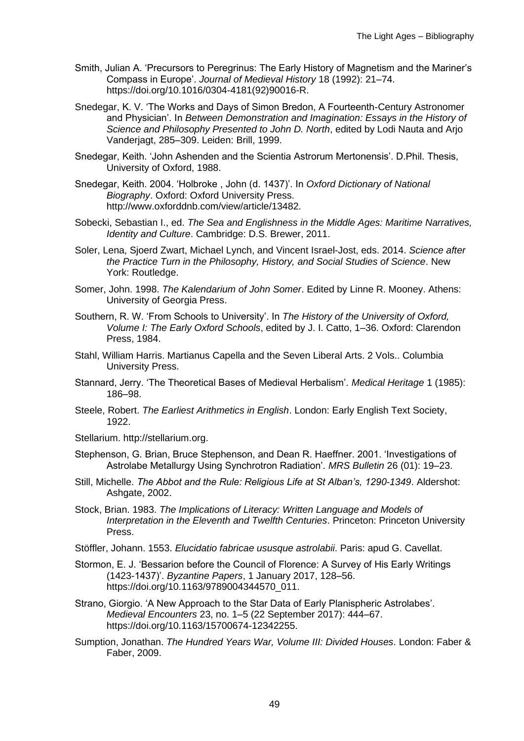- Smith, Julian A. 'Precursors to Peregrinus: The Early History of Magnetism and the Mariner's Compass in Europe'. *Journal of Medieval History* 18 (1992): 21–74. https://doi.org/10.1016/0304-4181(92)90016-R.
- Snedegar, K. V. 'The Works and Days of Simon Bredon, A Fourteenth-Century Astronomer and Physician'. In *Between Demonstration and Imagination: Essays in the History of Science and Philosophy Presented to John D. North*, edited by Lodi Nauta and Arjo Vanderjagt, 285–309. Leiden: Brill, 1999.
- Snedegar, Keith. 'John Ashenden and the Scientia Astrorum Mertonensis'. D.Phil. Thesis, University of Oxford, 1988.
- Snedegar, Keith. 2004. 'Holbroke , John (d. 1437)'. In *Oxford Dictionary of National Biography*. Oxford: Oxford University Press. http://www.oxforddnb.com/view/article/13482.
- Sobecki, Sebastian I., ed. *The Sea and Englishness in the Middle Ages: Maritime Narratives, Identity and Culture*. Cambridge: D.S. Brewer, 2011.
- Soler, Lena, Sjoerd Zwart, Michael Lynch, and Vincent Israel-Jost, eds. 2014. *Science after the Practice Turn in the Philosophy, History, and Social Studies of Science*. New York: Routledge.
- Somer, John. 1998. *The Kalendarium of John Somer*. Edited by Linne R. Mooney. Athens: University of Georgia Press.
- Southern, R. W. 'From Schools to University'. In *The History of the University of Oxford, Volume I: The Early Oxford Schools*, edited by J. I. Catto, 1–36. Oxford: Clarendon Press, 1984.
- Stahl, William Harris. Martianus Capella and the Seven Liberal Arts. 2 Vols.. Columbia University Press.
- Stannard, Jerry. 'The Theoretical Bases of Medieval Herbalism'. *Medical Heritage* 1 (1985): 186–98.
- Steele, Robert. *The Earliest Arithmetics in English*. London: Early English Text Society, 1922.
- Stellarium. http://stellarium.org.
- Stephenson, G. Brian, Bruce Stephenson, and Dean R. Haeffner. 2001. 'Investigations of Astrolabe Metallurgy Using Synchrotron Radiation'. *MRS Bulletin* 26 (01): 19–23.
- Still, Michelle. *The Abbot and the Rule: Religious Life at St Alban's, 1290-1349*. Aldershot: Ashgate, 2002.
- Stock, Brian. 1983. *The Implications of Literacy: Written Language and Models of Interpretation in the Eleventh and Twelfth Centuries*. Princeton: Princeton University Press.
- Stöffler, Johann. 1553. *Elucidatio fabricae ususque astrolabii*. Paris: apud G. Cavellat.
- Stormon, E. J. 'Bessarion before the Council of Florence: A Survey of His Early Writings (1423-1437)'. *Byzantine Papers*, 1 January 2017, 128–56. https://doi.org/10.1163/9789004344570\_011.
- Strano, Giorgio. 'A New Approach to the Star Data of Early Planispheric Astrolabes'. *Medieval Encounters* 23, no. 1–5 (22 September 2017): 444–67. https://doi.org/10.1163/15700674-12342255.
- Sumption, Jonathan. *The Hundred Years War, Volume III: Divided Houses*. London: Faber & Faber, 2009.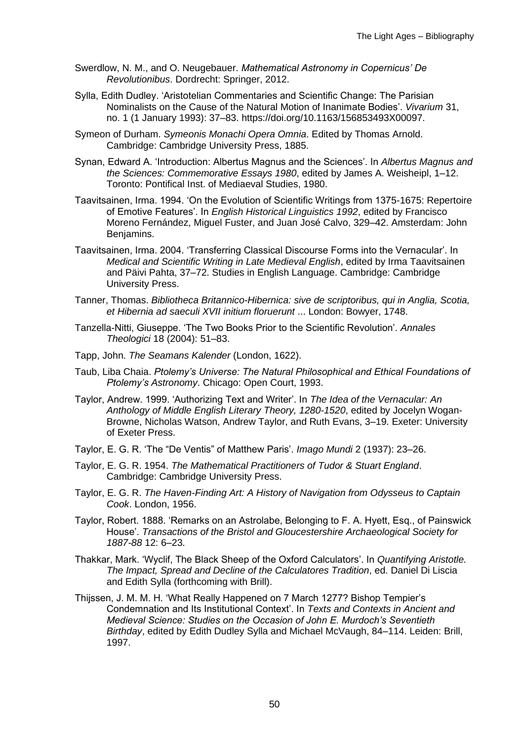- Swerdlow, N. M., and O. Neugebauer. *Mathematical Astronomy in Copernicus' De Revolutionibus*. Dordrecht: Springer, 2012.
- Sylla, Edith Dudley. 'Aristotelian Commentaries and Scientific Change: The Parisian Nominalists on the Cause of the Natural Motion of Inanimate Bodies'. *Vivarium* 31, no. 1 (1 January 1993): 37–83. https://doi.org/10.1163/156853493X00097.
- Symeon of Durham. *Symeonis Monachi Opera Omnia*. Edited by Thomas Arnold. Cambridge: Cambridge University Press, 1885.
- Synan, Edward A. 'Introduction: Albertus Magnus and the Sciences'. In *Albertus Magnus and the Sciences: Commemorative Essays 1980*, edited by James A. Weisheipl, 1–12. Toronto: Pontifical Inst. of Mediaeval Studies, 1980.
- Taavitsainen, Irma. 1994. 'On the Evolution of Scientific Writings from 1375-1675: Repertoire of Emotive Features'. In *English Historical Linguistics 1992*, edited by Francisco Moreno Fernández, Miguel Fuster, and Juan José Calvo, 329–42. Amsterdam: John Benjamins.
- Taavitsainen, Irma. 2004. 'Transferring Classical Discourse Forms into the Vernacular'. In *Medical and Scientific Writing in Late Medieval English*, edited by Irma Taavitsainen and Päivi Pahta, 37–72. Studies in English Language. Cambridge: Cambridge University Press.
- Tanner, Thomas. *Bibliotheca Britannico-Hibernica: sive de scriptoribus, qui in Anglia, Scotia, et Hibernia ad saeculi XVII initium floruerunt* ... London: Bowyer, 1748.
- Tanzella-Nitti, Giuseppe. 'The Two Books Prior to the Scientific Revolution'. *Annales Theologici* 18 (2004): 51–83.
- Tapp, John. *The Seamans Kalender* (London, 1622).
- Taub, Liba Chaia. *Ptolemy's Universe: The Natural Philosophical and Ethical Foundations of Ptolemy's Astronomy*. Chicago: Open Court, 1993.
- Taylor, Andrew. 1999. 'Authorizing Text and Writer'. In *The Idea of the Vernacular: An Anthology of Middle English Literary Theory, 1280-1520*, edited by Jocelyn Wogan-Browne, Nicholas Watson, Andrew Taylor, and Ruth Evans, 3–19. Exeter: University of Exeter Press.
- Taylor, E. G. R. 'The "De Ventis" of Matthew Paris'. *Imago Mundi* 2 (1937): 23–26.
- Taylor, E. G. R. 1954. *The Mathematical Practitioners of Tudor & Stuart England*. Cambridge: Cambridge University Press.
- Taylor, E. G. R. *The Haven-Finding Art: A History of Navigation from Odysseus to Captain Cook*. London, 1956.
- Taylor, Robert. 1888. 'Remarks on an Astrolabe, Belonging to F. A. Hyett, Esq., of Painswick House'. *Transactions of the Bristol and Gloucestershire Archaeological Society for 1887-88* 12: 6–23.
- Thakkar, Mark. 'Wyclif, The Black Sheep of the Oxford Calculators'. In *Quantifying Aristotle. The Impact, Spread and Decline of the Calculatores Tradition*, ed. Daniel Di Liscia and Edith Sylla (forthcoming with Brill).
- Thijssen, J. M. M. H. 'What Really Happened on 7 March 1277? Bishop Tempier's Condemnation and Its Institutional Context'. In *Texts and Contexts in Ancient and Medieval Science: Studies on the Occasion of John E. Murdoch's Seventieth Birthday*, edited by Edith Dudley Sylla and Michael McVaugh, 84–114. Leiden: Brill, 1997.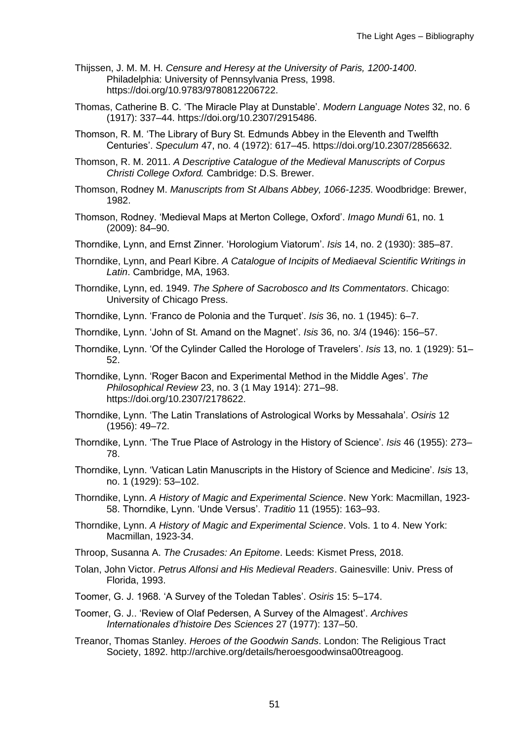- Thijssen, J. M. M. H. *Censure and Heresy at the University of Paris, 1200-1400*. Philadelphia: University of Pennsylvania Press, 1998. https://doi.org/10.9783/9780812206722.
- Thomas, Catherine B. C. 'The Miracle Play at Dunstable'. *Modern Language Notes* 32, no. 6 (1917): 337–44. https://doi.org/10.2307/2915486.
- Thomson, R. M. 'The Library of Bury St. Edmunds Abbey in the Eleventh and Twelfth Centuries'. *Speculum* 47, no. 4 (1972): 617–45. https://doi.org/10.2307/2856632.
- Thomson, R. M. 2011. *A Descriptive Catalogue of the Medieval Manuscripts of Corpus Christi College Oxford.* Cambridge: D.S. Brewer.
- Thomson, Rodney M. *Manuscripts from St Albans Abbey, 1066-1235*. Woodbridge: Brewer, 1982.
- Thomson, Rodney. 'Medieval Maps at Merton College, Oxford'. *Imago Mundi* 61, no. 1 (2009): 84–90.
- Thorndike, Lynn, and Ernst Zinner. 'Horologium Viatorum'. *Isis* 14, no. 2 (1930): 385–87.
- Thorndike, Lynn, and Pearl Kibre. *A Catalogue of Incipits of Mediaeval Scientific Writings in Latin*. Cambridge, MA, 1963.
- Thorndike, Lynn, ed. 1949. *The Sphere of Sacrobosco and Its Commentators*. Chicago: University of Chicago Press.
- Thorndike, Lynn. 'Franco de Polonia and the Turquet'. *Isis* 36, no. 1 (1945): 6–7.
- Thorndike, Lynn. 'John of St. Amand on the Magnet'. *Isis* 36, no. 3/4 (1946): 156–57.
- Thorndike, Lynn. 'Of the Cylinder Called the Horologe of Travelers'. *Isis* 13, no. 1 (1929): 51– 52.
- Thorndike, Lynn. 'Roger Bacon and Experimental Method in the Middle Ages'. *The Philosophical Review* 23, no. 3 (1 May 1914): 271–98. https://doi.org/10.2307/2178622.
- Thorndike, Lynn. 'The Latin Translations of Astrological Works by Messahala'. *Osiris* 12 (1956): 49–72.
- Thorndike, Lynn. 'The True Place of Astrology in the History of Science'. *Isis* 46 (1955): 273– 78.
- Thorndike, Lynn. 'Vatican Latin Manuscripts in the History of Science and Medicine'. *Isis* 13, no. 1 (1929): 53–102.
- Thorndike, Lynn. *A History of Magic and Experimental Science*. New York: Macmillan, 1923- 58. Thorndike, Lynn. 'Unde Versus'. *Traditio* 11 (1955): 163–93.
- Thorndike, Lynn. *A History of Magic and Experimental Science*. Vols. 1 to 4. New York: Macmillan, 1923-34.
- Throop, Susanna A. *The Crusades: An Epitome*. Leeds: Kismet Press, 2018.
- Tolan, John Victor. *Petrus Alfonsi and His Medieval Readers*. Gainesville: Univ. Press of Florida, 1993.
- Toomer, G. J. 1968. 'A Survey of the Toledan Tables'. *Osiris* 15: 5–174.
- Toomer, G. J.. 'Review of Olaf Pedersen, A Survey of the Almagest'. *Archives Internationales d'histoire Des Sciences* 27 (1977): 137–50.
- Treanor, Thomas Stanley. *Heroes of the Goodwin Sands*. London: The Religious Tract Society, 1892. http://archive.org/details/heroesgoodwinsa00treagoog.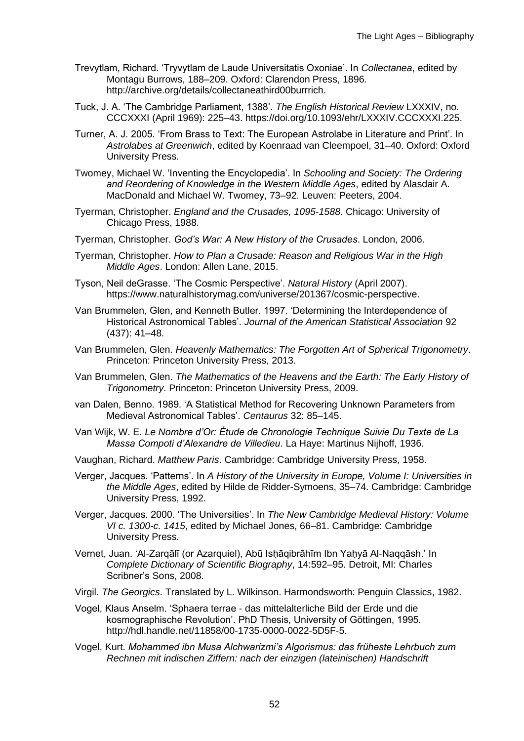- Trevytlam, Richard. 'Tryvytlam de Laude Universitatis Oxoniae'. In *Collectanea*, edited by Montagu Burrows, 188–209. Oxford: Clarendon Press, 1896. http://archive.org/details/collectaneathird00burrrich.
- Tuck, J. A. 'The Cambridge Parliament, 1388'. *The English Historical Review* LXXXIV, no. CCCXXXI (April 1969): 225–43. https://doi.org/10.1093/ehr/LXXXIV.CCCXXXI.225.
- Turner, A. J. 2005. 'From Brass to Text: The European Astrolabe in Literature and Print'. In *Astrolabes at Greenwich*, edited by Koenraad van Cleempoel, 31–40. Oxford: Oxford University Press.
- Twomey, Michael W. 'Inventing the Encyclopedia'. In *Schooling and Society: The Ordering and Reordering of Knowledge in the Western Middle Ages*, edited by Alasdair A. MacDonald and Michael W. Twomey, 73–92. Leuven: Peeters, 2004.
- Tyerman, Christopher. *England and the Crusades, 1095-1588*. Chicago: University of Chicago Press, 1988.
- Tyerman, Christopher. *God's War: A New History of the Crusades*. London, 2006.
- Tyerman, Christopher. *How to Plan a Crusade: Reason and Religious War in the High Middle Ages*. London: Allen Lane, 2015.
- Tyson, Neil deGrasse. 'The Cosmic Perspective'. *Natural History* (April 2007). https://www.naturalhistorymag.com/universe/201367/cosmic-perspective.
- Van Brummelen, Glen, and Kenneth Butler. 1997. 'Determining the Interdependence of Historical Astronomical Tables'. *Journal of the American Statistical Association* 92 (437): 41–48.
- Van Brummelen, Glen. *Heavenly Mathematics: The Forgotten Art of Spherical Trigonometry*. Princeton: Princeton University Press, 2013.
- Van Brummelen, Glen. *The Mathematics of the Heavens and the Earth: The Early History of Trigonometry*. Princeton: Princeton University Press, 2009.
- van Dalen, Benno. 1989. 'A Statistical Method for Recovering Unknown Parameters from Medieval Astronomical Tables'. *Centaurus* 32: 85–145.
- Van Wijk, W. E. *Le Nombre d'Or: Étude de Chronologie Technique Suivie Du Texte de La Massa Compoti d'Alexandre de Villedieu*. La Haye: Martinus Nijhoff, 1936.
- Vaughan, Richard. *Matthew Paris*. Cambridge: Cambridge University Press, 1958.
- Verger, Jacques. 'Patterns'. In *A History of the University in Europe, Volume I: Universities in the Middle Ages*, edited by Hilde de Ridder-Symoens, 35–74. Cambridge: Cambridge University Press, 1992.
- Verger, Jacques. 2000. 'The Universities'. In *The New Cambridge Medieval History: Volume VI c. 1300-c. 1415*, edited by Michael Jones, 66–81. Cambridge: Cambridge University Press.
- Vernet, Juan. 'Al-Zarqālī (or Azarquiel), Abū Isḥāqibrāhīm Ibn Yaḥyā Al-Naqqāsh.' In *Complete Dictionary of Scientific Biography*, 14:592–95. Detroit, MI: Charles Scribner's Sons, 2008.
- Virgil. *The Georgics*. Translated by L. Wilkinson. Harmondsworth: Penguin Classics, 1982.
- Vogel, Klaus Anselm. 'Sphaera terrae das mittelalterliche Bild der Erde und die kosmographische Revolution'. PhD Thesis, University of Göttingen, 1995. http://hdl.handle.net/11858/00-1735-0000-0022-5D5F-5.
- Vogel, Kurt. *Mohammed ibn Musa Alchwarizmi's Algorismus: das früheste Lehrbuch zum Rechnen mit indischen Ziffern: nach der einzigen (lateinischen) Handschrift*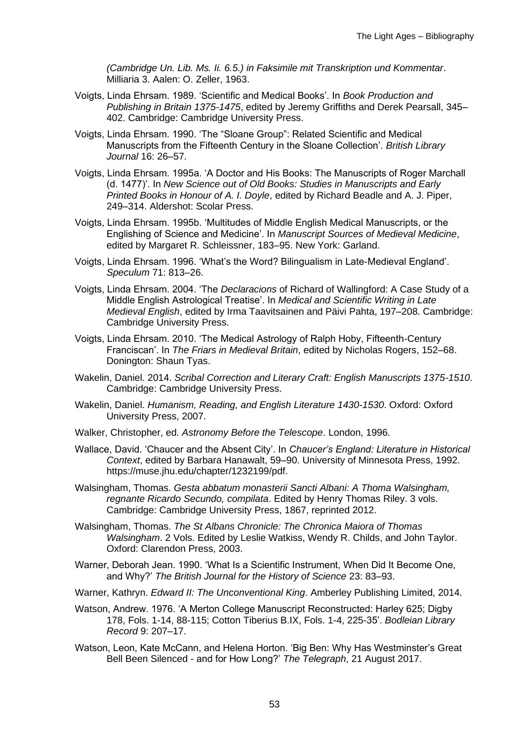*(Cambridge Un. Lib. Ms. Ii. 6.5.) in Faksimile mit Transkription und Kommentar*. Milliaria 3. Aalen: O. Zeller, 1963.

- Voigts, Linda Ehrsam. 1989. 'Scientific and Medical Books'. In *Book Production and Publishing in Britain 1375-1475*, edited by Jeremy Griffiths and Derek Pearsall, 345– 402. Cambridge: Cambridge University Press.
- Voigts, Linda Ehrsam. 1990. 'The "Sloane Group": Related Scientific and Medical Manuscripts from the Fifteenth Century in the Sloane Collection'. *British Library Journal* 16: 26–57.
- Voigts, Linda Ehrsam. 1995a. 'A Doctor and His Books: The Manuscripts of Roger Marchall (d. 1477)'. In *New Science out of Old Books: Studies in Manuscripts and Early Printed Books in Honour of A. I. Doyle*, edited by Richard Beadle and A. J. Piper, 249–314. Aldershot: Scolar Press.
- Voigts, Linda Ehrsam. 1995b. 'Multitudes of Middle English Medical Manuscripts, or the Englishing of Science and Medicine'. In *Manuscript Sources of Medieval Medicine*, edited by Margaret R. Schleissner, 183–95. New York: Garland.
- Voigts, Linda Ehrsam. 1996. 'What's the Word? Bilingualism in Late-Medieval England'. *Speculum* 71: 813–26.
- Voigts, Linda Ehrsam. 2004. 'The *Declaracions* of Richard of Wallingford: A Case Study of a Middle English Astrological Treatise'. In *Medical and Scientific Writing in Late Medieval English*, edited by Irma Taavitsainen and Päivi Pahta, 197–208. Cambridge: Cambridge University Press.
- Voigts, Linda Ehrsam. 2010. 'The Medical Astrology of Ralph Hoby, Fifteenth-Century Franciscan'. In *The Friars in Medieval Britain*, edited by Nicholas Rogers, 152–68. Donington: Shaun Tyas.
- Wakelin, Daniel. 2014. *Scribal Correction and Literary Craft: English Manuscripts 1375-1510*. Cambridge: Cambridge University Press.
- Wakelin, Daniel. *Humanism, Reading, and English Literature 1430-1530*. Oxford: Oxford University Press, 2007.
- Walker, Christopher, ed. *Astronomy Before the Telescope*. London, 1996.
- Wallace, David. 'Chaucer and the Absent City'. In *Chaucer's England: Literature in Historical Context*, edited by Barbara Hanawalt, 59–90. University of Minnesota Press, 1992. https://muse.jhu.edu/chapter/1232199/pdf.
- Walsingham, Thomas. *Gesta abbatum monasterii Sancti Albani: A Thoma Walsingham, regnante Ricardo Secundo, compilata*. Edited by Henry Thomas Riley. 3 vols. Cambridge: Cambridge University Press, 1867, reprinted 2012.
- Walsingham, Thomas. *The St Albans Chronicle: The Chronica Maiora of Thomas Walsingham*. 2 Vols. Edited by Leslie Watkiss, Wendy R. Childs, and John Taylor. Oxford: Clarendon Press, 2003.
- Warner, Deborah Jean. 1990. 'What Is a Scientific Instrument, When Did It Become One, and Why?' *The British Journal for the History of Science* 23: 83–93.
- Warner, Kathryn. *Edward II: The Unconventional King*. Amberley Publishing Limited, 2014.
- Watson, Andrew. 1976. 'A Merton College Manuscript Reconstructed: Harley 625; Digby 178, Fols. 1-14, 88-115; Cotton Tiberius B.IX, Fols. 1-4, 225-35'. *Bodleian Library Record* 9: 207–17.
- Watson, Leon, Kate McCann, and Helena Horton. 'Big Ben: Why Has Westminster's Great Bell Been Silenced - and for How Long?' *The Telegraph*, 21 August 2017.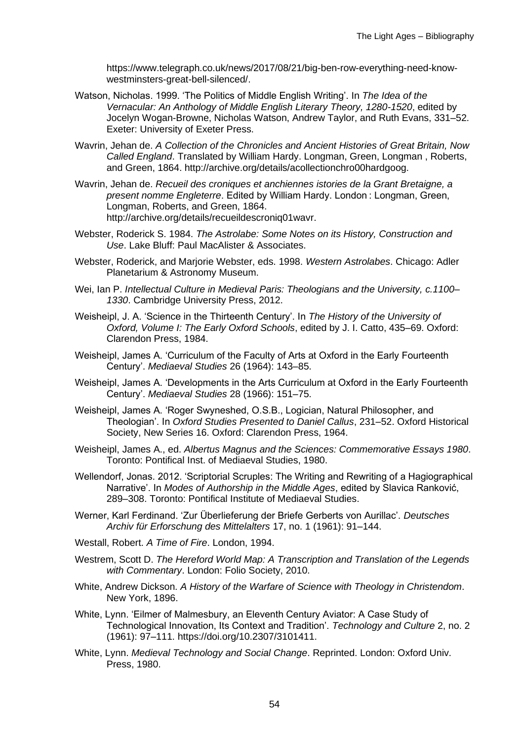https://www.telegraph.co.uk/news/2017/08/21/big-ben-row-everything-need-knowwestminsters-great-bell-silenced/.

- Watson, Nicholas. 1999. 'The Politics of Middle English Writing'. In *The Idea of the Vernacular: An Anthology of Middle English Literary Theory, 1280-1520*, edited by Jocelyn Wogan-Browne, Nicholas Watson, Andrew Taylor, and Ruth Evans, 331–52. Exeter: University of Exeter Press.
- Wavrin, Jehan de. *A Collection of the Chronicles and Ancient Histories of Great Britain, Now Called England*. Translated by William Hardy. Longman, Green, Longman , Roberts, and Green, 1864. http://archive.org/details/acollectionchro00hardgoog.
- Wavrin, Jehan de. *Recueil des croniques et anchiennes istories de la Grant Bretaigne, a present nomme Engleterre*. Edited by William Hardy. London : Longman, Green, Longman, Roberts, and Green, 1864. http://archive.org/details/recueildescroniq01wavr.
- Webster, Roderick S. 1984. *The Astrolabe: Some Notes on its History, Construction and Use*. Lake Bluff: Paul MacAlister & Associates.
- Webster, Roderick, and Marjorie Webster, eds. 1998. *Western Astrolabes*. Chicago: Adler Planetarium & Astronomy Museum.
- Wei, Ian P. *Intellectual Culture in Medieval Paris: Theologians and the University, c.1100– 1330*. Cambridge University Press, 2012.
- Weisheipl, J. A. 'Science in the Thirteenth Century'. In *The History of the University of Oxford, Volume I: The Early Oxford Schools*, edited by J. I. Catto, 435–69. Oxford: Clarendon Press, 1984.
- Weisheipl, James A. 'Curriculum of the Faculty of Arts at Oxford in the Early Fourteenth Century'. *Mediaeval Studies* 26 (1964): 143–85.
- Weisheipl, James A. 'Developments in the Arts Curriculum at Oxford in the Early Fourteenth Century'. *Mediaeval Studies* 28 (1966): 151–75.
- Weisheipl, James A. 'Roger Swyneshed, O.S.B., Logician, Natural Philosopher, and Theologian'. In *Oxford Studies Presented to Daniel Callus*, 231–52. Oxford Historical Society, New Series 16. Oxford: Clarendon Press, 1964.
- Weisheipl, James A., ed. *Albertus Magnus and the Sciences: Commemorative Essays 1980*. Toronto: Pontifical Inst. of Mediaeval Studies, 1980.
- Wellendorf, Jonas. 2012. 'Scriptorial Scruples: The Writing and Rewriting of a Hagiographical Narrative'. In *Modes of Authorship in the Middle Ages*, edited by Slavica Ranković, 289–308. Toronto: Pontifical Institute of Mediaeval Studies.
- Werner, Karl Ferdinand. 'Zur Überlieferung der Briefe Gerberts von Aurillac'. *Deutsches Archiv für Erforschung des Mittelalters* 17, no. 1 (1961): 91–144.
- Westall, Robert. *A Time of Fire*. London, 1994.
- Westrem, Scott D. *The Hereford World Map: A Transcription and Translation of the Legends with Commentary*. London: Folio Society, 2010.
- White, Andrew Dickson. *A History of the Warfare of Science with Theology in Christendom*. New York, 1896.
- White, Lynn. 'Eilmer of Malmesbury, an Eleventh Century Aviator: A Case Study of Technological Innovation, Its Context and Tradition'. *Technology and Culture* 2, no. 2 (1961): 97–111. https://doi.org/10.2307/3101411.
- White, Lynn. *Medieval Technology and Social Change*. Reprinted. London: Oxford Univ. Press, 1980.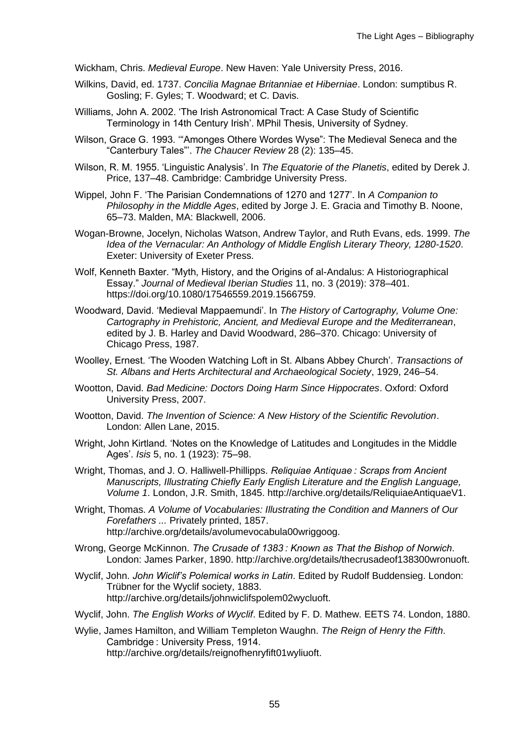Wickham, Chris. *Medieval Europe*. New Haven: Yale University Press, 2016.

- Wilkins, David, ed. 1737. *Concilia Magnae Britanniae et Hiberniae*. London: sumptibus R. Gosling; F. Gyles; T. Woodward; et C. Davis.
- Williams, John A. 2002. 'The Irish Astronomical Tract: A Case Study of Scientific Terminology in 14th Century Irish'. MPhil Thesis, University of Sydney.
- Wilson, Grace G. 1993. '"Amonges Othere Wordes Wyse": The Medieval Seneca and the "Canterbury Tales"'. *The Chaucer Review* 28 (2): 135–45.
- Wilson, R. M. 1955. 'Linguistic Analysis'. In *The Equatorie of the Planetis*, edited by Derek J. Price, 137–48. Cambridge: Cambridge University Press.
- Wippel, John F. 'The Parisian Condemnations of 1270 and 1277'. In *A Companion to Philosophy in the Middle Ages*, edited by Jorge J. E. Gracia and Timothy B. Noone, 65–73. Malden, MA: Blackwell, 2006.
- Wogan-Browne, Jocelyn, Nicholas Watson, Andrew Taylor, and Ruth Evans, eds. 1999. *The Idea of the Vernacular: An Anthology of Middle English Literary Theory, 1280-1520*. Exeter: University of Exeter Press.
- Wolf, Kenneth Baxter. "Myth, History, and the Origins of al-Andalus: A Historiographical Essay." *Journal of Medieval Iberian Studies* 11, no. 3 (2019): 378–401. https://doi.org/10.1080/17546559.2019.1566759.
- Woodward, David. 'Medieval Mappaemundi'. In *The History of Cartography, Volume One: Cartography in Prehistoric, Ancient, and Medieval Europe and the Mediterranean*, edited by J. B. Harley and David Woodward, 286–370. Chicago: University of Chicago Press, 1987.
- Woolley, Ernest. 'The Wooden Watching Loft in St. Albans Abbey Church'. *Transactions of St. Albans and Herts Architectural and Archaeological Society*, 1929, 246–54.
- Wootton, David. *Bad Medicine: Doctors Doing Harm Since Hippocrates*. Oxford: Oxford University Press, 2007.
- Wootton, David. *The Invention of Science: A New History of the Scientific Revolution*. London: Allen Lane, 2015.
- Wright, John Kirtland. 'Notes on the Knowledge of Latitudes and Longitudes in the Middle Ages'. *Isis* 5, no. 1 (1923): 75–98.
- Wright, Thomas, and J. O. Halliwell-Phillipps. *Reliquiae Antiquae : Scraps from Ancient Manuscripts, Illustrating Chiefly Early English Literature and the English Language, Volume 1*. London, J.R. Smith, 1845. http://archive.org/details/ReliquiaeAntiquaeV1.
- Wright, Thomas. *A Volume of Vocabularies: Illustrating the Condition and Manners of Our Forefathers ...* Privately printed, 1857. http://archive.org/details/avolumevocabula00wriggoog.
- Wrong, George McKinnon. *The Crusade of 1383 : Known as That the Bishop of Norwich*. London: James Parker, 1890. http://archive.org/details/thecrusadeof138300wronuoft.
- Wyclif, John. *John Wiclif's Polemical works in Latin*. Edited by Rudolf Buddensieg. London: Trübner for the Wyclif society, 1883. http://archive.org/details/johnwiclifspolem02wycluoft.
- Wyclif, John. *The English Works of Wyclif*. Edited by F. D. Mathew. EETS 74. London, 1880.
- Wylie, James Hamilton, and William Templeton Waughn. *The Reign of Henry the Fifth*. Cambridge : University Press, 1914. http://archive.org/details/reignofhenryfift01wyliuoft.